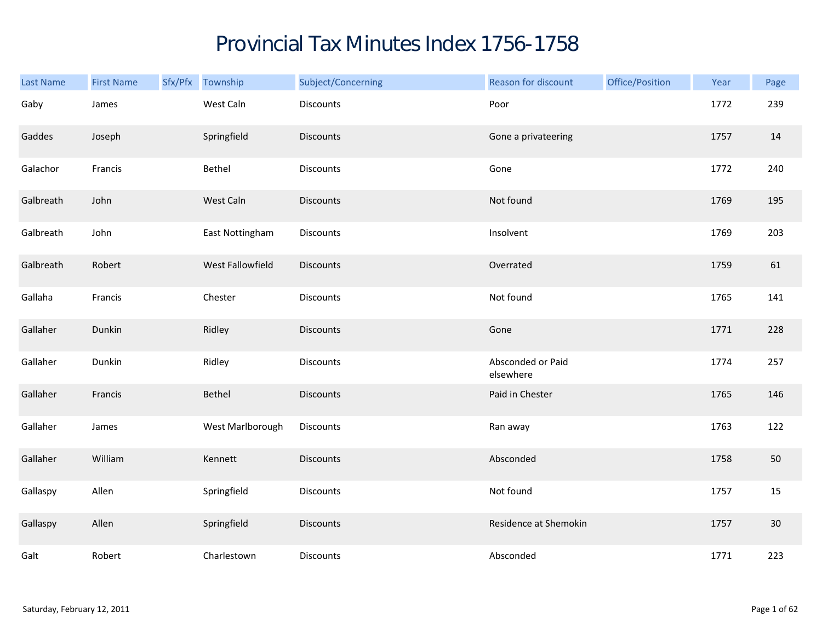## Provincial Tax Minutes Index 1756-1758

| Last Name | <b>First Name</b> | Sfx/Pfx Township | Subject/Concerning | Reason for discount            | Office/Position | Year | Page |
|-----------|-------------------|------------------|--------------------|--------------------------------|-----------------|------|------|
| Gaby      | James             | West Caln        | <b>Discounts</b>   | Poor                           |                 | 1772 | 239  |
| Gaddes    | Joseph            | Springfield      | <b>Discounts</b>   | Gone a privateering            |                 | 1757 | 14   |
| Galachor  | Francis           | Bethel           | <b>Discounts</b>   | Gone                           |                 | 1772 | 240  |
| Galbreath | John              | West Caln        | <b>Discounts</b>   | Not found                      |                 | 1769 | 195  |
| Galbreath | John              | East Nottingham  | Discounts          | Insolvent                      |                 | 1769 | 203  |
| Galbreath | Robert            | West Fallowfield | <b>Discounts</b>   | Overrated                      |                 | 1759 | 61   |
| Gallaha   | Francis           | Chester          | Discounts          | Not found                      |                 | 1765 | 141  |
| Gallaher  | Dunkin            | Ridley           | Discounts          | Gone                           |                 | 1771 | 228  |
| Gallaher  | Dunkin            | Ridley           | Discounts          | Absconded or Paid<br>elsewhere |                 | 1774 | 257  |
| Gallaher  | Francis           | Bethel           | <b>Discounts</b>   | Paid in Chester                |                 | 1765 | 146  |
| Gallaher  | James             | West Marlborough | <b>Discounts</b>   | Ran away                       |                 | 1763 | 122  |
| Gallaher  | William           | Kennett          | <b>Discounts</b>   | Absconded                      |                 | 1758 | 50   |
| Gallaspy  | Allen             | Springfield      | Discounts          | Not found                      |                 | 1757 | 15   |
| Gallaspy  | Allen             | Springfield      | <b>Discounts</b>   | Residence at Shemokin          |                 | 1757 | 30   |
| Galt      | Robert            | Charlestown      | Discounts          | Absconded                      |                 | 1771 | 223  |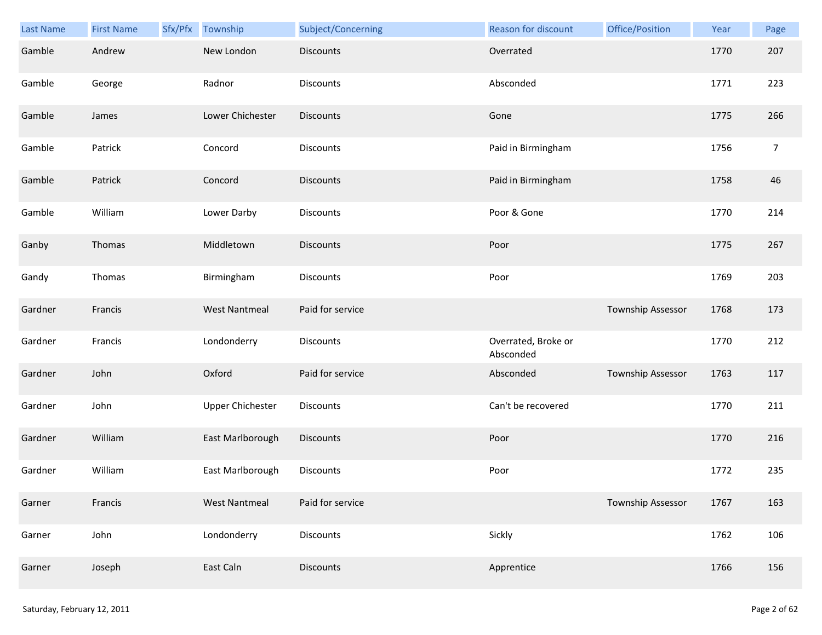| Last Name | <b>First Name</b> | Sfx/Pfx Township        | Subject/Concerning | Reason for discount              | Office/Position          | Year | Page           |
|-----------|-------------------|-------------------------|--------------------|----------------------------------|--------------------------|------|----------------|
| Gamble    | Andrew            | New London              | <b>Discounts</b>   | Overrated                        |                          | 1770 | 207            |
| Gamble    | George            | Radnor                  | Discounts          | Absconded                        |                          | 1771 | 223            |
| Gamble    | James             | Lower Chichester        | <b>Discounts</b>   | Gone                             |                          | 1775 | 266            |
| Gamble    | Patrick           | Concord                 | Discounts          | Paid in Birmingham               |                          | 1756 | $\overline{7}$ |
| Gamble    | Patrick           | Concord                 | <b>Discounts</b>   | Paid in Birmingham               |                          | 1758 | 46             |
| Gamble    | William           | Lower Darby             | Discounts          | Poor & Gone                      |                          | 1770 | 214            |
| Ganby     | Thomas            | Middletown              | <b>Discounts</b>   | Poor                             |                          | 1775 | 267            |
| Gandy     | Thomas            | Birmingham              | Discounts          | Poor                             |                          | 1769 | 203            |
| Gardner   | Francis           | <b>West Nantmeal</b>    | Paid for service   |                                  | Township Assessor        | 1768 | 173            |
| Gardner   | Francis           | Londonderry             | Discounts          | Overrated, Broke or<br>Absconded |                          | 1770 | 212            |
| Gardner   | John              | Oxford                  | Paid for service   | Absconded                        | <b>Township Assessor</b> | 1763 | 117            |
| Gardner   | John              | <b>Upper Chichester</b> | Discounts          | Can't be recovered               |                          | 1770 | 211            |
| Gardner   | William           | East Marlborough        | Discounts          | Poor                             |                          | 1770 | 216            |
| Gardner   | William           | East Marlborough        | Discounts          | Poor                             |                          | 1772 | 235            |
| Garner    | Francis           | <b>West Nantmeal</b>    | Paid for service   |                                  | Township Assessor        | 1767 | 163            |
| Garner    | John              | Londonderry             | Discounts          | Sickly                           |                          | 1762 | 106            |
| Garner    | Joseph            | East Caln               | Discounts          | Apprentice                       |                          | 1766 | 156            |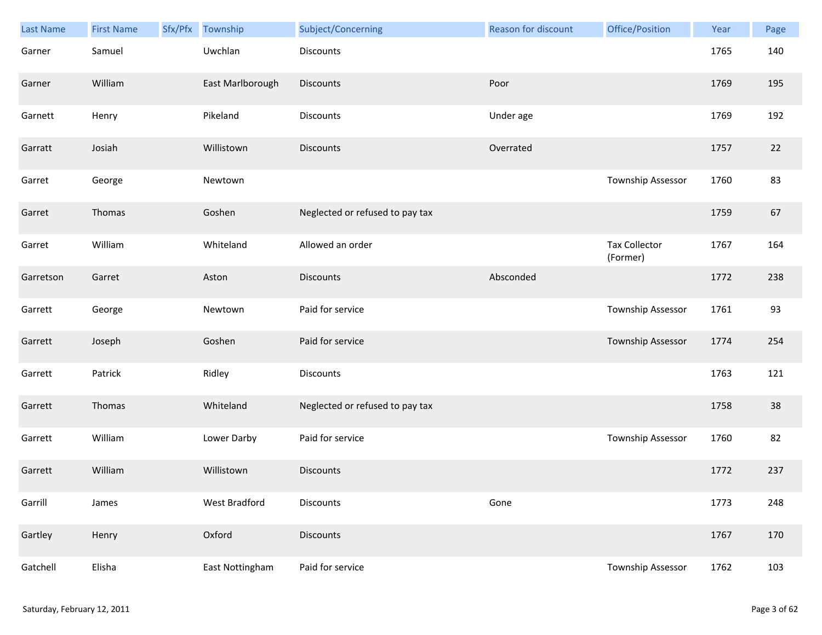| Last Name | <b>First Name</b> | Sfx/Pfx | Township         | Subject/Concerning              | <b>Reason for discount</b> | Office/Position                  | Year | Page |
|-----------|-------------------|---------|------------------|---------------------------------|----------------------------|----------------------------------|------|------|
| Garner    | Samuel            |         | Uwchlan          | <b>Discounts</b>                |                            |                                  | 1765 | 140  |
| Garner    | William           |         | East Marlborough | <b>Discounts</b>                | Poor                       |                                  | 1769 | 195  |
| Garnett   | Henry             |         | Pikeland         | Discounts                       | Under age                  |                                  | 1769 | 192  |
| Garratt   | Josiah            |         | Willistown       | <b>Discounts</b>                | Overrated                  |                                  | 1757 | 22   |
| Garret    | George            |         | Newtown          |                                 |                            | Township Assessor                | 1760 | 83   |
| Garret    | Thomas            |         | Goshen           | Neglected or refused to pay tax |                            |                                  | 1759 | 67   |
| Garret    | William           |         | Whiteland        | Allowed an order                |                            | <b>Tax Collector</b><br>(Former) | 1767 | 164  |
| Garretson | Garret            |         | Aston            | <b>Discounts</b>                | Absconded                  |                                  | 1772 | 238  |
| Garrett   | George            |         | Newtown          | Paid for service                |                            | Township Assessor                | 1761 | 93   |
| Garrett   | Joseph            |         | Goshen           | Paid for service                |                            | Township Assessor                | 1774 | 254  |
| Garrett   | Patrick           |         | Ridley           | Discounts                       |                            |                                  | 1763 | 121  |
| Garrett   | Thomas            |         | Whiteland        | Neglected or refused to pay tax |                            |                                  | 1758 | 38   |
| Garrett   | William           |         | Lower Darby      | Paid for service                |                            | Township Assessor                | 1760 | 82   |
| Garrett   | William           |         | Willistown       | <b>Discounts</b>                |                            |                                  | 1772 | 237  |
| Garrill   | James             |         | West Bradford    | <b>Discounts</b>                | Gone                       |                                  | 1773 | 248  |
| Gartley   | Henry             |         | Oxford           | <b>Discounts</b>                |                            |                                  | 1767 | 170  |
| Gatchell  | Elisha            |         | East Nottingham  | Paid for service                |                            | Township Assessor                | 1762 | 103  |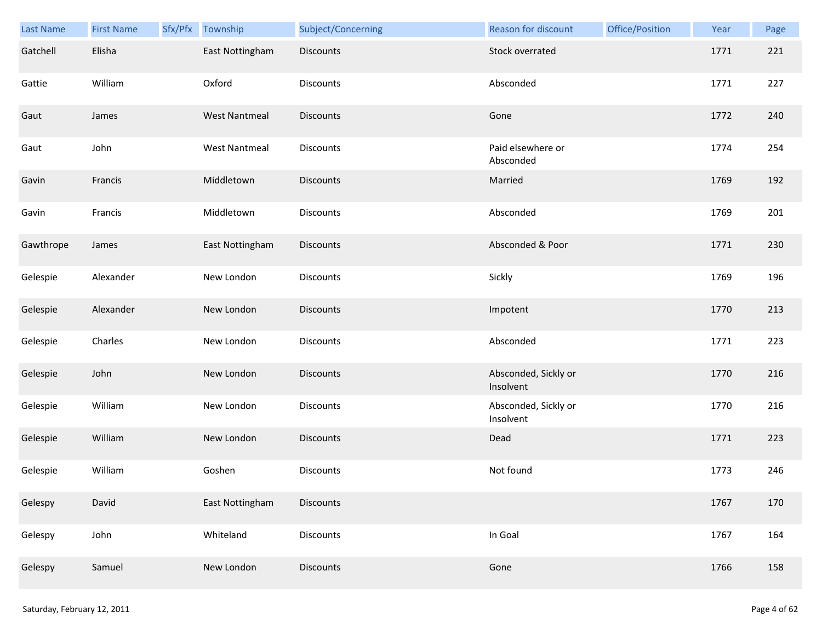| <b>Last Name</b> | <b>First Name</b> | Sfx/Pfx | Township             | Subject/Concerning | Reason for discount               | Office/Position | Year | Page |
|------------------|-------------------|---------|----------------------|--------------------|-----------------------------------|-----------------|------|------|
| Gatchell         | Elisha            |         | East Nottingham      | <b>Discounts</b>   | Stock overrated                   |                 | 1771 | 221  |
| Gattie           | William           |         | Oxford               | <b>Discounts</b>   | Absconded                         |                 | 1771 | 227  |
| Gaut             | James             |         | <b>West Nantmeal</b> | <b>Discounts</b>   | Gone                              |                 | 1772 | 240  |
| Gaut             | John              |         | <b>West Nantmeal</b> | <b>Discounts</b>   | Paid elsewhere or<br>Absconded    |                 | 1774 | 254  |
| Gavin            | Francis           |         | Middletown           | <b>Discounts</b>   | Married                           |                 | 1769 | 192  |
| Gavin            | Francis           |         | Middletown           | <b>Discounts</b>   | Absconded                         |                 | 1769 | 201  |
| Gawthrope        | James             |         | East Nottingham      | Discounts          | Absconded & Poor                  |                 | 1771 | 230  |
| Gelespie         | Alexander         |         | New London           | Discounts          | Sickly                            |                 | 1769 | 196  |
| Gelespie         | Alexander         |         | New London           | <b>Discounts</b>   | Impotent                          |                 | 1770 | 213  |
| Gelespie         | Charles           |         | New London           | <b>Discounts</b>   | Absconded                         |                 | 1771 | 223  |
| Gelespie         | John              |         | New London           | Discounts          | Absconded, Sickly or<br>Insolvent |                 | 1770 | 216  |
| Gelespie         | William           |         | New London           | <b>Discounts</b>   | Absconded, Sickly or<br>Insolvent |                 | 1770 | 216  |
| Gelespie         | William           |         | New London           | <b>Discounts</b>   | Dead                              |                 | 1771 | 223  |
| Gelespie         | William           |         | Goshen               | <b>Discounts</b>   | Not found                         |                 | 1773 | 246  |
| Gelespy          | David             |         | East Nottingham      | Discounts          |                                   |                 | 1767 | 170  |
| Gelespy          | John              |         | Whiteland            | <b>Discounts</b>   | In Goal                           |                 | 1767 | 164  |
| Gelespy          | Samuel            |         | New London           | Discounts          | Gone                              |                 | 1766 | 158  |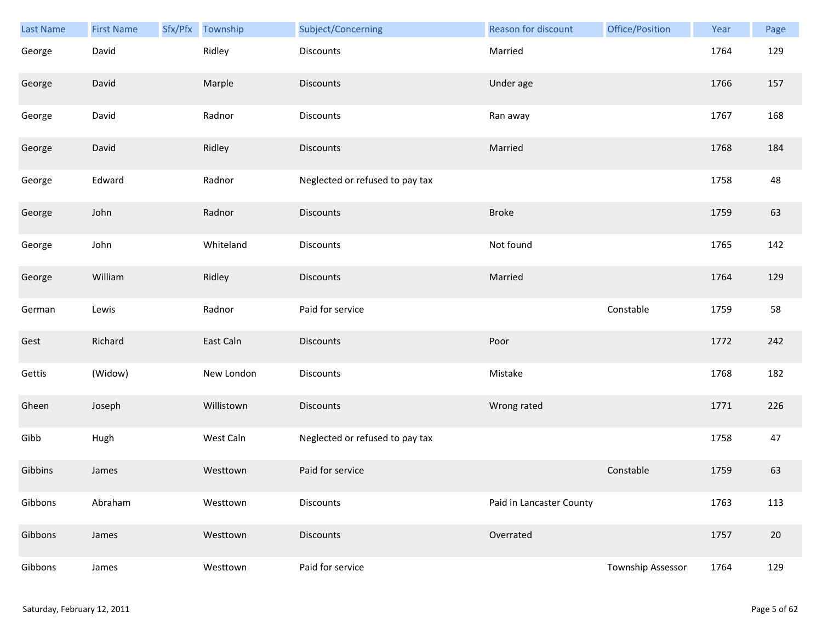| Last Name | <b>First Name</b> | Sfx/Pfx | Township   | Subject/Concerning              | <b>Reason for discount</b> | Office/Position   | Year | Page |
|-----------|-------------------|---------|------------|---------------------------------|----------------------------|-------------------|------|------|
| George    | David             |         | Ridley     | Discounts                       | Married                    |                   | 1764 | 129  |
| George    | David             |         | Marple     | <b>Discounts</b>                | Under age                  |                   | 1766 | 157  |
| George    | David             |         | Radnor     | Discounts                       | Ran away                   |                   | 1767 | 168  |
| George    | David             |         | Ridley     | <b>Discounts</b>                | Married                    |                   | 1768 | 184  |
| George    | Edward            |         | Radnor     | Neglected or refused to pay tax |                            |                   | 1758 | 48   |
| George    | John              |         | Radnor     | <b>Discounts</b>                | <b>Broke</b>               |                   | 1759 | 63   |
| George    | John              |         | Whiteland  | Discounts                       | Not found                  |                   | 1765 | 142  |
| George    | William           |         | Ridley     | <b>Discounts</b>                | Married                    |                   | 1764 | 129  |
| German    | Lewis             |         | Radnor     | Paid for service                |                            | Constable         | 1759 | 58   |
| Gest      | Richard           |         | East Caln  | <b>Discounts</b>                | Poor                       |                   | 1772 | 242  |
| Gettis    | (Widow)           |         | New London | <b>Discounts</b>                | Mistake                    |                   | 1768 | 182  |
| Gheen     | Joseph            |         | Willistown | Discounts                       | Wrong rated                |                   | 1771 | 226  |
| Gibb      | Hugh              |         | West Caln  | Neglected or refused to pay tax |                            |                   | 1758 | 47   |
| Gibbins   | James             |         | Westtown   | Paid for service                |                            | Constable         | 1759 | 63   |
| Gibbons   | Abraham           |         | Westtown   | Discounts                       | Paid in Lancaster County   |                   | 1763 | 113  |
| Gibbons   | James             |         | Westtown   | <b>Discounts</b>                | Overrated                  |                   | 1757 | 20   |
| Gibbons   | James             |         | Westtown   | Paid for service                |                            | Township Assessor | 1764 | 129  |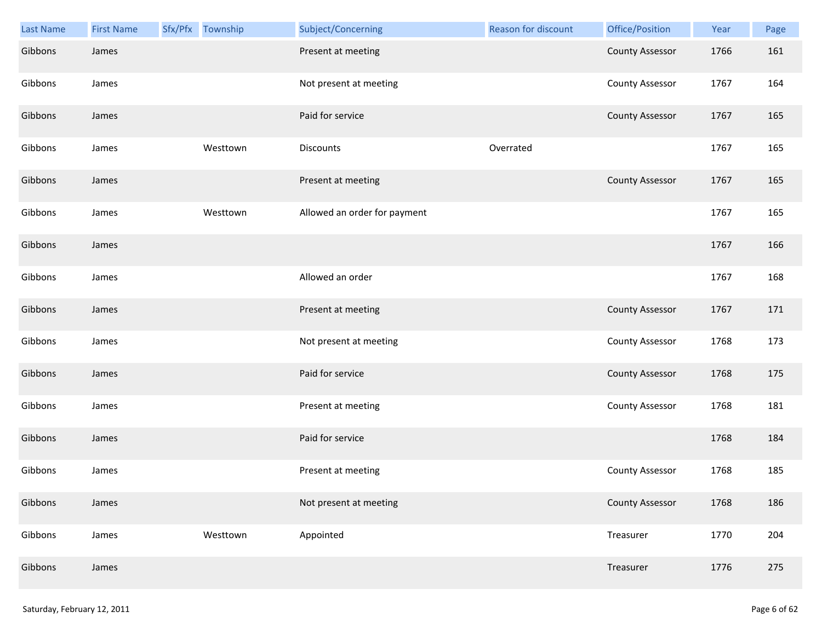| <b>Last Name</b> | <b>First Name</b> | Sfx/Pfx Township | Subject/Concerning           | Reason for discount | Office/Position        | Year | Page |
|------------------|-------------------|------------------|------------------------------|---------------------|------------------------|------|------|
| Gibbons          | James             |                  | Present at meeting           |                     | <b>County Assessor</b> | 1766 | 161  |
| Gibbons          | James             |                  | Not present at meeting       |                     | <b>County Assessor</b> | 1767 | 164  |
| Gibbons          | James             |                  | Paid for service             |                     | <b>County Assessor</b> | 1767 | 165  |
| Gibbons          | James             | Westtown         | Discounts                    | Overrated           |                        | 1767 | 165  |
| Gibbons          | James             |                  | Present at meeting           |                     | <b>County Assessor</b> | 1767 | 165  |
| Gibbons          | James             | Westtown         | Allowed an order for payment |                     |                        | 1767 | 165  |
| Gibbons          | James             |                  |                              |                     |                        | 1767 | 166  |
| Gibbons          | James             |                  | Allowed an order             |                     |                        | 1767 | 168  |
| Gibbons          | James             |                  | Present at meeting           |                     | <b>County Assessor</b> | 1767 | 171  |
| Gibbons          | James             |                  | Not present at meeting       |                     | <b>County Assessor</b> | 1768 | 173  |
| Gibbons          | James             |                  | Paid for service             |                     | <b>County Assessor</b> | 1768 | 175  |
| Gibbons          | James             |                  | Present at meeting           |                     | <b>County Assessor</b> | 1768 | 181  |
| Gibbons          | James             |                  | Paid for service             |                     |                        | 1768 | 184  |
| Gibbons          | James             |                  | Present at meeting           |                     | <b>County Assessor</b> | 1768 | 185  |
| Gibbons          | James             |                  | Not present at meeting       |                     | <b>County Assessor</b> | 1768 | 186  |
| Gibbons          | James             | Westtown         | Appointed                    |                     | Treasurer              | 1770 | 204  |
| Gibbons          | James             |                  |                              |                     | Treasurer              | 1776 | 275  |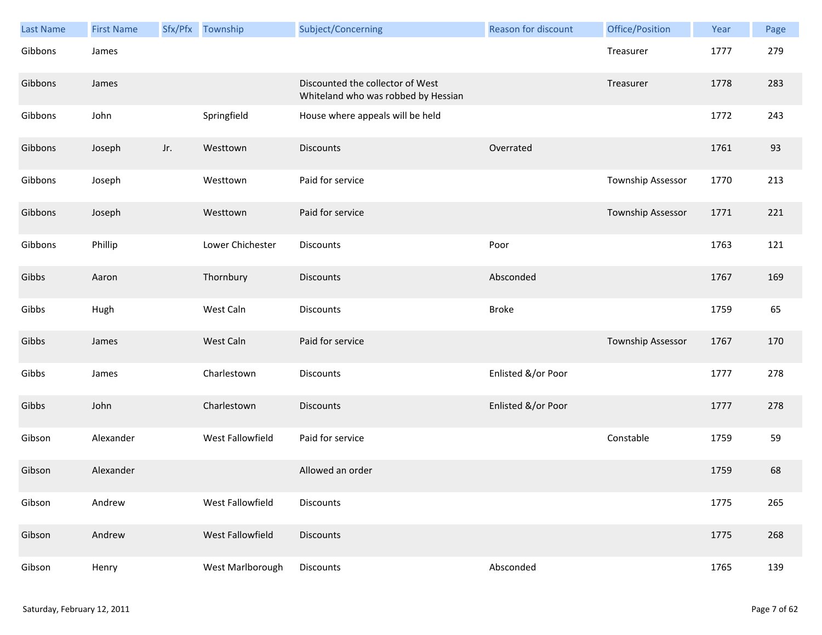| Last Name | <b>First Name</b> |     | Sfx/Pfx Township | Subject/Concerning                                                      | <b>Reason for discount</b> | Office/Position   | Year | Page |
|-----------|-------------------|-----|------------------|-------------------------------------------------------------------------|----------------------------|-------------------|------|------|
| Gibbons   | James             |     |                  |                                                                         |                            | Treasurer         | 1777 | 279  |
| Gibbons   | James             |     |                  | Discounted the collector of West<br>Whiteland who was robbed by Hessian |                            | Treasurer         | 1778 | 283  |
| Gibbons   | John              |     | Springfield      | House where appeals will be held                                        |                            |                   | 1772 | 243  |
| Gibbons   | Joseph            | Jr. | Westtown         | <b>Discounts</b>                                                        | Overrated                  |                   | 1761 | 93   |
| Gibbons   | Joseph            |     | Westtown         | Paid for service                                                        |                            | Township Assessor | 1770 | 213  |
| Gibbons   | Joseph            |     | Westtown         | Paid for service                                                        |                            | Township Assessor | 1771 | 221  |
| Gibbons   | Phillip           |     | Lower Chichester | Discounts                                                               | Poor                       |                   | 1763 | 121  |
| Gibbs     | Aaron             |     | Thornbury        | <b>Discounts</b>                                                        | Absconded                  |                   | 1767 | 169  |
| Gibbs     | Hugh              |     | West Caln        | Discounts                                                               | <b>Broke</b>               |                   | 1759 | 65   |
| Gibbs     | James             |     | West Caln        | Paid for service                                                        |                            | Township Assessor | 1767 | 170  |
| Gibbs     | James             |     | Charlestown      | Discounts                                                               | Enlisted &/or Poor         |                   | 1777 | 278  |
| Gibbs     | John              |     | Charlestown      | <b>Discounts</b>                                                        | Enlisted &/or Poor         |                   | 1777 | 278  |
| Gibson    | Alexander         |     | West Fallowfield | Paid for service                                                        |                            | Constable         | 1759 | 59   |
| Gibson    | Alexander         |     |                  | Allowed an order                                                        |                            |                   | 1759 | 68   |
| Gibson    | Andrew            |     | West Fallowfield | Discounts                                                               |                            |                   | 1775 | 265  |
| Gibson    | Andrew            |     | West Fallowfield | <b>Discounts</b>                                                        |                            |                   | 1775 | 268  |
| Gibson    | Henry             |     | West Marlborough | <b>Discounts</b>                                                        | Absconded                  |                   | 1765 | 139  |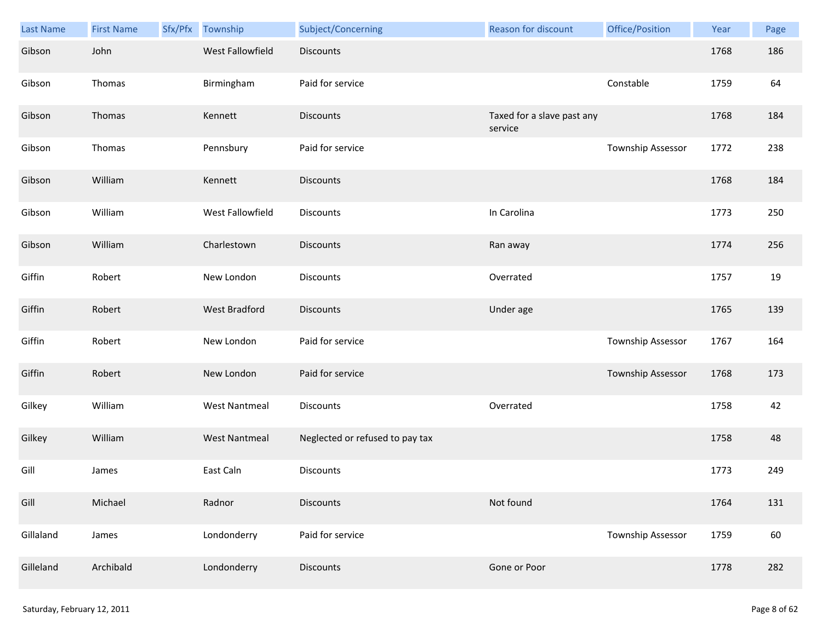| Last Name | <b>First Name</b> | Sfx/Pfx | Township             | Subject/Concerning              | Reason for discount                   | Office/Position   | Year | Page |
|-----------|-------------------|---------|----------------------|---------------------------------|---------------------------------------|-------------------|------|------|
| Gibson    | John              |         | West Fallowfield     | <b>Discounts</b>                |                                       |                   | 1768 | 186  |
| Gibson    | Thomas            |         | Birmingham           | Paid for service                |                                       | Constable         | 1759 | 64   |
| Gibson    | Thomas            |         | Kennett              | <b>Discounts</b>                | Taxed for a slave past any<br>service |                   | 1768 | 184  |
| Gibson    | Thomas            |         | Pennsbury            | Paid for service                |                                       | Township Assessor | 1772 | 238  |
| Gibson    | William           |         | Kennett              | <b>Discounts</b>                |                                       |                   | 1768 | 184  |
| Gibson    | William           |         | West Fallowfield     | Discounts                       | In Carolina                           |                   | 1773 | 250  |
| Gibson    | William           |         | Charlestown          | <b>Discounts</b>                | Ran away                              |                   | 1774 | 256  |
| Giffin    | Robert            |         | New London           | <b>Discounts</b>                | Overrated                             |                   | 1757 | 19   |
| Giffin    | Robert            |         | <b>West Bradford</b> | <b>Discounts</b>                | Under age                             |                   | 1765 | 139  |
| Giffin    | Robert            |         | New London           | Paid for service                |                                       | Township Assessor | 1767 | 164  |
| Giffin    | Robert            |         | New London           | Paid for service                |                                       | Township Assessor | 1768 | 173  |
| Gilkey    | William           |         | <b>West Nantmeal</b> | Discounts                       | Overrated                             |                   | 1758 | 42   |
| Gilkey    | William           |         | <b>West Nantmeal</b> | Neglected or refused to pay tax |                                       |                   | 1758 | 48   |
| Gill      | James             |         | East Caln            | Discounts                       |                                       |                   | 1773 | 249  |
| Gill      | Michael           |         | Radnor               | <b>Discounts</b>                | Not found                             |                   | 1764 | 131  |
| Gillaland | James             |         | Londonderry          | Paid for service                |                                       | Township Assessor | 1759 | 60   |
| Gilleland | Archibald         |         | Londonderry          | Discounts                       | Gone or Poor                          |                   | 1778 | 282  |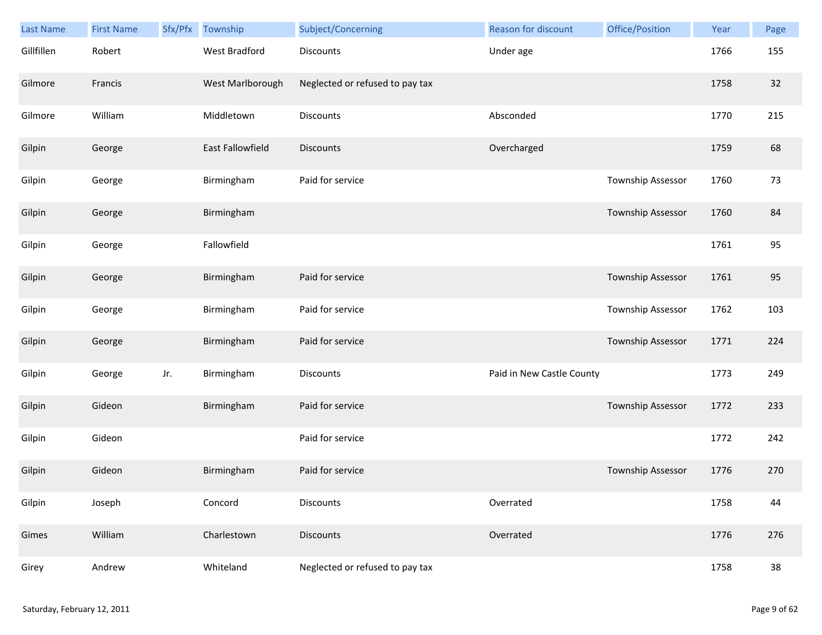| Last Name  | <b>First Name</b> | Sfx/Pfx | Township             | Subject/Concerning              | <b>Reason for discount</b> | Office/Position   | Year | Page |
|------------|-------------------|---------|----------------------|---------------------------------|----------------------------|-------------------|------|------|
| Gillfillen | Robert            |         | <b>West Bradford</b> | <b>Discounts</b>                | Under age                  |                   | 1766 | 155  |
| Gilmore    | Francis           |         | West Marlborough     | Neglected or refused to pay tax |                            |                   | 1758 | 32   |
| Gilmore    | William           |         | Middletown           | Discounts                       | Absconded                  |                   | 1770 | 215  |
| Gilpin     | George            |         | East Fallowfield     | Discounts                       | Overcharged                |                   | 1759 | 68   |
| Gilpin     | George            |         | Birmingham           | Paid for service                |                            | Township Assessor | 1760 | 73   |
| Gilpin     | George            |         | Birmingham           |                                 |                            | Township Assessor | 1760 | 84   |
| Gilpin     | George            |         | Fallowfield          |                                 |                            |                   | 1761 | 95   |
| Gilpin     | George            |         | Birmingham           | Paid for service                |                            | Township Assessor | 1761 | 95   |
| Gilpin     | George            |         | Birmingham           | Paid for service                |                            | Township Assessor | 1762 | 103  |
| Gilpin     | George            |         | Birmingham           | Paid for service                |                            | Township Assessor | 1771 | 224  |
| Gilpin     | George            | Jr.     | Birmingham           | Discounts                       | Paid in New Castle County  |                   | 1773 | 249  |
| Gilpin     | Gideon            |         | Birmingham           | Paid for service                |                            | Township Assessor | 1772 | 233  |
| Gilpin     | Gideon            |         |                      | Paid for service                |                            |                   | 1772 | 242  |
| Gilpin     | Gideon            |         | Birmingham           | Paid for service                |                            | Township Assessor | 1776 | 270  |
| Gilpin     | Joseph            |         | Concord              | <b>Discounts</b>                | Overrated                  |                   | 1758 | 44   |
| Gimes      | William           |         | Charlestown          | <b>Discounts</b>                | Overrated                  |                   | 1776 | 276  |
| Girey      | Andrew            |         | Whiteland            | Neglected or refused to pay tax |                            |                   | 1758 | 38   |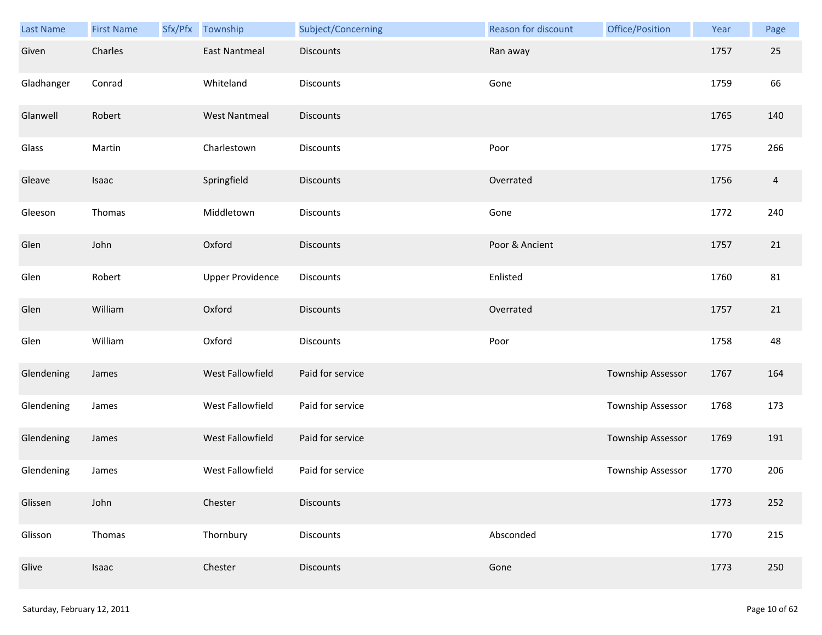| Last Name  | <b>First Name</b> | Sfx/Pfx | Township                | Subject/Concerning | Reason for discount | Office/Position          | Year | Page           |
|------------|-------------------|---------|-------------------------|--------------------|---------------------|--------------------------|------|----------------|
| Given      | Charles           |         | <b>East Nantmeal</b>    | <b>Discounts</b>   | Ran away            |                          | 1757 | 25             |
| Gladhanger | Conrad            |         | Whiteland               | <b>Discounts</b>   | Gone                |                          | 1759 | 66             |
| Glanwell   | Robert            |         | <b>West Nantmeal</b>    | Discounts          |                     |                          | 1765 | 140            |
| Glass      | Martin            |         | Charlestown             | <b>Discounts</b>   | Poor                |                          | 1775 | 266            |
| Gleave     | Isaac             |         | Springfield             | Discounts          | Overrated           |                          | 1756 | $\overline{4}$ |
| Gleeson    | Thomas            |         | Middletown              | Discounts          | Gone                |                          | 1772 | 240            |
| Glen       | John              |         | Oxford                  | <b>Discounts</b>   | Poor & Ancient      |                          | 1757 | 21             |
| Glen       | Robert            |         | <b>Upper Providence</b> | Discounts          | Enlisted            |                          | 1760 | 81             |
| Glen       | William           |         | Oxford                  | <b>Discounts</b>   | Overrated           |                          | 1757 | 21             |
| Glen       | William           |         | Oxford                  | Discounts          | Poor                |                          | 1758 | 48             |
| Glendening | James             |         | West Fallowfield        | Paid for service   |                     | <b>Township Assessor</b> | 1767 | 164            |
| Glendening | James             |         | West Fallowfield        | Paid for service   |                     | Township Assessor        | 1768 | 173            |
| Glendening | James             |         | West Fallowfield        | Paid for service   |                     | Township Assessor        | 1769 | 191            |
| Glendening | James             |         | West Fallowfield        | Paid for service   |                     | Township Assessor        | 1770 | 206            |
| Glissen    | John              |         | Chester                 | <b>Discounts</b>   |                     |                          | 1773 | 252            |
| Glisson    | Thomas            |         | Thornbury               | Discounts          | Absconded           |                          | 1770 | 215            |
| Glive      | Isaac             |         | Chester                 | <b>Discounts</b>   | Gone                |                          | 1773 | 250            |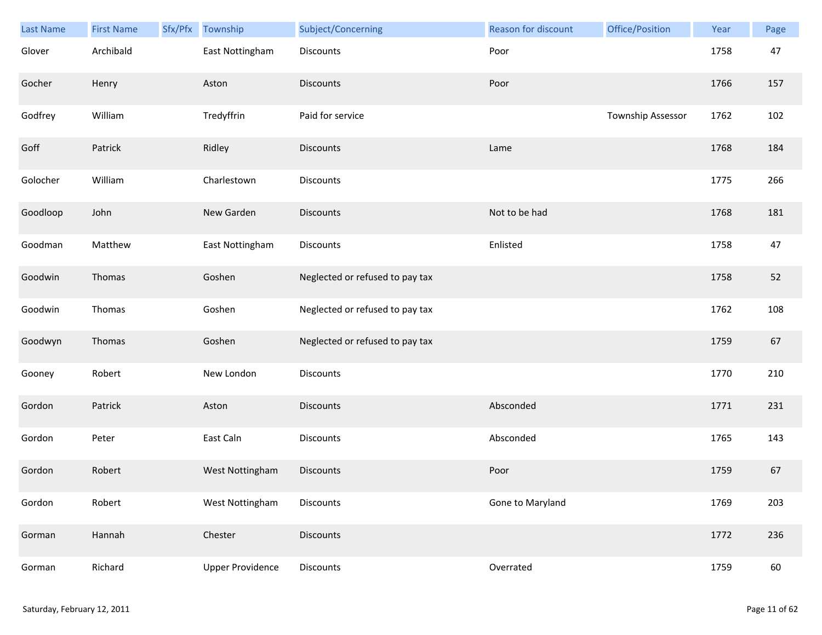| Last Name | <b>First Name</b> | Sfx/Pfx | Township                | Subject/Concerning              | <b>Reason for discount</b> | Office/Position   | Year | Page |
|-----------|-------------------|---------|-------------------------|---------------------------------|----------------------------|-------------------|------|------|
| Glover    | Archibald         |         | East Nottingham         | Discounts                       | Poor                       |                   | 1758 | 47   |
| Gocher    | Henry             |         | Aston                   | <b>Discounts</b>                | Poor                       |                   | 1766 | 157  |
| Godfrey   | William           |         | Tredyffrin              | Paid for service                |                            | Township Assessor | 1762 | 102  |
| Goff      | Patrick           |         | Ridley                  | <b>Discounts</b>                | Lame                       |                   | 1768 | 184  |
| Golocher  | William           |         | Charlestown             | Discounts                       |                            |                   | 1775 | 266  |
| Goodloop  | John              |         | New Garden              | <b>Discounts</b>                | Not to be had              |                   | 1768 | 181  |
| Goodman   | Matthew           |         | East Nottingham         | Discounts                       | Enlisted                   |                   | 1758 | 47   |
| Goodwin   | Thomas            |         | Goshen                  | Neglected or refused to pay tax |                            |                   | 1758 | 52   |
| Goodwin   | Thomas            |         | Goshen                  | Neglected or refused to pay tax |                            |                   | 1762 | 108  |
| Goodwyn   | Thomas            |         | Goshen                  | Neglected or refused to pay tax |                            |                   | 1759 | 67   |
| Gooney    | Robert            |         | New London              | Discounts                       |                            |                   | 1770 | 210  |
| Gordon    | Patrick           |         | Aston                   | <b>Discounts</b>                | Absconded                  |                   | 1771 | 231  |
| Gordon    | Peter             |         | East Caln               | Discounts                       | Absconded                  |                   | 1765 | 143  |
| Gordon    | Robert            |         | West Nottingham         | <b>Discounts</b>                | Poor                       |                   | 1759 | 67   |
| Gordon    | Robert            |         | West Nottingham         | Discounts                       | Gone to Maryland           |                   | 1769 | 203  |
| Gorman    | Hannah            |         | Chester                 | Discounts                       |                            |                   | 1772 | 236  |
| Gorman    | Richard           |         | <b>Upper Providence</b> | Discounts                       | Overrated                  |                   | 1759 | 60   |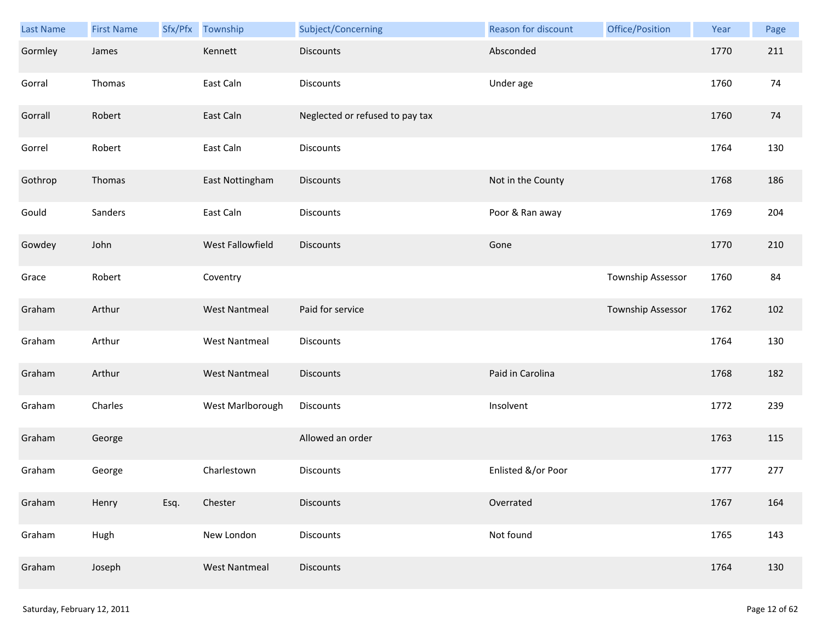| Last Name | <b>First Name</b> |      | Sfx/Pfx Township     | Subject/Concerning              | Reason for discount | Office/Position   | Year | Page |
|-----------|-------------------|------|----------------------|---------------------------------|---------------------|-------------------|------|------|
| Gormley   | James             |      | Kennett              | <b>Discounts</b>                | Absconded           |                   | 1770 | 211  |
| Gorral    | Thomas            |      | East Caln            | Discounts                       | Under age           |                   | 1760 | 74   |
| Gorrall   | Robert            |      | East Caln            | Neglected or refused to pay tax |                     |                   | 1760 | 74   |
| Gorrel    | Robert            |      | East Caln            | <b>Discounts</b>                |                     |                   | 1764 | 130  |
| Gothrop   | Thomas            |      | East Nottingham      | <b>Discounts</b>                | Not in the County   |                   | 1768 | 186  |
| Gould     | Sanders           |      | East Caln            | Discounts                       | Poor & Ran away     |                   | 1769 | 204  |
| Gowdey    | John              |      | West Fallowfield     | <b>Discounts</b>                | Gone                |                   | 1770 | 210  |
| Grace     | Robert            |      | Coventry             |                                 |                     | Township Assessor | 1760 | 84   |
| Graham    | Arthur            |      | <b>West Nantmeal</b> | Paid for service                |                     | Township Assessor | 1762 | 102  |
| Graham    | Arthur            |      | <b>West Nantmeal</b> | Discounts                       |                     |                   | 1764 | 130  |
| Graham    | Arthur            |      | <b>West Nantmeal</b> | <b>Discounts</b>                | Paid in Carolina    |                   | 1768 | 182  |
| Graham    | Charles           |      | West Marlborough     | Discounts                       | Insolvent           |                   | 1772 | 239  |
| Graham    | George            |      |                      | Allowed an order                |                     |                   | 1763 | 115  |
| Graham    | George            |      | Charlestown          | Discounts                       | Enlisted &/or Poor  |                   | 1777 | 277  |
| Graham    | Henry             | Esq. | Chester              | <b>Discounts</b>                | Overrated           |                   | 1767 | 164  |
| Graham    | Hugh              |      | New London           | Discounts                       | Not found           |                   | 1765 | 143  |
| Graham    | Joseph            |      | <b>West Nantmeal</b> | Discounts                       |                     |                   | 1764 | 130  |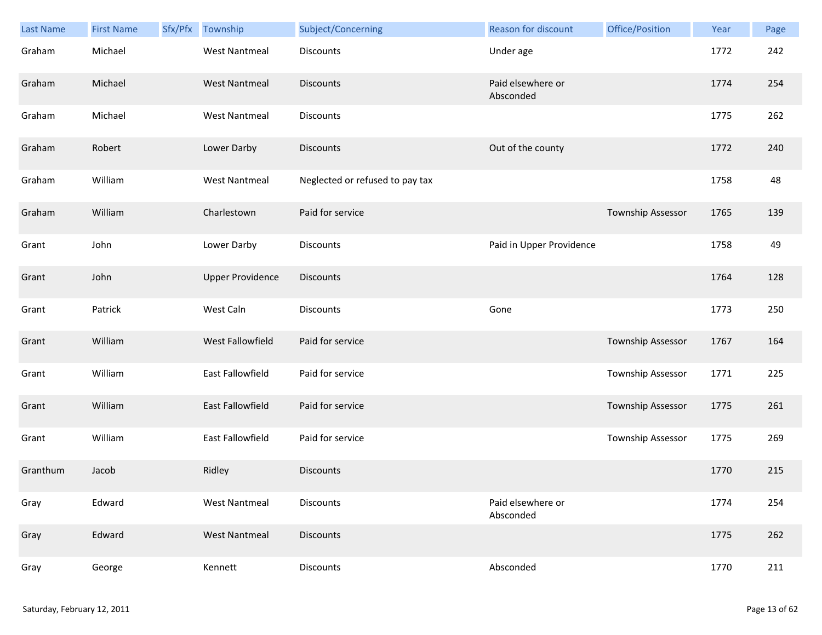| Last Name | <b>First Name</b> | Sfx/Pfx | Township                | Subject/Concerning              | <b>Reason for discount</b>     | Office/Position          | Year | Page |
|-----------|-------------------|---------|-------------------------|---------------------------------|--------------------------------|--------------------------|------|------|
| Graham    | Michael           |         | <b>West Nantmeal</b>    | Discounts                       | Under age                      |                          | 1772 | 242  |
| Graham    | Michael           |         | <b>West Nantmeal</b>    | <b>Discounts</b>                | Paid elsewhere or<br>Absconded |                          | 1774 | 254  |
| Graham    | Michael           |         | <b>West Nantmeal</b>    | Discounts                       |                                |                          | 1775 | 262  |
| Graham    | Robert            |         | Lower Darby             | <b>Discounts</b>                | Out of the county              |                          | 1772 | 240  |
| Graham    | William           |         | <b>West Nantmeal</b>    | Neglected or refused to pay tax |                                |                          | 1758 | 48   |
| Graham    | William           |         | Charlestown             | Paid for service                |                                | <b>Township Assessor</b> | 1765 | 139  |
| Grant     | John              |         | Lower Darby             | Discounts                       | Paid in Upper Providence       |                          | 1758 | 49   |
| Grant     | John              |         | <b>Upper Providence</b> | <b>Discounts</b>                |                                |                          | 1764 | 128  |
| Grant     | Patrick           |         | West Caln               | <b>Discounts</b>                | Gone                           |                          | 1773 | 250  |
| Grant     | William           |         | West Fallowfield        | Paid for service                |                                | Township Assessor        | 1767 | 164  |
| Grant     | William           |         | East Fallowfield        | Paid for service                |                                | <b>Township Assessor</b> | 1771 | 225  |
| Grant     | William           |         | East Fallowfield        | Paid for service                |                                | <b>Township Assessor</b> | 1775 | 261  |
| Grant     | William           |         | East Fallowfield        | Paid for service                |                                | <b>Township Assessor</b> | 1775 | 269  |
| Granthum  | Jacob             |         | Ridley                  | <b>Discounts</b>                |                                |                          | 1770 | 215  |
| Gray      | Edward            |         | <b>West Nantmeal</b>    | Discounts                       | Paid elsewhere or<br>Absconded |                          | 1774 | 254  |
| Gray      | Edward            |         | <b>West Nantmeal</b>    | <b>Discounts</b>                |                                |                          | 1775 | 262  |
| Gray      | George            |         | Kennett                 | Discounts                       | Absconded                      |                          | 1770 | 211  |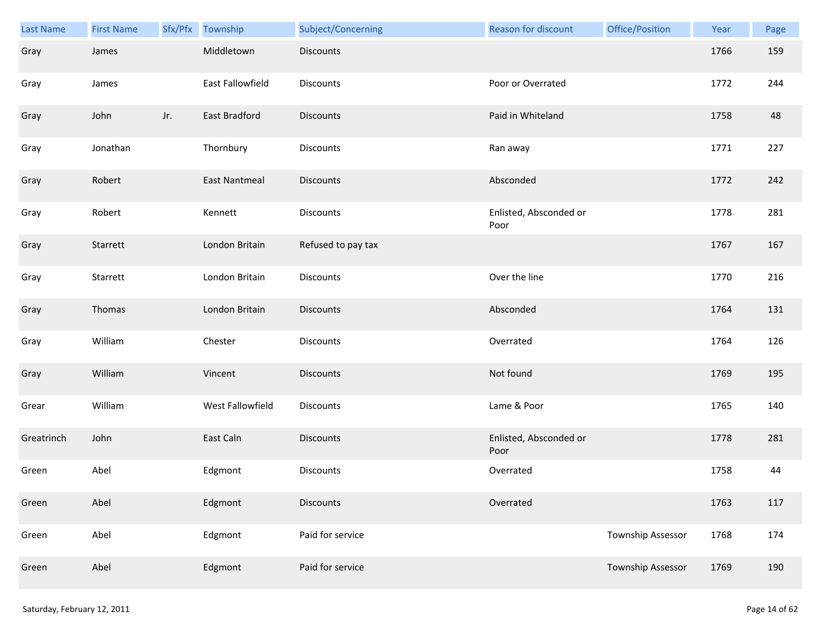| <b>Last Name</b> | <b>First Name</b> | Sfx/Pfx | Township             | Subject/Concerning | <b>Reason for discount</b>     | Office/Position          | Year | Page |
|------------------|-------------------|---------|----------------------|--------------------|--------------------------------|--------------------------|------|------|
| Gray             | James             |         | Middletown           | <b>Discounts</b>   |                                |                          | 1766 | 159  |
| Gray             | James             |         | East Fallowfield     | <b>Discounts</b>   | Poor or Overrated              |                          | 1772 | 244  |
| Gray             | John              | Jr.     | East Bradford        | Discounts          | Paid in Whiteland              |                          | 1758 | 48   |
| Gray             | Jonathan          |         | Thornbury            | <b>Discounts</b>   | Ran away                       |                          | 1771 | 227  |
| Gray             | Robert            |         | <b>East Nantmeal</b> | <b>Discounts</b>   | Absconded                      |                          | 1772 | 242  |
| Gray             | Robert            |         | Kennett              | Discounts          | Enlisted, Absconded or<br>Poor |                          | 1778 | 281  |
| Gray             | Starrett          |         | London Britain       | Refused to pay tax |                                |                          | 1767 | 167  |
| Gray             | Starrett          |         | London Britain       | Discounts          | Over the line                  |                          | 1770 | 216  |
| Gray             | Thomas            |         | London Britain       | <b>Discounts</b>   | Absconded                      |                          | 1764 | 131  |
| Gray             | William           |         | Chester              | Discounts          | Overrated                      |                          | 1764 | 126  |
| Gray             | William           |         | Vincent              | <b>Discounts</b>   | Not found                      |                          | 1769 | 195  |
| Grear            | William           |         | West Fallowfield     | Discounts          | Lame & Poor                    |                          | 1765 | 140  |
| Greatrinch       | John              |         | East Caln            | Discounts          | Enlisted, Absconded or<br>Poor |                          | 1778 | 281  |
| Green            | Abel              |         | Edgmont              | Discounts          | Overrated                      |                          | 1758 | 44   |
| Green            | Abel              |         | Edgmont              | <b>Discounts</b>   | Overrated                      |                          | 1763 | 117  |
| Green            | Abel              |         | Edgmont              | Paid for service   |                                | <b>Township Assessor</b> | 1768 | 174  |
| Green            | Abel              |         | Edgmont              | Paid for service   |                                | Township Assessor        | 1769 | 190  |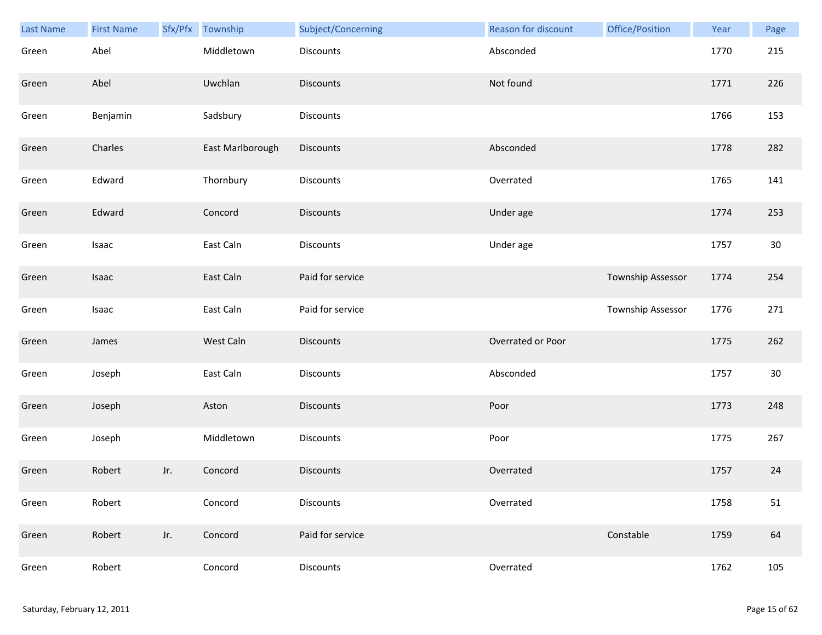| Last Name | <b>First Name</b> |     | Sfx/Pfx Township | Subject/Concerning | <b>Reason for discount</b> | Office/Position   | Year | Page   |
|-----------|-------------------|-----|------------------|--------------------|----------------------------|-------------------|------|--------|
| Green     | Abel              |     | Middletown       | Discounts          | Absconded                  |                   | 1770 | 215    |
| Green     | Abel              |     | Uwchlan          | <b>Discounts</b>   | Not found                  |                   | 1771 | 226    |
| Green     | Benjamin          |     | Sadsbury         | Discounts          |                            |                   | 1766 | 153    |
| Green     | Charles           |     | East Marlborough | <b>Discounts</b>   | Absconded                  |                   | 1778 | 282    |
| Green     | Edward            |     | Thornbury        | Discounts          | Overrated                  |                   | 1765 | 141    |
| Green     | Edward            |     | Concord          | <b>Discounts</b>   | Under age                  |                   | 1774 | 253    |
| Green     | Isaac             |     | East Caln        | Discounts          | Under age                  |                   | 1757 | 30     |
| Green     | Isaac             |     | East Caln        | Paid for service   |                            | Township Assessor | 1774 | 254    |
| Green     | Isaac             |     | East Caln        | Paid for service   |                            | Township Assessor | 1776 | 271    |
| Green     | James             |     | West Caln        | <b>Discounts</b>   | Overrated or Poor          |                   | 1775 | 262    |
| Green     | Joseph            |     | East Caln        | <b>Discounts</b>   | Absconded                  |                   | 1757 | $30\,$ |
| Green     | Joseph            |     | Aston            | <b>Discounts</b>   | Poor                       |                   | 1773 | 248    |
| Green     | Joseph            |     | Middletown       | Discounts          | Poor                       |                   | 1775 | 267    |
| Green     | Robert            | Jr. | Concord          | <b>Discounts</b>   | Overrated                  |                   | 1757 | 24     |
| Green     | Robert            |     | Concord          | <b>Discounts</b>   | Overrated                  |                   | 1758 | 51     |
| Green     | Robert            | Jr. | Concord          | Paid for service   |                            | Constable         | 1759 | 64     |
| Green     | Robert            |     | Concord          | Discounts          | Overrated                  |                   | 1762 | 105    |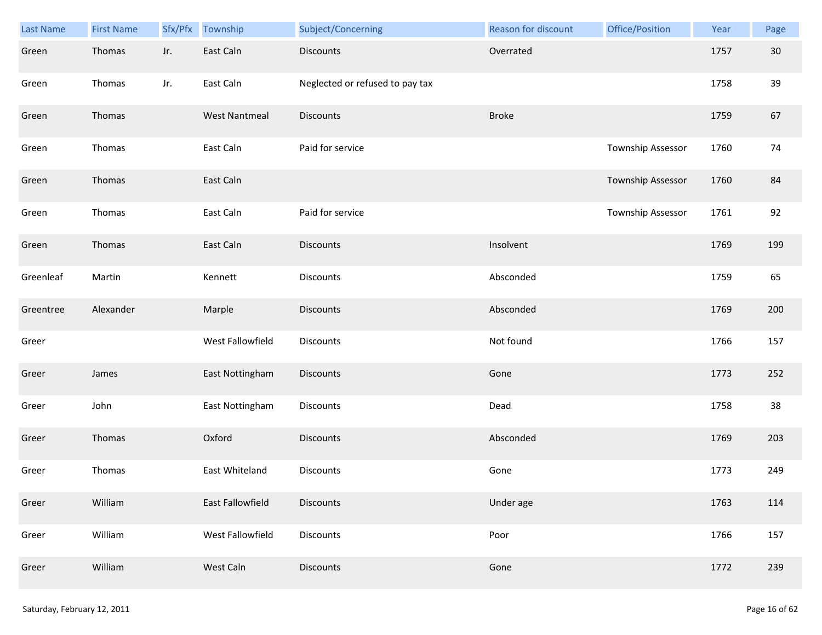| Last Name | <b>First Name</b> | Sfx/Pfx | Township             | Subject/Concerning              | Reason for discount | Office/Position   | Year | Page |
|-----------|-------------------|---------|----------------------|---------------------------------|---------------------|-------------------|------|------|
| Green     | Thomas            | Jr.     | East Caln            | <b>Discounts</b>                | Overrated           |                   | 1757 | 30   |
| Green     | Thomas            | Jr.     | East Caln            | Neglected or refused to pay tax |                     |                   | 1758 | 39   |
| Green     | Thomas            |         | <b>West Nantmeal</b> | <b>Discounts</b>                | <b>Broke</b>        |                   | 1759 | 67   |
| Green     | Thomas            |         | East Caln            | Paid for service                |                     | Township Assessor | 1760 | 74   |
| Green     | Thomas            |         | East Caln            |                                 |                     | Township Assessor | 1760 | 84   |
| Green     | Thomas            |         | East Caln            | Paid for service                |                     | Township Assessor | 1761 | 92   |
| Green     | Thomas            |         | East Caln            | Discounts                       | Insolvent           |                   | 1769 | 199  |
| Greenleaf | Martin            |         | Kennett              | Discounts                       | Absconded           |                   | 1759 | 65   |
| Greentree | Alexander         |         | Marple               | <b>Discounts</b>                | Absconded           |                   | 1769 | 200  |
| Greer     |                   |         | West Fallowfield     | Discounts                       | Not found           |                   | 1766 | 157  |
| Greer     | James             |         | East Nottingham      | Discounts                       | Gone                |                   | 1773 | 252  |
| Greer     | John              |         | East Nottingham      | Discounts                       | Dead                |                   | 1758 | 38   |
| Greer     | Thomas            |         | Oxford               | <b>Discounts</b>                | Absconded           |                   | 1769 | 203  |
| Greer     | Thomas            |         | East Whiteland       | Discounts                       | Gone                |                   | 1773 | 249  |
| Greer     | William           |         | East Fallowfield     | <b>Discounts</b>                | Under age           |                   | 1763 | 114  |
| Greer     | William           |         | West Fallowfield     | <b>Discounts</b>                | Poor                |                   | 1766 | 157  |
| Greer     | William           |         | West Caln            | <b>Discounts</b>                | Gone                |                   | 1772 | 239  |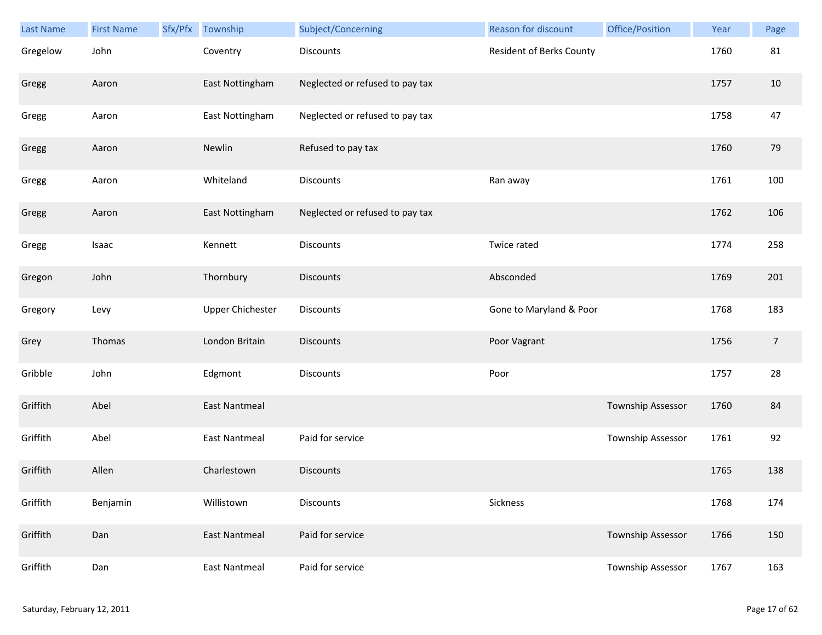| <b>Last Name</b> | <b>First Name</b> | Sfx/Pfx | Township                | Subject/Concerning              | <b>Reason for discount</b>      | Office/Position   | Year | Page           |
|------------------|-------------------|---------|-------------------------|---------------------------------|---------------------------------|-------------------|------|----------------|
| Gregelow         | John              |         | Coventry                | <b>Discounts</b>                | <b>Resident of Berks County</b> |                   | 1760 | 81             |
| Gregg            | Aaron             |         | East Nottingham         | Neglected or refused to pay tax |                                 |                   | 1757 | 10             |
| Gregg            | Aaron             |         | East Nottingham         | Neglected or refused to pay tax |                                 |                   | 1758 | 47             |
| Gregg            | Aaron             |         | Newlin                  | Refused to pay tax              |                                 |                   | 1760 | 79             |
| Gregg            | Aaron             |         | Whiteland               | Discounts                       | Ran away                        |                   | 1761 | 100            |
| Gregg            | Aaron             |         | East Nottingham         | Neglected or refused to pay tax |                                 |                   | 1762 | 106            |
| Gregg            | Isaac             |         | Kennett                 | Discounts                       | Twice rated                     |                   | 1774 | 258            |
| Gregon           | John              |         | Thornbury               | Discounts                       | Absconded                       |                   | 1769 | 201            |
| Gregory          | Levy              |         | <b>Upper Chichester</b> | <b>Discounts</b>                | Gone to Maryland & Poor         |                   | 1768 | 183            |
| Grey             | Thomas            |         | London Britain          | <b>Discounts</b>                | Poor Vagrant                    |                   | 1756 | $\overline{7}$ |
| Gribble          | John              |         | Edgmont                 | <b>Discounts</b>                | Poor                            |                   | 1757 | 28             |
| Griffith         | Abel              |         | <b>East Nantmeal</b>    |                                 |                                 | Township Assessor | 1760 | 84             |
| Griffith         | Abel              |         | <b>East Nantmeal</b>    | Paid for service                |                                 | Township Assessor | 1761 | 92             |
| Griffith         | Allen             |         | Charlestown             | <b>Discounts</b>                |                                 |                   | 1765 | 138            |
| Griffith         | Benjamin          |         | Willistown              | <b>Discounts</b>                | Sickness                        |                   | 1768 | 174            |
| Griffith         | Dan               |         | <b>East Nantmeal</b>    | Paid for service                |                                 | Township Assessor | 1766 | 150            |
| Griffith         | Dan               |         | <b>East Nantmeal</b>    | Paid for service                |                                 | Township Assessor | 1767 | 163            |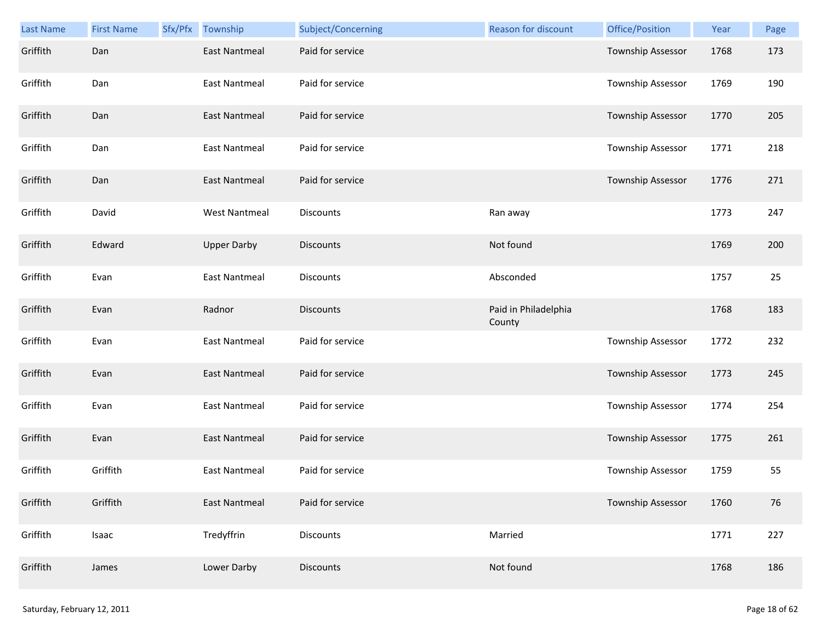| <b>Last Name</b> | <b>First Name</b> | Sfx/Pfx | Township             | Subject/Concerning | Reason for discount            | Office/Position          | Year | Page |
|------------------|-------------------|---------|----------------------|--------------------|--------------------------------|--------------------------|------|------|
| Griffith         | Dan               |         | <b>East Nantmeal</b> | Paid for service   |                                | Township Assessor        | 1768 | 173  |
| Griffith         | Dan               |         | <b>East Nantmeal</b> | Paid for service   |                                | Township Assessor        | 1769 | 190  |
| Griffith         | Dan               |         | <b>East Nantmeal</b> | Paid for service   |                                | Township Assessor        | 1770 | 205  |
| Griffith         | Dan               |         | <b>East Nantmeal</b> | Paid for service   |                                | Township Assessor        | 1771 | 218  |
| Griffith         | Dan               |         | <b>East Nantmeal</b> | Paid for service   |                                | Township Assessor        | 1776 | 271  |
| Griffith         | David             |         | <b>West Nantmeal</b> | <b>Discounts</b>   | Ran away                       |                          | 1773 | 247  |
| Griffith         | Edward            |         | <b>Upper Darby</b>   | <b>Discounts</b>   | Not found                      |                          | 1769 | 200  |
| Griffith         | Evan              |         | <b>East Nantmeal</b> | Discounts          | Absconded                      |                          | 1757 | 25   |
| Griffith         | Evan              |         | Radnor               | <b>Discounts</b>   | Paid in Philadelphia<br>County |                          | 1768 | 183  |
| Griffith         | Evan              |         | <b>East Nantmeal</b> | Paid for service   |                                | Township Assessor        | 1772 | 232  |
| Griffith         | Evan              |         | <b>East Nantmeal</b> | Paid for service   |                                | Township Assessor        | 1773 | 245  |
| Griffith         | Evan              |         | <b>East Nantmeal</b> | Paid for service   |                                | <b>Township Assessor</b> | 1774 | 254  |
| Griffith         | Evan              |         | <b>East Nantmeal</b> | Paid for service   |                                | Township Assessor        | 1775 | 261  |
| Griffith         | Griffith          |         | East Nantmeal        | Paid for service   |                                | Township Assessor        | 1759 | 55   |
| Griffith         | Griffith          |         | East Nantmeal        | Paid for service   |                                | Township Assessor        | 1760 | 76   |
| Griffith         | Isaac             |         | Tredyffrin           | Discounts          | Married                        |                          | 1771 | 227  |
| Griffith         | James             |         | Lower Darby          | Discounts          | Not found                      |                          | 1768 | 186  |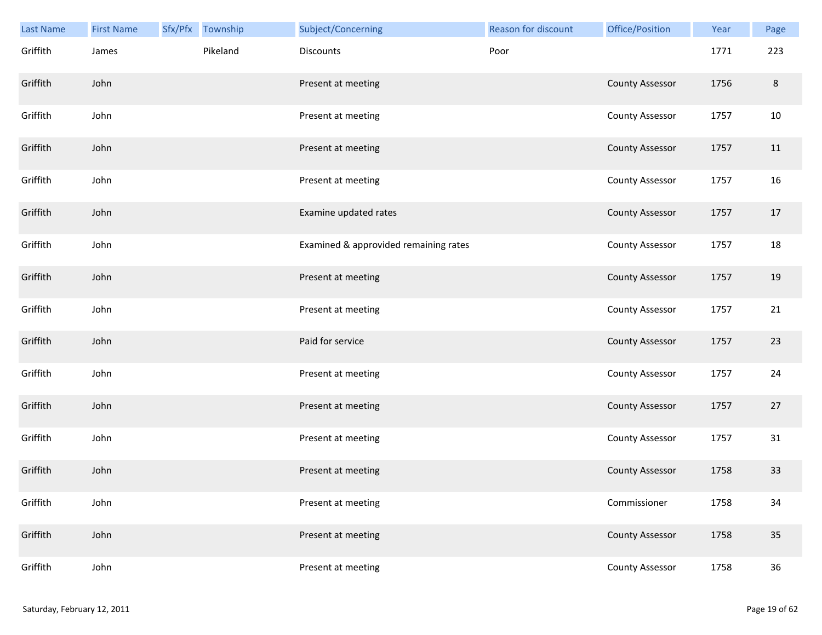| Last Name | <b>First Name</b> | Sfx/Pfx | Township | Subject/Concerning                    | <b>Reason for discount</b> | Office/Position        | Year | Page    |
|-----------|-------------------|---------|----------|---------------------------------------|----------------------------|------------------------|------|---------|
| Griffith  | James             |         | Pikeland | Discounts                             | Poor                       |                        | 1771 | 223     |
| Griffith  | John              |         |          | Present at meeting                    |                            | <b>County Assessor</b> | 1756 | $\,8\,$ |
| Griffith  | John              |         |          | Present at meeting                    |                            | <b>County Assessor</b> | 1757 | 10      |
| Griffith  | John              |         |          | Present at meeting                    |                            | <b>County Assessor</b> | 1757 | 11      |
| Griffith  | John              |         |          | Present at meeting                    |                            | <b>County Assessor</b> | 1757 | 16      |
| Griffith  | John              |         |          | Examine updated rates                 |                            | <b>County Assessor</b> | 1757 | $17\,$  |
| Griffith  | John              |         |          | Examined & approvided remaining rates |                            | <b>County Assessor</b> | 1757 | 18      |
| Griffith  | John              |         |          | Present at meeting                    |                            | <b>County Assessor</b> | 1757 | 19      |
| Griffith  | John              |         |          | Present at meeting                    |                            | <b>County Assessor</b> | 1757 | 21      |
| Griffith  | John              |         |          | Paid for service                      |                            | <b>County Assessor</b> | 1757 | 23      |
| Griffith  | John              |         |          | Present at meeting                    |                            | <b>County Assessor</b> | 1757 | 24      |
| Griffith  | John              |         |          | Present at meeting                    |                            | <b>County Assessor</b> | 1757 | 27      |
| Griffith  | John              |         |          | Present at meeting                    |                            | <b>County Assessor</b> | 1757 | 31      |
| Griffith  | John              |         |          | Present at meeting                    |                            | <b>County Assessor</b> | 1758 | 33      |
| Griffith  | John              |         |          | Present at meeting                    |                            | Commissioner           | 1758 | 34      |
| Griffith  | John              |         |          | Present at meeting                    |                            | <b>County Assessor</b> | 1758 | 35      |
| Griffith  | John              |         |          | Present at meeting                    |                            | <b>County Assessor</b> | 1758 | $36\,$  |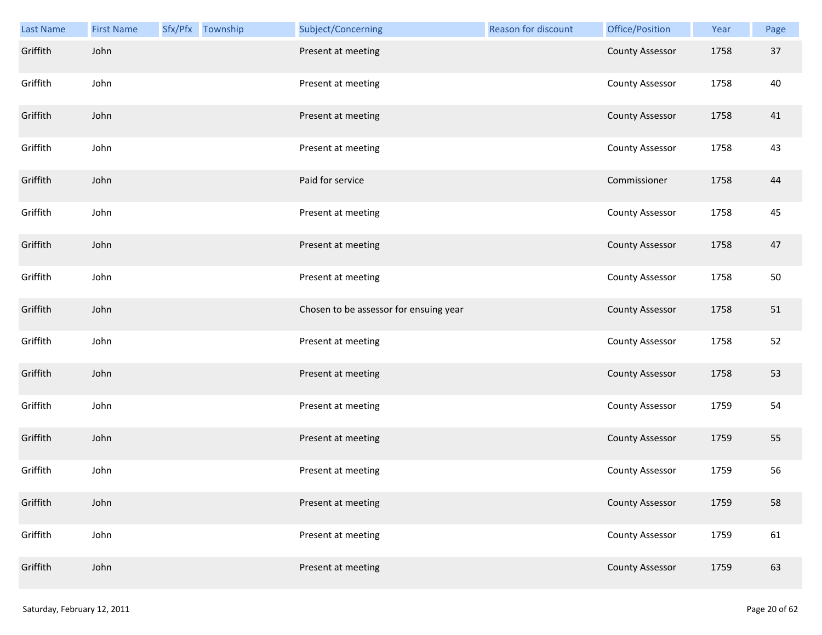| Last Name | <b>First Name</b> | Sfx/Pfx Township | Subject/Concerning                     | Reason for discount | Office/Position        | Year | Page |
|-----------|-------------------|------------------|----------------------------------------|---------------------|------------------------|------|------|
| Griffith  | John              |                  | Present at meeting                     |                     | <b>County Assessor</b> | 1758 | 37   |
| Griffith  | John              |                  | Present at meeting                     |                     | <b>County Assessor</b> | 1758 | 40   |
| Griffith  | John              |                  | Present at meeting                     |                     | <b>County Assessor</b> | 1758 | 41   |
| Griffith  | John              |                  | Present at meeting                     |                     | <b>County Assessor</b> | 1758 | 43   |
| Griffith  | John              |                  | Paid for service                       |                     | Commissioner           | 1758 | 44   |
| Griffith  | John              |                  | Present at meeting                     |                     | County Assessor        | 1758 | 45   |
| Griffith  | John              |                  | Present at meeting                     |                     | <b>County Assessor</b> | 1758 | 47   |
| Griffith  | John              |                  | Present at meeting                     |                     | <b>County Assessor</b> | 1758 | 50   |
| Griffith  | John              |                  | Chosen to be assessor for ensuing year |                     | <b>County Assessor</b> | 1758 | 51   |
| Griffith  | John              |                  | Present at meeting                     |                     | County Assessor        | 1758 | 52   |
| Griffith  | John              |                  | Present at meeting                     |                     | <b>County Assessor</b> | 1758 | 53   |
| Griffith  | John              |                  | Present at meeting                     |                     | <b>County Assessor</b> | 1759 | 54   |
| Griffith  | John              |                  | Present at meeting                     |                     | <b>County Assessor</b> | 1759 | 55   |
| Griffith  | John              |                  | Present at meeting                     |                     | <b>County Assessor</b> | 1759 | 56   |
| Griffith  | John              |                  | Present at meeting                     |                     | <b>County Assessor</b> | 1759 | 58   |
| Griffith  | John              |                  | Present at meeting                     |                     | <b>County Assessor</b> | 1759 | 61   |
| Griffith  | John              |                  | Present at meeting                     |                     | <b>County Assessor</b> | 1759 | 63   |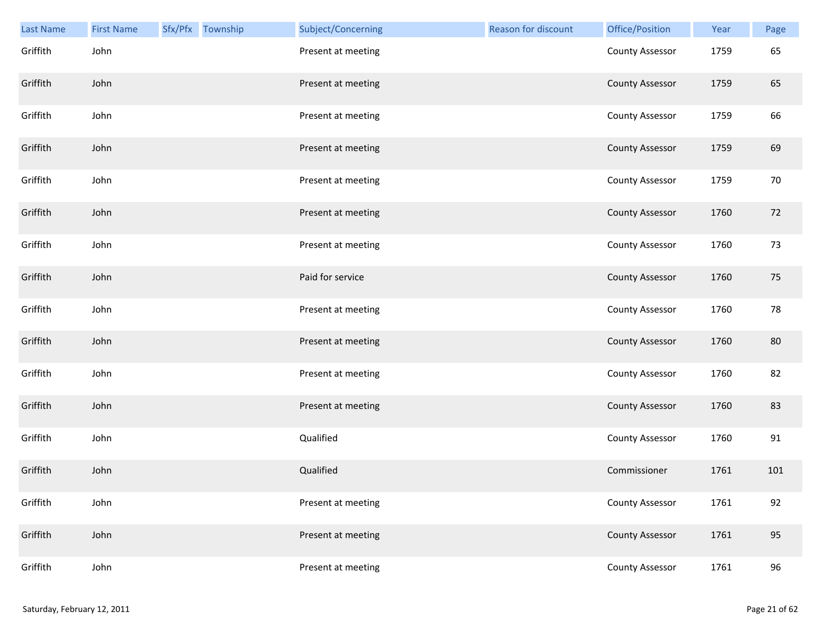| Last Name | <b>First Name</b> | Sfx/Pfx Township | Subject/Concerning | <b>Reason for discount</b> | Office/Position        | Year | Page   |
|-----------|-------------------|------------------|--------------------|----------------------------|------------------------|------|--------|
| Griffith  | John              |                  | Present at meeting |                            | County Assessor        | 1759 | 65     |
| Griffith  | John              |                  | Present at meeting |                            | <b>County Assessor</b> | 1759 | 65     |
| Griffith  | John              |                  | Present at meeting |                            | <b>County Assessor</b> | 1759 | 66     |
| Griffith  | John              |                  | Present at meeting |                            | <b>County Assessor</b> | 1759 | 69     |
| Griffith  | John              |                  | Present at meeting |                            | County Assessor        | 1759 | $70\,$ |
| Griffith  | John              |                  | Present at meeting |                            | <b>County Assessor</b> | 1760 | 72     |
| Griffith  | John              |                  | Present at meeting |                            | <b>County Assessor</b> | 1760 | 73     |
| Griffith  | John              |                  | Paid for service   |                            | <b>County Assessor</b> | 1760 | 75     |
| Griffith  | John              |                  | Present at meeting |                            | County Assessor        | 1760 | 78     |
| Griffith  | John              |                  | Present at meeting |                            | <b>County Assessor</b> | 1760 | 80     |
| Griffith  | John              |                  | Present at meeting |                            | <b>County Assessor</b> | 1760 | 82     |
| Griffith  | John              |                  | Present at meeting |                            | <b>County Assessor</b> | 1760 | 83     |
| Griffith  | John              |                  | Qualified          |                            | <b>County Assessor</b> | 1760 | 91     |
| Griffith  | John              |                  | Qualified          |                            | Commissioner           | 1761 | 101    |
| Griffith  | John              |                  | Present at meeting |                            | County Assessor        | 1761 | 92     |
| Griffith  | John              |                  | Present at meeting |                            | <b>County Assessor</b> | 1761 | 95     |
| Griffith  | John              |                  | Present at meeting |                            | <b>County Assessor</b> | 1761 | 96     |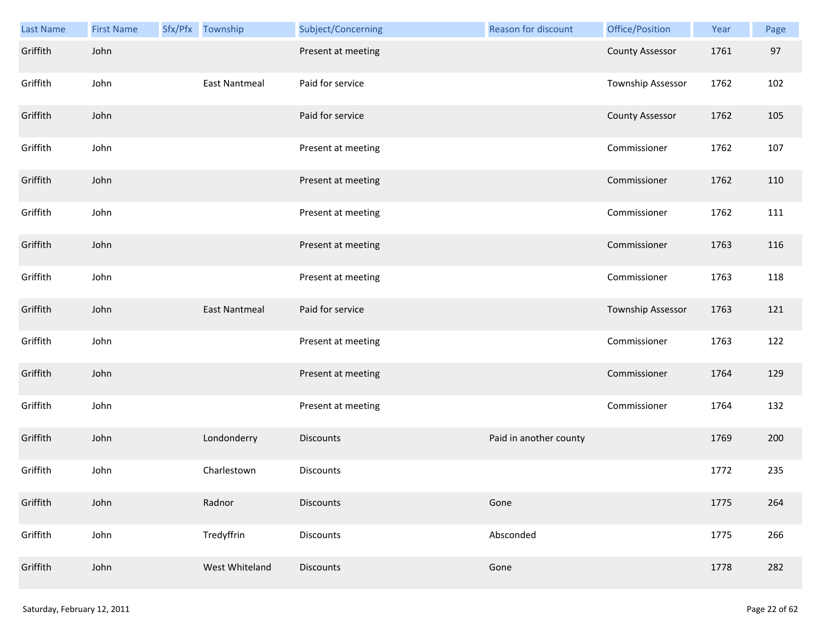| Last Name | <b>First Name</b> | Sfx/Pfx Township     | Subject/Concerning | Reason for discount    | Office/Position          | Year | Page |
|-----------|-------------------|----------------------|--------------------|------------------------|--------------------------|------|------|
| Griffith  | John              |                      | Present at meeting |                        | <b>County Assessor</b>   | 1761 | 97   |
| Griffith  | John              | <b>East Nantmeal</b> | Paid for service   |                        | Township Assessor        | 1762 | 102  |
| Griffith  | John              |                      | Paid for service   |                        | <b>County Assessor</b>   | 1762 | 105  |
| Griffith  | John              |                      | Present at meeting |                        | Commissioner             | 1762 | 107  |
| Griffith  | John              |                      | Present at meeting |                        | Commissioner             | 1762 | 110  |
| Griffith  | John              |                      | Present at meeting |                        | Commissioner             | 1762 | 111  |
| Griffith  | John              |                      | Present at meeting |                        | Commissioner             | 1763 | 116  |
| Griffith  | John              |                      | Present at meeting |                        | Commissioner             | 1763 | 118  |
| Griffith  | John              | East Nantmeal        | Paid for service   |                        | <b>Township Assessor</b> | 1763 | 121  |
| Griffith  | John              |                      | Present at meeting |                        | Commissioner             | 1763 | 122  |
| Griffith  | John              |                      | Present at meeting |                        | Commissioner             | 1764 | 129  |
| Griffith  | John              |                      | Present at meeting |                        | Commissioner             | 1764 | 132  |
| Griffith  | John              | Londonderry          | <b>Discounts</b>   | Paid in another county |                          | 1769 | 200  |
| Griffith  | John              | Charlestown          | Discounts          |                        |                          | 1772 | 235  |
| Griffith  | John              | Radnor               | <b>Discounts</b>   | Gone                   |                          | 1775 | 264  |
| Griffith  | John              | Tredyffrin           | <b>Discounts</b>   | Absconded              |                          | 1775 | 266  |
| Griffith  | John              | West Whiteland       | Discounts          | Gone                   |                          | 1778 | 282  |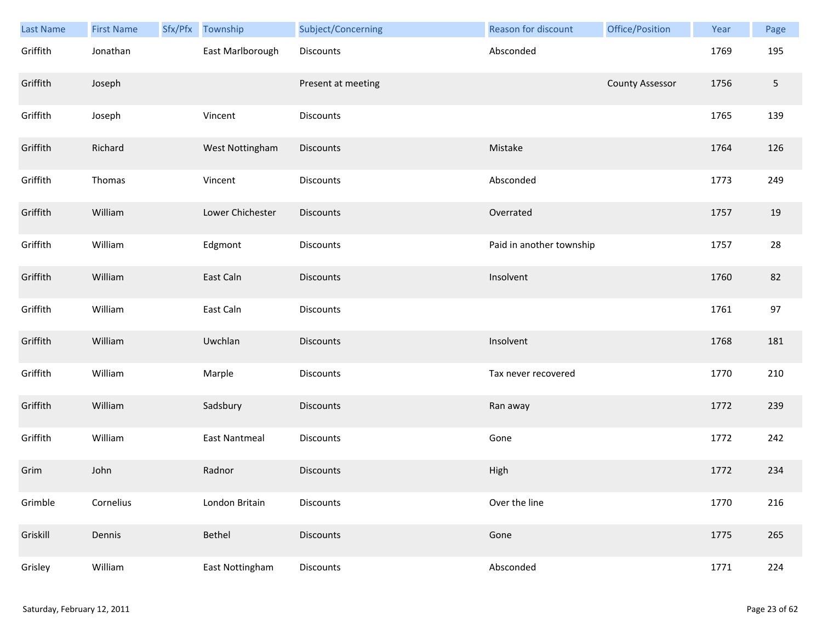| <b>Last Name</b> | <b>First Name</b> | Sfx/Pfx | Township             | Subject/Concerning | Reason for discount      | Office/Position        | Year | Page            |
|------------------|-------------------|---------|----------------------|--------------------|--------------------------|------------------------|------|-----------------|
| Griffith         | Jonathan          |         | East Marlborough     | Discounts          | Absconded                |                        | 1769 | 195             |
| Griffith         | Joseph            |         |                      | Present at meeting |                          | <b>County Assessor</b> | 1756 | $5\phantom{.0}$ |
| Griffith         | Joseph            |         | Vincent              | Discounts          |                          |                        | 1765 | 139             |
| Griffith         | Richard           |         | West Nottingham      | Discounts          | Mistake                  |                        | 1764 | 126             |
| Griffith         | Thomas            |         | Vincent              | Discounts          | Absconded                |                        | 1773 | 249             |
| Griffith         | William           |         | Lower Chichester     | <b>Discounts</b>   | Overrated                |                        | 1757 | 19              |
| Griffith         | William           |         | Edgmont              | Discounts          | Paid in another township |                        | 1757 | 28              |
| Griffith         | William           |         | East Caln            | <b>Discounts</b>   | Insolvent                |                        | 1760 | 82              |
| Griffith         | William           |         | East Caln            | Discounts          |                          |                        | 1761 | 97              |
| Griffith         | William           |         | Uwchlan              | <b>Discounts</b>   | Insolvent                |                        | 1768 | 181             |
| Griffith         | William           |         | Marple               | Discounts          | Tax never recovered      |                        | 1770 | 210             |
| Griffith         | William           |         | Sadsbury             | <b>Discounts</b>   | Ran away                 |                        | 1772 | 239             |
| Griffith         | William           |         | <b>East Nantmeal</b> | Discounts          | Gone                     |                        | 1772 | 242             |
| Grim             | John              |         | Radnor               | Discounts          | High                     |                        | 1772 | 234             |
| Grimble          | Cornelius         |         | London Britain       | Discounts          | Over the line            |                        | 1770 | 216             |
| Griskill         | Dennis            |         | Bethel               | <b>Discounts</b>   | Gone                     |                        | 1775 | 265             |
| Grisley          | William           |         | East Nottingham      | Discounts          | Absconded                |                        | 1771 | 224             |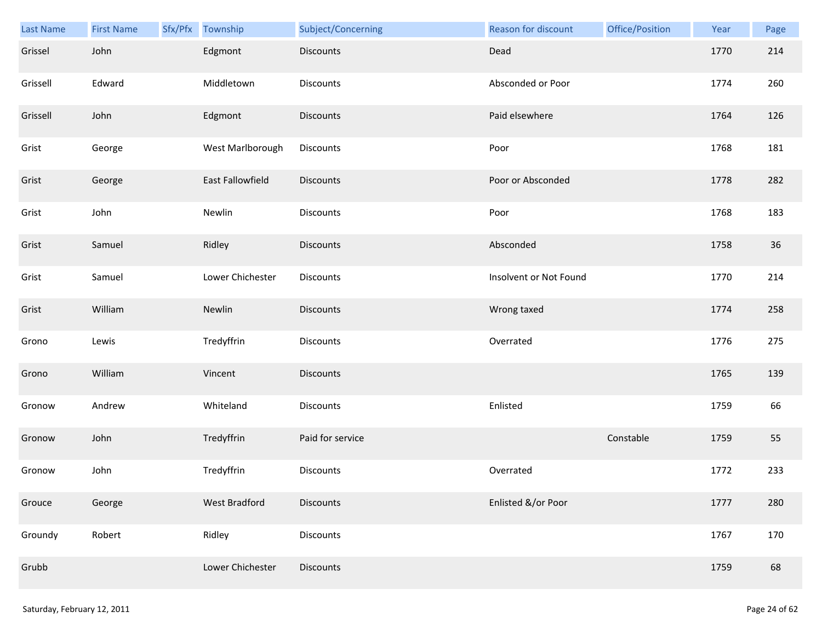| Last Name | <b>First Name</b> | Sfx/Pfx | Township             | Subject/Concerning | Reason for discount    | Office/Position | Year | Page |
|-----------|-------------------|---------|----------------------|--------------------|------------------------|-----------------|------|------|
| Grissel   | John              |         | Edgmont              | <b>Discounts</b>   | Dead                   |                 | 1770 | 214  |
| Grissell  | Edward            |         | Middletown           | <b>Discounts</b>   | Absconded or Poor      |                 | 1774 | 260  |
| Grissell  | John              |         | Edgmont              | <b>Discounts</b>   | Paid elsewhere         |                 | 1764 | 126  |
| Grist     | George            |         | West Marlborough     | Discounts          | Poor                   |                 | 1768 | 181  |
| Grist     | George            |         | East Fallowfield     | <b>Discounts</b>   | Poor or Absconded      |                 | 1778 | 282  |
| Grist     | John              |         | Newlin               | <b>Discounts</b>   | Poor                   |                 | 1768 | 183  |
| Grist     | Samuel            |         | Ridley               | <b>Discounts</b>   | Absconded              |                 | 1758 | 36   |
| Grist     | Samuel            |         | Lower Chichester     | Discounts          | Insolvent or Not Found |                 | 1770 | 214  |
| Grist     | William           |         | Newlin               | <b>Discounts</b>   | Wrong taxed            |                 | 1774 | 258  |
| Grono     | Lewis             |         | Tredyffrin           | Discounts          | Overrated              |                 | 1776 | 275  |
| Grono     | William           |         | Vincent              | <b>Discounts</b>   |                        |                 | 1765 | 139  |
| Gronow    | Andrew            |         | Whiteland            | Discounts          | Enlisted               |                 | 1759 | 66   |
| Gronow    | John              |         | Tredyffrin           | Paid for service   |                        | Constable       | 1759 | 55   |
| Gronow    | John              |         | Tredyffrin           | <b>Discounts</b>   | Overrated              |                 | 1772 | 233  |
| Grouce    | George            |         | <b>West Bradford</b> | <b>Discounts</b>   | Enlisted &/or Poor     |                 | 1777 | 280  |
| Groundy   | Robert            |         | Ridley               | Discounts          |                        |                 | 1767 | 170  |
| Grubb     |                   |         | Lower Chichester     | Discounts          |                        |                 | 1759 | 68   |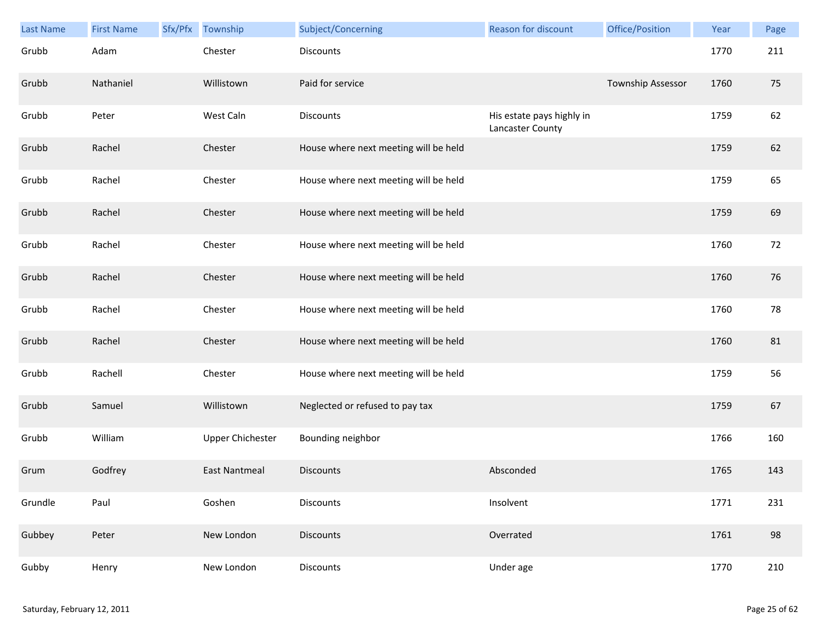| <b>Last Name</b> | <b>First Name</b> | Sfx/Pfx | Township                | Subject/Concerning                    | <b>Reason for discount</b>                    | Office/Position   | Year | Page |
|------------------|-------------------|---------|-------------------------|---------------------------------------|-----------------------------------------------|-------------------|------|------|
| Grubb            | Adam              |         | Chester                 | Discounts                             |                                               |                   | 1770 | 211  |
| Grubb            | Nathaniel         |         | Willistown              | Paid for service                      |                                               | Township Assessor | 1760 | 75   |
| Grubb            | Peter             |         | West Caln               | Discounts                             | His estate pays highly in<br>Lancaster County |                   | 1759 | 62   |
| Grubb            | Rachel            |         | Chester                 | House where next meeting will be held |                                               |                   | 1759 | 62   |
| Grubb            | Rachel            |         | Chester                 | House where next meeting will be held |                                               |                   | 1759 | 65   |
| Grubb            | Rachel            |         | Chester                 | House where next meeting will be held |                                               |                   | 1759 | 69   |
| Grubb            | Rachel            |         | Chester                 | House where next meeting will be held |                                               |                   | 1760 | 72   |
| Grubb            | Rachel            |         | Chester                 | House where next meeting will be held |                                               |                   | 1760 | 76   |
| Grubb            | Rachel            |         | Chester                 | House where next meeting will be held |                                               |                   | 1760 | 78   |
| Grubb            | Rachel            |         | Chester                 | House where next meeting will be held |                                               |                   | 1760 | 81   |
| Grubb            | Rachell           |         | Chester                 | House where next meeting will be held |                                               |                   | 1759 | 56   |
| Grubb            | Samuel            |         | Willistown              | Neglected or refused to pay tax       |                                               |                   | 1759 | 67   |
| Grubb            | William           |         | <b>Upper Chichester</b> | Bounding neighbor                     |                                               |                   | 1766 | 160  |
| Grum             | Godfrey           |         | <b>East Nantmeal</b>    | <b>Discounts</b>                      | Absconded                                     |                   | 1765 | 143  |
| Grundle          | Paul              |         | Goshen                  | <b>Discounts</b>                      | Insolvent                                     |                   | 1771 | 231  |
| Gubbey           | Peter             |         | New London              | <b>Discounts</b>                      | Overrated                                     |                   | 1761 | 98   |
| Gubby            | Henry             |         | New London              | Discounts                             | Under age                                     |                   | 1770 | 210  |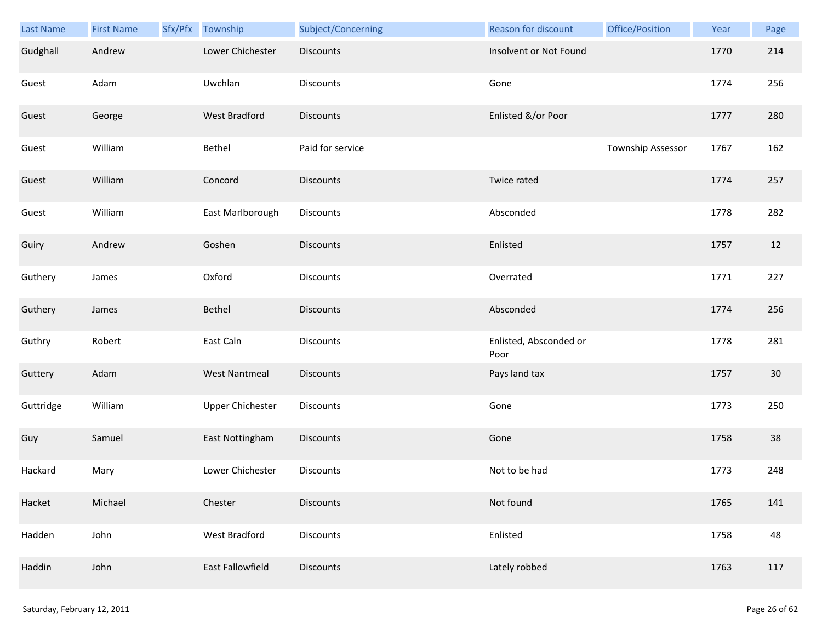| Last Name | <b>First Name</b> | Sfx/Pfx Township        | Subject/Concerning | Reason for discount            | Office/Position   | Year | Page |
|-----------|-------------------|-------------------------|--------------------|--------------------------------|-------------------|------|------|
| Gudghall  | Andrew            | Lower Chichester        | <b>Discounts</b>   | Insolvent or Not Found         |                   | 1770 | 214  |
| Guest     | Adam              | Uwchlan                 | Discounts          | Gone                           |                   | 1774 | 256  |
| Guest     | George            | West Bradford           | <b>Discounts</b>   | Enlisted &/or Poor             |                   | 1777 | 280  |
| Guest     | William           | Bethel                  | Paid for service   |                                | Township Assessor | 1767 | 162  |
| Guest     | William           | Concord                 | <b>Discounts</b>   | Twice rated                    |                   | 1774 | 257  |
| Guest     | William           | East Marlborough        | Discounts          | Absconded                      |                   | 1778 | 282  |
| Guiry     | Andrew            | Goshen                  | Discounts          | Enlisted                       |                   | 1757 | 12   |
| Guthery   | James             | Oxford                  | Discounts          | Overrated                      |                   | 1771 | 227  |
| Guthery   | James             | Bethel                  | <b>Discounts</b>   | Absconded                      |                   | 1774 | 256  |
| Guthry    | Robert            | East Caln               | Discounts          | Enlisted, Absconded or<br>Poor |                   | 1778 | 281  |
| Guttery   | Adam              | <b>West Nantmeal</b>    | Discounts          | Pays land tax                  |                   | 1757 | 30   |
| Guttridge | William           | <b>Upper Chichester</b> | Discounts          | Gone                           |                   | 1773 | 250  |
| Guy       | Samuel            | East Nottingham         | Discounts          | Gone                           |                   | 1758 | 38   |
| Hackard   | Mary              | Lower Chichester        | <b>Discounts</b>   | Not to be had                  |                   | 1773 | 248  |
| Hacket    | Michael           | Chester                 | <b>Discounts</b>   | Not found                      |                   | 1765 | 141  |
| Hadden    | John              | West Bradford           | Discounts          | Enlisted                       |                   | 1758 | 48   |
| Haddin    | John              | East Fallowfield        | <b>Discounts</b>   | Lately robbed                  |                   | 1763 | 117  |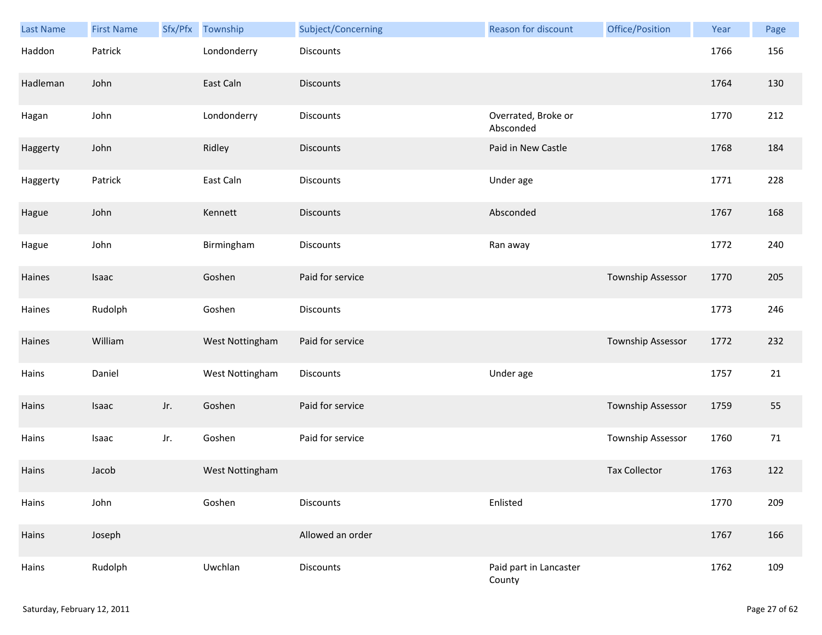| Last Name | <b>First Name</b> | Sfx/Pfx | Township        | Subject/Concerning | <b>Reason for discount</b>       | Office/Position      | Year | Page |
|-----------|-------------------|---------|-----------------|--------------------|----------------------------------|----------------------|------|------|
| Haddon    | Patrick           |         | Londonderry     | Discounts          |                                  |                      | 1766 | 156  |
| Hadleman  | John              |         | East Caln       | <b>Discounts</b>   |                                  |                      | 1764 | 130  |
| Hagan     | John              |         | Londonderry     | Discounts          | Overrated, Broke or<br>Absconded |                      | 1770 | 212  |
| Haggerty  | John              |         | Ridley          | <b>Discounts</b>   | Paid in New Castle               |                      | 1768 | 184  |
| Haggerty  | Patrick           |         | East Caln       | Discounts          | Under age                        |                      | 1771 | 228  |
| Hague     | John              |         | Kennett         | <b>Discounts</b>   | Absconded                        |                      | 1767 | 168  |
| Hague     | John              |         | Birmingham      | Discounts          | Ran away                         |                      | 1772 | 240  |
| Haines    | Isaac             |         | Goshen          | Paid for service   |                                  | Township Assessor    | 1770 | 205  |
| Haines    | Rudolph           |         | Goshen          | <b>Discounts</b>   |                                  |                      | 1773 | 246  |
| Haines    | William           |         | West Nottingham | Paid for service   |                                  | Township Assessor    | 1772 | 232  |
| Hains     | Daniel            |         | West Nottingham | Discounts          | Under age                        |                      | 1757 | 21   |
| Hains     | Isaac             | Jr.     | Goshen          | Paid for service   |                                  | Township Assessor    | 1759 | 55   |
| Hains     | Isaac             | Jr.     | Goshen          | Paid for service   |                                  | Township Assessor    | 1760 | 71   |
| Hains     | Jacob             |         | West Nottingham |                    |                                  | <b>Tax Collector</b> | 1763 | 122  |
| Hains     | John              |         | Goshen          | <b>Discounts</b>   | Enlisted                         |                      | 1770 | 209  |
| Hains     | Joseph            |         |                 | Allowed an order   |                                  |                      | 1767 | 166  |
| Hains     | Rudolph           |         | Uwchlan         | <b>Discounts</b>   | Paid part in Lancaster<br>County |                      | 1762 | 109  |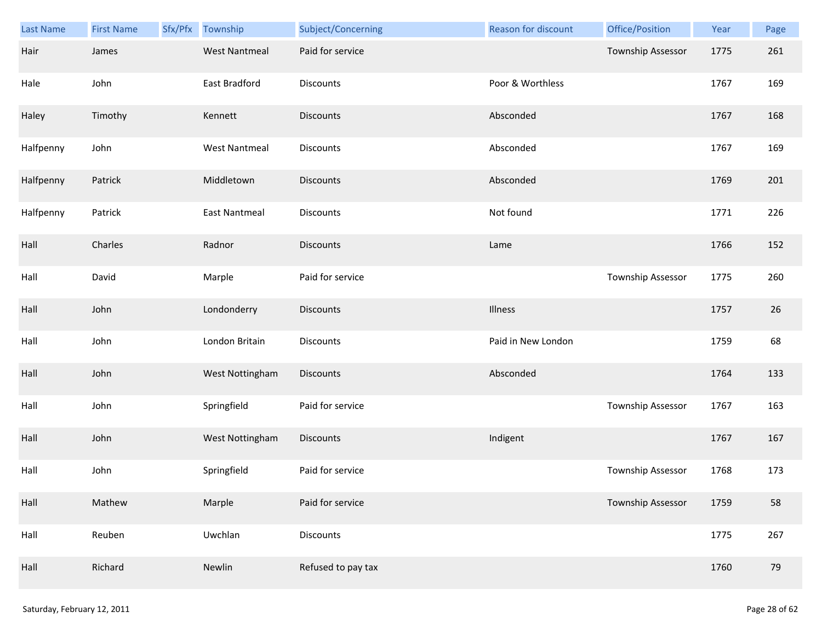| <b>Last Name</b> | <b>First Name</b> | Sfx/Pfx | Township             | Subject/Concerning | Reason for discount | Office/Position          | Year | Page |
|------------------|-------------------|---------|----------------------|--------------------|---------------------|--------------------------|------|------|
| Hair             | James             |         | <b>West Nantmeal</b> | Paid for service   |                     | <b>Township Assessor</b> | 1775 | 261  |
| Hale             | John              |         | East Bradford        | <b>Discounts</b>   | Poor & Worthless    |                          | 1767 | 169  |
| Haley            | Timothy           |         | Kennett              | <b>Discounts</b>   | Absconded           |                          | 1767 | 168  |
| Halfpenny        | John              |         | <b>West Nantmeal</b> | <b>Discounts</b>   | Absconded           |                          | 1767 | 169  |
| Halfpenny        | Patrick           |         | Middletown           | <b>Discounts</b>   | Absconded           |                          | 1769 | 201  |
| Halfpenny        | Patrick           |         | <b>East Nantmeal</b> | Discounts          | Not found           |                          | 1771 | 226  |
| Hall             | Charles           |         | Radnor               | <b>Discounts</b>   | Lame                |                          | 1766 | 152  |
| Hall             | David             |         | Marple               | Paid for service   |                     | Township Assessor        | 1775 | 260  |
| Hall             | John              |         | Londonderry          | <b>Discounts</b>   | Illness             |                          | 1757 | 26   |
| Hall             | John              |         | London Britain       | <b>Discounts</b>   | Paid in New London  |                          | 1759 | 68   |
| Hall             | John              |         | West Nottingham      | Discounts          | Absconded           |                          | 1764 | 133  |
| Hall             | John              |         | Springfield          | Paid for service   |                     | <b>Township Assessor</b> | 1767 | 163  |
| Hall             | John              |         | West Nottingham      | Discounts          | Indigent            |                          | 1767 | 167  |
| Hall             | John              |         | Springfield          | Paid for service   |                     | Township Assessor        | 1768 | 173  |
| Hall             | Mathew            |         | Marple               | Paid for service   |                     | Township Assessor        | 1759 | 58   |
| Hall             | Reuben            |         | Uwchlan              | <b>Discounts</b>   |                     |                          | 1775 | 267  |
| Hall             | Richard           |         | Newlin               | Refused to pay tax |                     |                          | 1760 | 79   |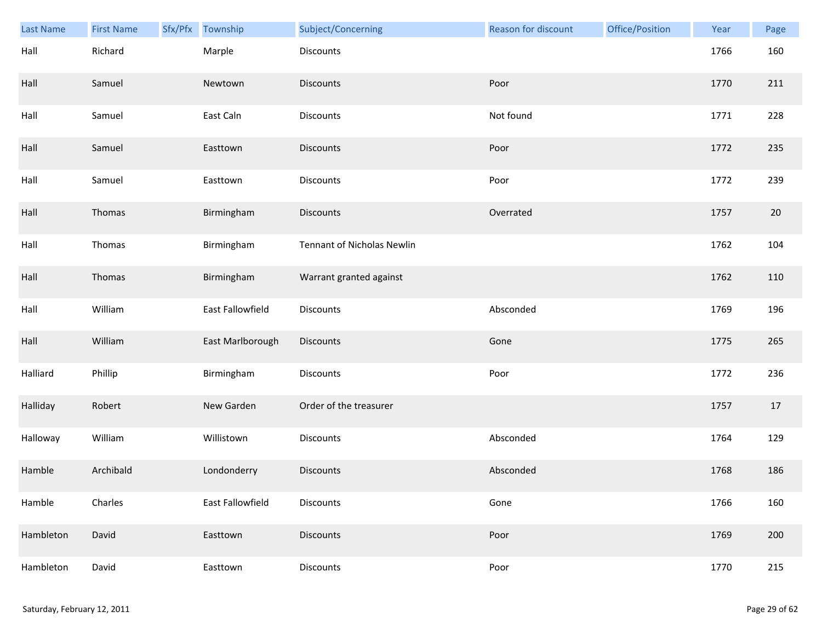| <b>Last Name</b> | <b>First Name</b> | Sfx/Pfx | Township         | Subject/Concerning                | Reason for discount | Office/Position | Year | Page |
|------------------|-------------------|---------|------------------|-----------------------------------|---------------------|-----------------|------|------|
| Hall             | Richard           |         | Marple           | Discounts                         |                     |                 | 1766 | 160  |
| Hall             | Samuel            |         | Newtown          | <b>Discounts</b>                  | Poor                |                 | 1770 | 211  |
| Hall             | Samuel            |         | East Caln        | Discounts                         | Not found           |                 | 1771 | 228  |
| Hall             | Samuel            |         | Easttown         | <b>Discounts</b>                  | Poor                |                 | 1772 | 235  |
| Hall             | Samuel            |         | Easttown         | <b>Discounts</b>                  | Poor                |                 | 1772 | 239  |
| Hall             | Thomas            |         | Birmingham       | <b>Discounts</b>                  | Overrated           |                 | 1757 | 20   |
| Hall             | Thomas            |         | Birmingham       | <b>Tennant of Nicholas Newlin</b> |                     |                 | 1762 | 104  |
| Hall             | Thomas            |         | Birmingham       | Warrant granted against           |                     |                 | 1762 | 110  |
| Hall             | William           |         | East Fallowfield | <b>Discounts</b>                  | Absconded           |                 | 1769 | 196  |
| Hall             | William           |         | East Marlborough | Discounts                         | Gone                |                 | 1775 | 265  |
| Halliard         | Phillip           |         | Birmingham       | <b>Discounts</b>                  | Poor                |                 | 1772 | 236  |
| Halliday         | Robert            |         | New Garden       | Order of the treasurer            |                     |                 | 1757 | 17   |
| Halloway         | William           |         | Willistown       | Discounts                         | Absconded           |                 | 1764 | 129  |
| Hamble           | Archibald         |         | Londonderry      | <b>Discounts</b>                  | Absconded           |                 | 1768 | 186  |
| Hamble           | Charles           |         | East Fallowfield | Discounts                         | Gone                |                 | 1766 | 160  |
| Hambleton        | David             |         | Easttown         | <b>Discounts</b>                  | Poor                |                 | 1769 | 200  |
| Hambleton        | David             |         | Easttown         | Discounts                         | Poor                |                 | 1770 | 215  |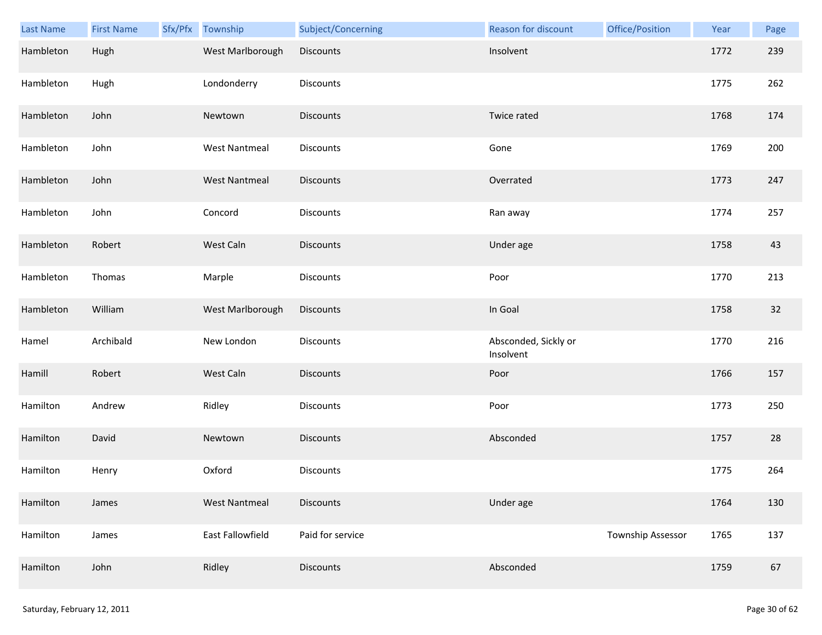| Last Name | <b>First Name</b> | Sfx/Pfx Township     | Subject/Concerning | Reason for discount               | Office/Position          | Year | Page |
|-----------|-------------------|----------------------|--------------------|-----------------------------------|--------------------------|------|------|
| Hambleton | Hugh              | West Marlborough     | Discounts          | Insolvent                         |                          | 1772 | 239  |
| Hambleton | Hugh              | Londonderry          | Discounts          |                                   |                          | 1775 | 262  |
| Hambleton | John              | Newtown              | Discounts          | Twice rated                       |                          | 1768 | 174  |
| Hambleton | John              | <b>West Nantmeal</b> | Discounts          | Gone                              |                          | 1769 | 200  |
| Hambleton | John              | <b>West Nantmeal</b> | Discounts          | Overrated                         |                          | 1773 | 247  |
| Hambleton | John              | Concord              | Discounts          | Ran away                          |                          | 1774 | 257  |
| Hambleton | Robert            | West Caln            | Discounts          | Under age                         |                          | 1758 | 43   |
| Hambleton | Thomas            | Marple               | Discounts          | Poor                              |                          | 1770 | 213  |
| Hambleton | William           | West Marlborough     | Discounts          | In Goal                           |                          | 1758 | 32   |
| Hamel     | Archibald         | New London           | Discounts          | Absconded, Sickly or<br>Insolvent |                          | 1770 | 216  |
| Hamill    | Robert            | West Caln            | Discounts          | Poor                              |                          | 1766 | 157  |
| Hamilton  | Andrew            | Ridley               | Discounts          | Poor                              |                          | 1773 | 250  |
| Hamilton  | David             | Newtown              | Discounts          | Absconded                         |                          | 1757 | 28   |
| Hamilton  | Henry             | Oxford               | Discounts          |                                   |                          | 1775 | 264  |
| Hamilton  | James             | <b>West Nantmeal</b> | <b>Discounts</b>   | Under age                         |                          | 1764 | 130  |
| Hamilton  | James             | East Fallowfield     | Paid for service   |                                   | <b>Township Assessor</b> | 1765 | 137  |
| Hamilton  | John              | Ridley               | Discounts          | Absconded                         |                          | 1759 | 67   |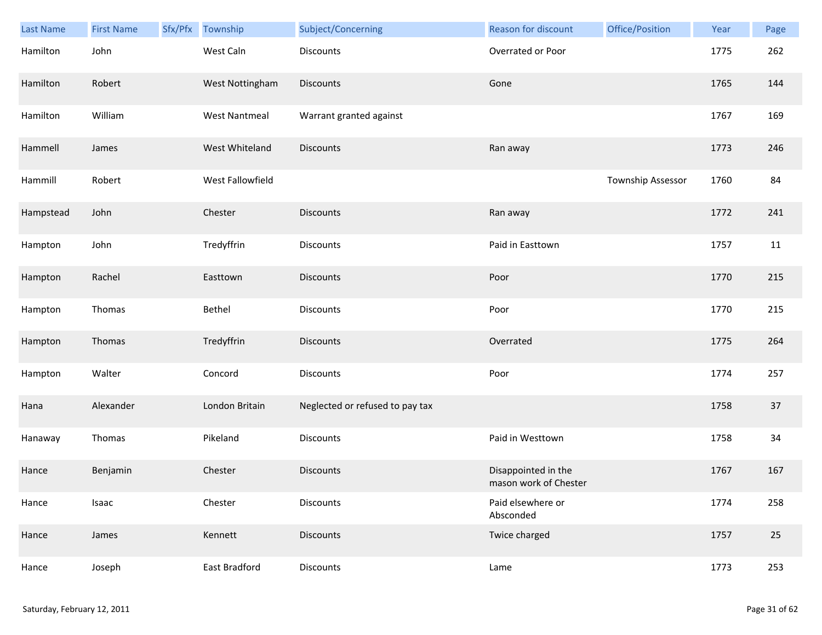| Last Name | <b>First Name</b> | Sfx/Pfx | Township             | Subject/Concerning              | Reason for discount                          | Office/Position   | Year | Page |
|-----------|-------------------|---------|----------------------|---------------------------------|----------------------------------------------|-------------------|------|------|
| Hamilton  | John              |         | West Caln            | <b>Discounts</b>                | Overrated or Poor                            |                   | 1775 | 262  |
| Hamilton  | Robert            |         | West Nottingham      | <b>Discounts</b>                | Gone                                         |                   | 1765 | 144  |
| Hamilton  | William           |         | <b>West Nantmeal</b> | Warrant granted against         |                                              |                   | 1767 | 169  |
| Hammell   | James             |         | West Whiteland       | <b>Discounts</b>                | Ran away                                     |                   | 1773 | 246  |
| Hammill   | Robert            |         | West Fallowfield     |                                 |                                              | Township Assessor | 1760 | 84   |
| Hampstead | John              |         | Chester              | <b>Discounts</b>                | Ran away                                     |                   | 1772 | 241  |
| Hampton   | John              |         | Tredyffrin           | <b>Discounts</b>                | Paid in Easttown                             |                   | 1757 | 11   |
| Hampton   | Rachel            |         | Easttown             | <b>Discounts</b>                | Poor                                         |                   | 1770 | 215  |
| Hampton   | Thomas            |         | Bethel               | <b>Discounts</b>                | Poor                                         |                   | 1770 | 215  |
| Hampton   | Thomas            |         | Tredyffrin           | <b>Discounts</b>                | Overrated                                    |                   | 1775 | 264  |
| Hampton   | Walter            |         | Concord              | <b>Discounts</b>                | Poor                                         |                   | 1774 | 257  |
| Hana      | Alexander         |         | London Britain       | Neglected or refused to pay tax |                                              |                   | 1758 | 37   |
| Hanaway   | Thomas            |         | Pikeland             | <b>Discounts</b>                | Paid in Westtown                             |                   | 1758 | 34   |
| Hance     | Benjamin          |         | Chester              | <b>Discounts</b>                | Disappointed in the<br>mason work of Chester |                   | 1767 | 167  |
| Hance     | Isaac             |         | Chester              | Discounts                       | Paid elsewhere or<br>Absconded               |                   | 1774 | 258  |
| Hance     | James             |         | Kennett              | <b>Discounts</b>                | Twice charged                                |                   | 1757 | 25   |
| Hance     | Joseph            |         | East Bradford        | Discounts                       | Lame                                         |                   | 1773 | 253  |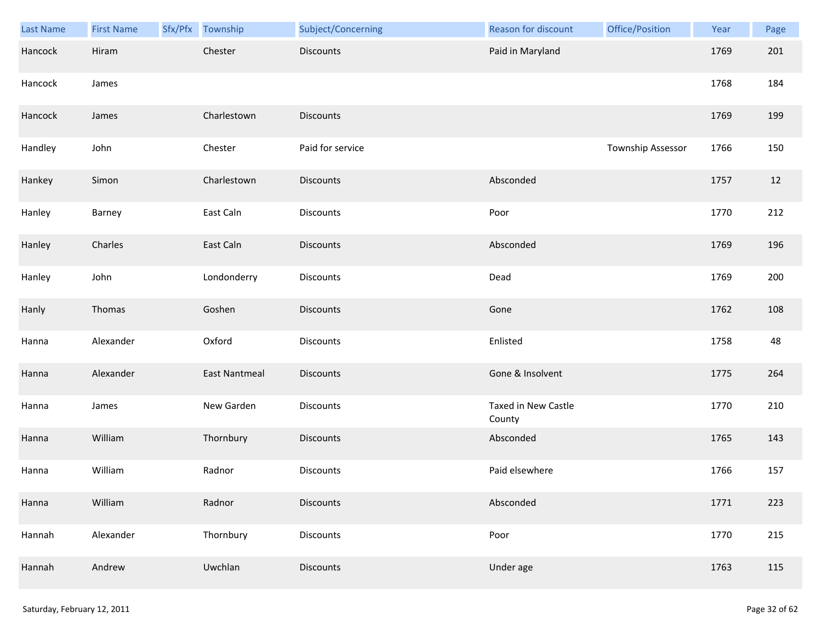| Last Name | <b>First Name</b> | Sfx/Pfx Township     | Subject/Concerning | Reason for discount           | Office/Position   | Year | Page |
|-----------|-------------------|----------------------|--------------------|-------------------------------|-------------------|------|------|
| Hancock   | Hiram             | Chester              | <b>Discounts</b>   | Paid in Maryland              |                   | 1769 | 201  |
| Hancock   | James             |                      |                    |                               |                   | 1768 | 184  |
| Hancock   | James             | Charlestown          | <b>Discounts</b>   |                               |                   | 1769 | 199  |
| Handley   | John              | Chester              | Paid for service   |                               | Township Assessor | 1766 | 150  |
| Hankey    | Simon             | Charlestown          | <b>Discounts</b>   | Absconded                     |                   | 1757 | 12   |
| Hanley    | Barney            | East Caln            | Discounts          | Poor                          |                   | 1770 | 212  |
| Hanley    | Charles           | East Caln            | <b>Discounts</b>   | Absconded                     |                   | 1769 | 196  |
| Hanley    | John              | Londonderry          | Discounts          | Dead                          |                   | 1769 | 200  |
| Hanly     | Thomas            | Goshen               | <b>Discounts</b>   | Gone                          |                   | 1762 | 108  |
| Hanna     | Alexander         | Oxford               | Discounts          | Enlisted                      |                   | 1758 | 48   |
| Hanna     | Alexander         | <b>East Nantmeal</b> | <b>Discounts</b>   | Gone & Insolvent              |                   | 1775 | 264  |
| Hanna     | James             | New Garden           | Discounts          | Taxed in New Castle<br>County |                   | 1770 | 210  |
| Hanna     | William           | Thornbury            | Discounts          | Absconded                     |                   | 1765 | 143  |
| Hanna     | William           | Radnor               | <b>Discounts</b>   | Paid elsewhere                |                   | 1766 | 157  |
| Hanna     | William           | Radnor               | <b>Discounts</b>   | Absconded                     |                   | 1771 | 223  |
| Hannah    | Alexander         | Thornbury            | Discounts          | Poor                          |                   | 1770 | 215  |
| Hannah    | Andrew            | Uwchlan              | <b>Discounts</b>   | Under age                     |                   | 1763 | 115  |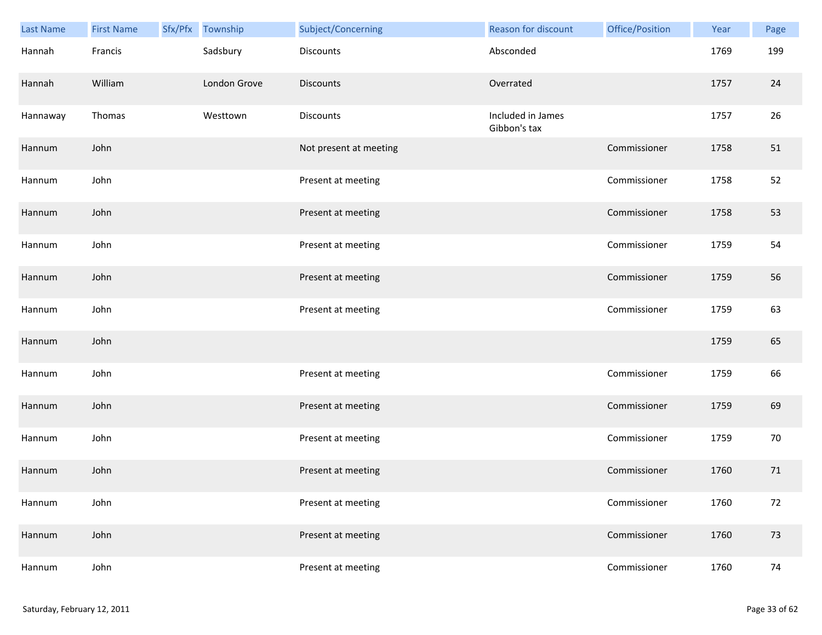| Last Name | <b>First Name</b> | Sfx/Pfx Township | Subject/Concerning     | Reason for discount               | Office/Position | Year | Page |
|-----------|-------------------|------------------|------------------------|-----------------------------------|-----------------|------|------|
| Hannah    | Francis           | Sadsbury         | <b>Discounts</b>       | Absconded                         |                 | 1769 | 199  |
| Hannah    | William           | London Grove     | <b>Discounts</b>       | Overrated                         |                 | 1757 | 24   |
| Hannaway  | Thomas            | Westtown         | <b>Discounts</b>       | Included in James<br>Gibbon's tax |                 | 1757 | 26   |
| Hannum    | John              |                  | Not present at meeting |                                   | Commissioner    | 1758 | 51   |
| Hannum    | John              |                  | Present at meeting     |                                   | Commissioner    | 1758 | 52   |
| Hannum    | John              |                  | Present at meeting     |                                   | Commissioner    | 1758 | 53   |
| Hannum    | John              |                  | Present at meeting     |                                   | Commissioner    | 1759 | 54   |
| Hannum    | John              |                  | Present at meeting     |                                   | Commissioner    | 1759 | 56   |
| Hannum    | John              |                  | Present at meeting     |                                   | Commissioner    | 1759 | 63   |
| Hannum    | John              |                  |                        |                                   |                 | 1759 | 65   |
| Hannum    | John              |                  | Present at meeting     |                                   | Commissioner    | 1759 | 66   |
| Hannum    | John              |                  | Present at meeting     |                                   | Commissioner    | 1759 | 69   |
| Hannum    | John              |                  | Present at meeting     |                                   | Commissioner    | 1759 | 70   |
| Hannum    | John              |                  | Present at meeting     |                                   | Commissioner    | 1760 | 71   |
| Hannum    | John              |                  | Present at meeting     |                                   | Commissioner    | 1760 | 72   |
| Hannum    | John              |                  | Present at meeting     |                                   | Commissioner    | 1760 | 73   |
| Hannum    | John              |                  | Present at meeting     |                                   | Commissioner    | 1760 | 74   |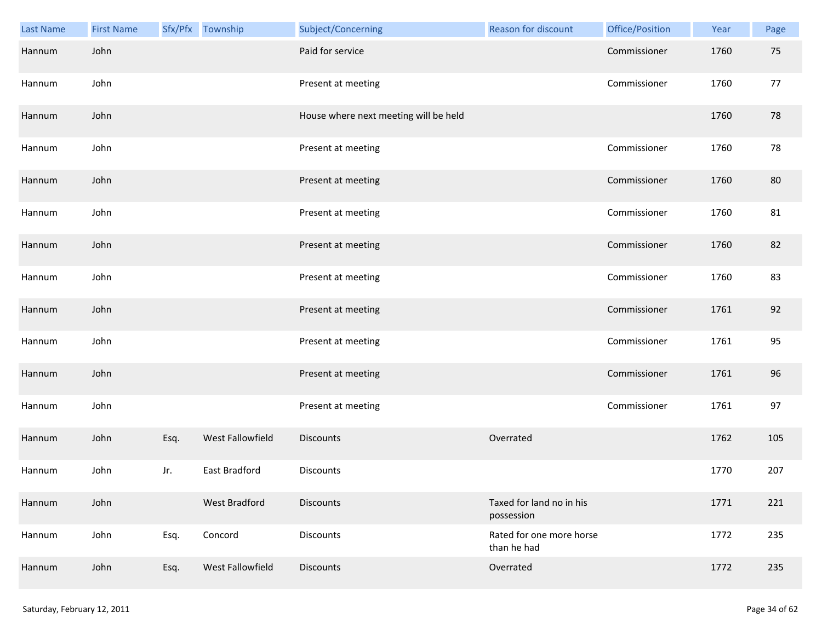| Last Name | <b>First Name</b> |      | Sfx/Pfx Township     | Subject/Concerning                    | Reason for discount                     | Office/Position | Year | Page |
|-----------|-------------------|------|----------------------|---------------------------------------|-----------------------------------------|-----------------|------|------|
| Hannum    | John              |      |                      | Paid for service                      |                                         | Commissioner    | 1760 | 75   |
| Hannum    | John              |      |                      | Present at meeting                    |                                         | Commissioner    | 1760 | 77   |
| Hannum    | John              |      |                      | House where next meeting will be held |                                         |                 | 1760 | 78   |
| Hannum    | John              |      |                      | Present at meeting                    |                                         | Commissioner    | 1760 | 78   |
| Hannum    | John              |      |                      | Present at meeting                    |                                         | Commissioner    | 1760 | 80   |
| Hannum    | John              |      |                      | Present at meeting                    |                                         | Commissioner    | 1760 | 81   |
| Hannum    | John              |      |                      | Present at meeting                    |                                         | Commissioner    | 1760 | 82   |
| Hannum    | John              |      |                      | Present at meeting                    |                                         | Commissioner    | 1760 | 83   |
| Hannum    | John              |      |                      | Present at meeting                    |                                         | Commissioner    | 1761 | 92   |
| Hannum    | John              |      |                      | Present at meeting                    |                                         | Commissioner    | 1761 | 95   |
| Hannum    | John              |      |                      | Present at meeting                    |                                         | Commissioner    | 1761 | 96   |
| Hannum    | John              |      |                      | Present at meeting                    |                                         | Commissioner    | 1761 | 97   |
| Hannum    | John              | Esq. | West Fallowfield     | <b>Discounts</b>                      | Overrated                               |                 | 1762 | 105  |
| Hannum    | John              | Jr.  | <b>East Bradford</b> | <b>Discounts</b>                      |                                         |                 | 1770 | 207  |
| Hannum    | John              |      | <b>West Bradford</b> | <b>Discounts</b>                      | Taxed for land no in his<br>possession  |                 | 1771 | 221  |
| Hannum    | John              | Esq. | Concord              | Discounts                             | Rated for one more horse<br>than he had |                 | 1772 | 235  |
| Hannum    | John              | Esq. | West Fallowfield     | Discounts                             | Overrated                               |                 | 1772 | 235  |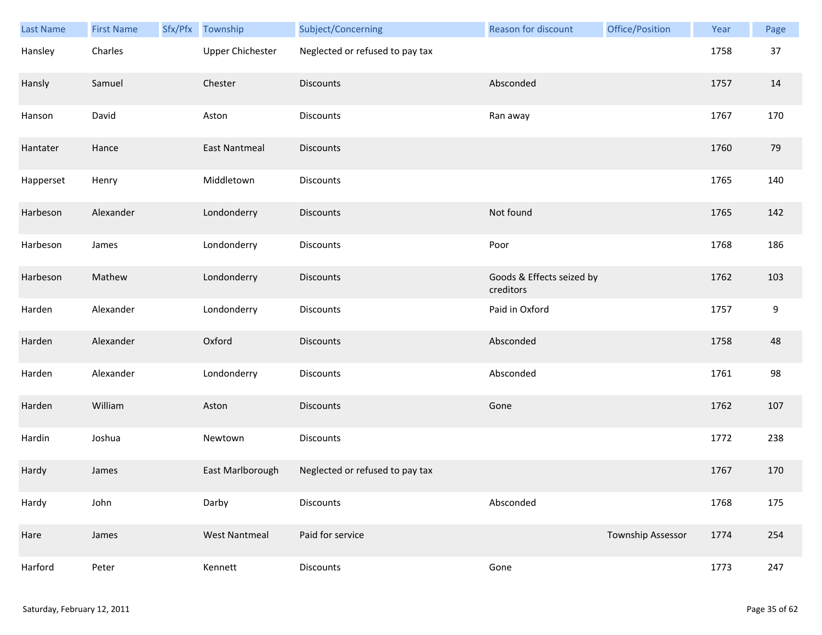| Last Name | <b>First Name</b> | Sfx/Pfx | Township                | Subject/Concerning              | <b>Reason for discount</b>             | Office/Position   | Year | Page |
|-----------|-------------------|---------|-------------------------|---------------------------------|----------------------------------------|-------------------|------|------|
| Hansley   | Charles           |         | <b>Upper Chichester</b> | Neglected or refused to pay tax |                                        |                   | 1758 | 37   |
| Hansly    | Samuel            |         | Chester                 | <b>Discounts</b>                | Absconded                              |                   | 1757 | 14   |
| Hanson    | David             |         | Aston                   | Discounts                       | Ran away                               |                   | 1767 | 170  |
| Hantater  | Hance             |         | <b>East Nantmeal</b>    | <b>Discounts</b>                |                                        |                   | 1760 | 79   |
| Happerset | Henry             |         | Middletown              | Discounts                       |                                        |                   | 1765 | 140  |
| Harbeson  | Alexander         |         | Londonderry             | Discounts                       | Not found                              |                   | 1765 | 142  |
| Harbeson  | James             |         | Londonderry             | Discounts                       | Poor                                   |                   | 1768 | 186  |
| Harbeson  | Mathew            |         | Londonderry             | <b>Discounts</b>                | Goods & Effects seized by<br>creditors |                   | 1762 | 103  |
| Harden    | Alexander         |         | Londonderry             | <b>Discounts</b>                | Paid in Oxford                         |                   | 1757 | 9    |
| Harden    | Alexander         |         | Oxford                  | <b>Discounts</b>                | Absconded                              |                   | 1758 | 48   |
| Harden    | Alexander         |         | Londonderry             | Discounts                       | Absconded                              |                   | 1761 | 98   |
| Harden    | William           |         | Aston                   | <b>Discounts</b>                | Gone                                   |                   | 1762 | 107  |
| Hardin    | Joshua            |         | Newtown                 | Discounts                       |                                        |                   | 1772 | 238  |
| Hardy     | James             |         | East Marlborough        | Neglected or refused to pay tax |                                        |                   | 1767 | 170  |
| Hardy     | John              |         | Darby                   | Discounts                       | Absconded                              |                   | 1768 | 175  |
| Hare      | James             |         | <b>West Nantmeal</b>    | Paid for service                |                                        | Township Assessor | 1774 | 254  |
| Harford   | Peter             |         | Kennett                 | Discounts                       | Gone                                   |                   | 1773 | 247  |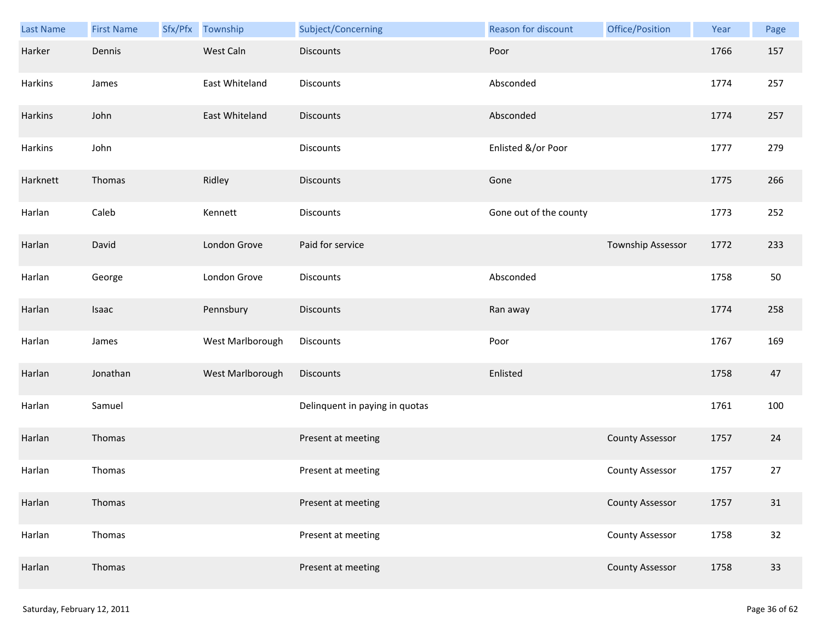| Last Name | <b>First Name</b> | Sfx/Pfx Township | Subject/Concerning             | Reason for discount    | Office/Position        | Year | Page |
|-----------|-------------------|------------------|--------------------------------|------------------------|------------------------|------|------|
| Harker    | Dennis            | West Caln        | <b>Discounts</b>               | Poor                   |                        | 1766 | 157  |
| Harkins   | James             | East Whiteland   | Discounts                      | Absconded              |                        | 1774 | 257  |
| Harkins   | John              | East Whiteland   | <b>Discounts</b>               | Absconded              |                        | 1774 | 257  |
| Harkins   | John              |                  | <b>Discounts</b>               | Enlisted &/or Poor     |                        | 1777 | 279  |
| Harknett  | Thomas            | Ridley           | <b>Discounts</b>               | Gone                   |                        | 1775 | 266  |
| Harlan    | Caleb             | Kennett          | Discounts                      | Gone out of the county |                        | 1773 | 252  |
| Harlan    | David             | London Grove     | Paid for service               |                        | Township Assessor      | 1772 | 233  |
| Harlan    | George            | London Grove     | Discounts                      | Absconded              |                        | 1758 | 50   |
| Harlan    | Isaac             | Pennsbury        | <b>Discounts</b>               | Ran away               |                        | 1774 | 258  |
| Harlan    | James             | West Marlborough | <b>Discounts</b>               | Poor                   |                        | 1767 | 169  |
| Harlan    | Jonathan          | West Marlborough | Discounts                      | Enlisted               |                        | 1758 | 47   |
| Harlan    | Samuel            |                  | Delinquent in paying in quotas |                        |                        | 1761 | 100  |
| Harlan    | Thomas            |                  | Present at meeting             |                        | <b>County Assessor</b> | 1757 | 24   |
| Harlan    | Thomas            |                  | Present at meeting             |                        | <b>County Assessor</b> | 1757 | 27   |
| Harlan    | Thomas            |                  | Present at meeting             |                        | <b>County Assessor</b> | 1757 | 31   |
| Harlan    | Thomas            |                  | Present at meeting             |                        | <b>County Assessor</b> | 1758 | 32   |
| Harlan    | Thomas            |                  | Present at meeting             |                        | <b>County Assessor</b> | 1758 | 33   |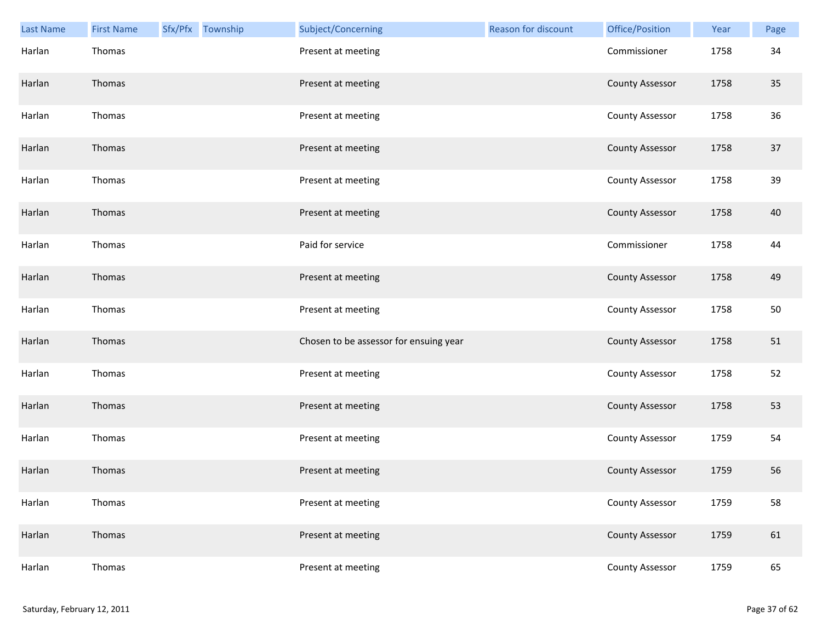| Last Name | <b>First Name</b> | Sfx/Pfx Township | Subject/Concerning                     | Reason for discount | Office/Position        | Year | Page |
|-----------|-------------------|------------------|----------------------------------------|---------------------|------------------------|------|------|
| Harlan    | Thomas            |                  | Present at meeting                     |                     | Commissioner           | 1758 | 34   |
| Harlan    | Thomas            |                  | Present at meeting                     |                     | <b>County Assessor</b> | 1758 | 35   |
| Harlan    | Thomas            |                  | Present at meeting                     |                     | <b>County Assessor</b> | 1758 | 36   |
| Harlan    | Thomas            |                  | Present at meeting                     |                     | <b>County Assessor</b> | 1758 | 37   |
| Harlan    | Thomas            |                  | Present at meeting                     |                     | <b>County Assessor</b> | 1758 | 39   |
| Harlan    | Thomas            |                  | Present at meeting                     |                     | <b>County Assessor</b> | 1758 | 40   |
| Harlan    | Thomas            |                  | Paid for service                       |                     | Commissioner           | 1758 | 44   |
| Harlan    | Thomas            |                  | Present at meeting                     |                     | <b>County Assessor</b> | 1758 | 49   |
| Harlan    | Thomas            |                  | Present at meeting                     |                     | <b>County Assessor</b> | 1758 | 50   |
| Harlan    | Thomas            |                  | Chosen to be assessor for ensuing year |                     | <b>County Assessor</b> | 1758 | 51   |
| Harlan    | Thomas            |                  | Present at meeting                     |                     | <b>County Assessor</b> | 1758 | 52   |
| Harlan    | Thomas            |                  | Present at meeting                     |                     | <b>County Assessor</b> | 1758 | 53   |
| Harlan    | Thomas            |                  | Present at meeting                     |                     | <b>County Assessor</b> | 1759 | 54   |
| Harlan    | Thomas            |                  | Present at meeting                     |                     | <b>County Assessor</b> | 1759 | 56   |
| Harlan    | Thomas            |                  | Present at meeting                     |                     | <b>County Assessor</b> | 1759 | 58   |
| Harlan    | Thomas            |                  | Present at meeting                     |                     | <b>County Assessor</b> | 1759 | 61   |
| Harlan    | Thomas            |                  | Present at meeting                     |                     | <b>County Assessor</b> | 1759 | 65   |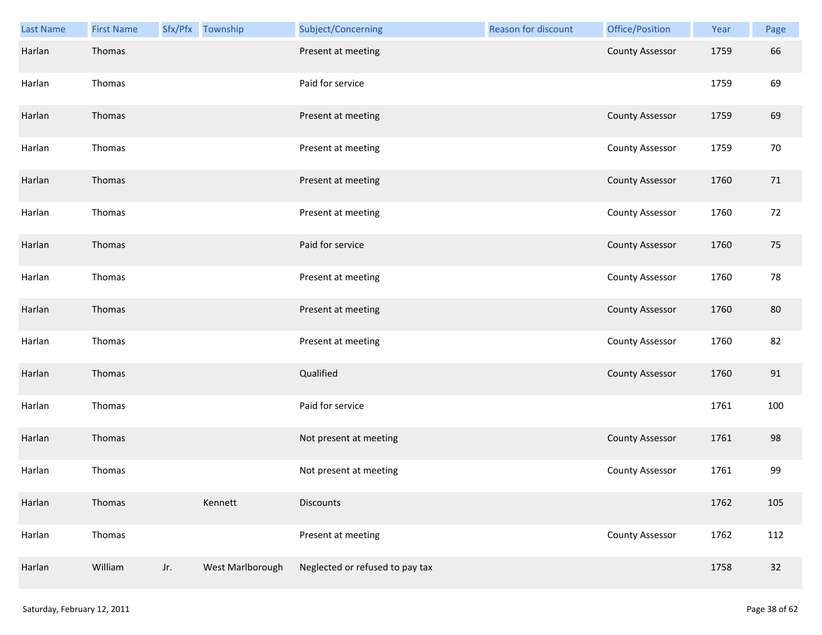| Last Name | <b>First Name</b> |     | Sfx/Pfx Township | Subject/Concerning              | Reason for discount | Office/Position        | Year | Page |
|-----------|-------------------|-----|------------------|---------------------------------|---------------------|------------------------|------|------|
| Harlan    | Thomas            |     |                  | Present at meeting              |                     | <b>County Assessor</b> | 1759 | 66   |
| Harlan    | Thomas            |     |                  | Paid for service                |                     |                        | 1759 | 69   |
| Harlan    | Thomas            |     |                  | Present at meeting              |                     | <b>County Assessor</b> | 1759 | 69   |
| Harlan    | Thomas            |     |                  | Present at meeting              |                     | <b>County Assessor</b> | 1759 | 70   |
| Harlan    | Thomas            |     |                  | Present at meeting              |                     | <b>County Assessor</b> | 1760 | 71   |
| Harlan    | Thomas            |     |                  | Present at meeting              |                     | <b>County Assessor</b> | 1760 | 72   |
| Harlan    | Thomas            |     |                  | Paid for service                |                     | <b>County Assessor</b> | 1760 | 75   |
| Harlan    | Thomas            |     |                  | Present at meeting              |                     | <b>County Assessor</b> | 1760 | 78   |
| Harlan    | Thomas            |     |                  | Present at meeting              |                     | <b>County Assessor</b> | 1760 | 80   |
| Harlan    | Thomas            |     |                  | Present at meeting              |                     | County Assessor        | 1760 | 82   |
| Harlan    | Thomas            |     |                  | Qualified                       |                     | <b>County Assessor</b> | 1760 | 91   |
| Harlan    | Thomas            |     |                  | Paid for service                |                     |                        | 1761 | 100  |
| Harlan    | Thomas            |     |                  | Not present at meeting          |                     | <b>County Assessor</b> | 1761 | 98   |
| Harlan    | Thomas            |     |                  | Not present at meeting          |                     | <b>County Assessor</b> | 1761 | 99   |
| Harlan    | Thomas            |     | Kennett          | <b>Discounts</b>                |                     |                        | 1762 | 105  |
| Harlan    | Thomas            |     |                  | Present at meeting              |                     | <b>County Assessor</b> | 1762 | 112  |
| Harlan    | William           | Jr. | West Marlborough | Neglected or refused to pay tax |                     |                        | 1758 | 32   |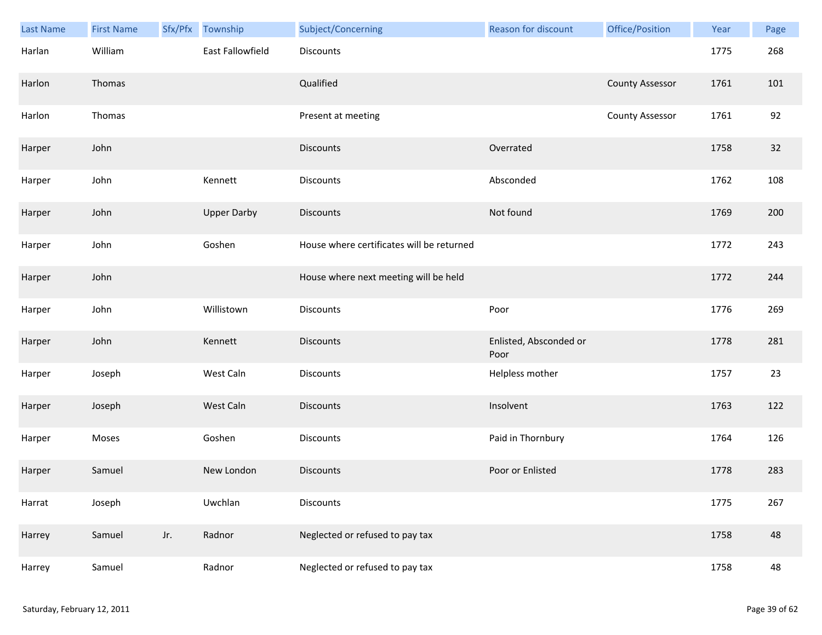| Last Name | <b>First Name</b> | Sfx/Pfx | Township           | Subject/Concerning                        | <b>Reason for discount</b>     | Office/Position        | Year | Page |
|-----------|-------------------|---------|--------------------|-------------------------------------------|--------------------------------|------------------------|------|------|
| Harlan    | William           |         | East Fallowfield   | <b>Discounts</b>                          |                                |                        | 1775 | 268  |
| Harlon    | Thomas            |         |                    | Qualified                                 |                                | <b>County Assessor</b> | 1761 | 101  |
| Harlon    | Thomas            |         |                    | Present at meeting                        |                                | <b>County Assessor</b> | 1761 | 92   |
| Harper    | John              |         |                    | <b>Discounts</b>                          | Overrated                      |                        | 1758 | 32   |
| Harper    | John              |         | Kennett            | Discounts                                 | Absconded                      |                        | 1762 | 108  |
| Harper    | John              |         | <b>Upper Darby</b> | <b>Discounts</b>                          | Not found                      |                        | 1769 | 200  |
| Harper    | John              |         | Goshen             | House where certificates will be returned |                                |                        | 1772 | 243  |
| Harper    | John              |         |                    | House where next meeting will be held     |                                |                        | 1772 | 244  |
| Harper    | John              |         | Willistown         | Discounts                                 | Poor                           |                        | 1776 | 269  |
| Harper    | John              |         | Kennett            | <b>Discounts</b>                          | Enlisted, Absconded or<br>Poor |                        | 1778 | 281  |
| Harper    | Joseph            |         | West Caln          | Discounts                                 | Helpless mother                |                        | 1757 | 23   |
| Harper    | Joseph            |         | West Caln          | <b>Discounts</b>                          | Insolvent                      |                        | 1763 | 122  |
| Harper    | Moses             |         | Goshen             | Discounts                                 | Paid in Thornbury              |                        | 1764 | 126  |
| Harper    | Samuel            |         | New London         | <b>Discounts</b>                          | Poor or Enlisted               |                        | 1778 | 283  |
| Harrat    | Joseph            |         | Uwchlan            | <b>Discounts</b>                          |                                |                        | 1775 | 267  |
| Harrey    | Samuel            | Jr.     | Radnor             | Neglected or refused to pay tax           |                                |                        | 1758 | 48   |
| Harrey    | Samuel            |         | Radnor             | Neglected or refused to pay tax           |                                |                        | 1758 | 48   |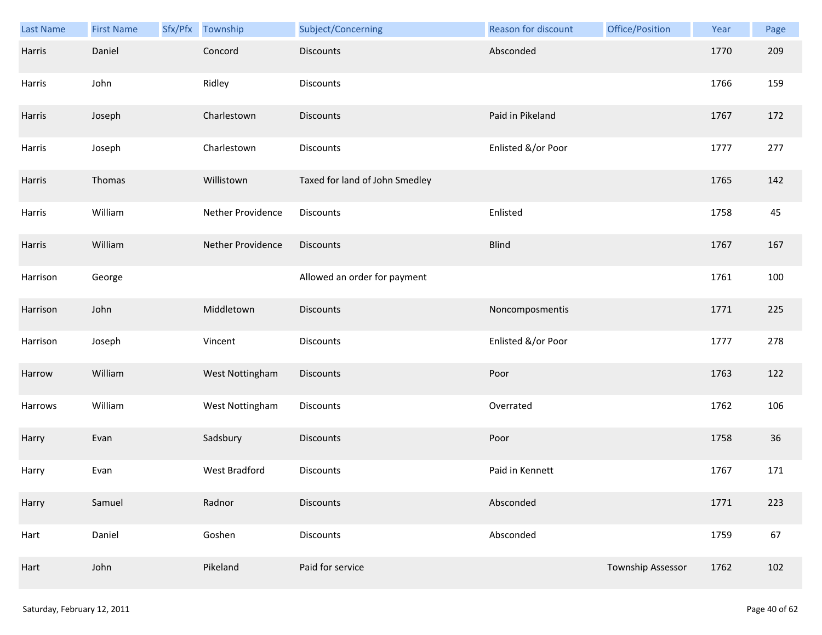| Last Name | <b>First Name</b> | Sfx/Pfx Township  | Subject/Concerning             | Reason for discount | Office/Position   | Year | Page |
|-----------|-------------------|-------------------|--------------------------------|---------------------|-------------------|------|------|
| Harris    | Daniel            | Concord           | <b>Discounts</b>               | Absconded           |                   | 1770 | 209  |
| Harris    | John              | Ridley            | Discounts                      |                     |                   | 1766 | 159  |
| Harris    | Joseph            | Charlestown       | <b>Discounts</b>               | Paid in Pikeland    |                   | 1767 | 172  |
| Harris    | Joseph            | Charlestown       | <b>Discounts</b>               | Enlisted &/or Poor  |                   | 1777 | 277  |
| Harris    | Thomas            | Willistown        | Taxed for land of John Smedley |                     |                   | 1765 | 142  |
| Harris    | William           | Nether Providence | Discounts                      | Enlisted            |                   | 1758 | 45   |
| Harris    | William           | Nether Providence | <b>Discounts</b>               | <b>Blind</b>        |                   | 1767 | 167  |
| Harrison  | George            |                   | Allowed an order for payment   |                     |                   | 1761 | 100  |
| Harrison  | John              | Middletown        | <b>Discounts</b>               | Noncomposmentis     |                   | 1771 | 225  |
| Harrison  | Joseph            | Vincent           | Discounts                      | Enlisted &/or Poor  |                   | 1777 | 278  |
| Harrow    | William           | West Nottingham   | <b>Discounts</b>               | Poor                |                   | 1763 | 122  |
| Harrows   | William           | West Nottingham   | Discounts                      | Overrated           |                   | 1762 | 106  |
| Harry     | Evan              | Sadsbury          | <b>Discounts</b>               | Poor                |                   | 1758 | 36   |
| Harry     | Evan              | West Bradford     | Discounts                      | Paid in Kennett     |                   | 1767 | 171  |
| Harry     | Samuel            | Radnor            | <b>Discounts</b>               | Absconded           |                   | 1771 | 223  |
| Hart      | Daniel            | Goshen            | <b>Discounts</b>               | Absconded           |                   | 1759 | 67   |
| Hart      | John              | Pikeland          | Paid for service               |                     | Township Assessor | 1762 | 102  |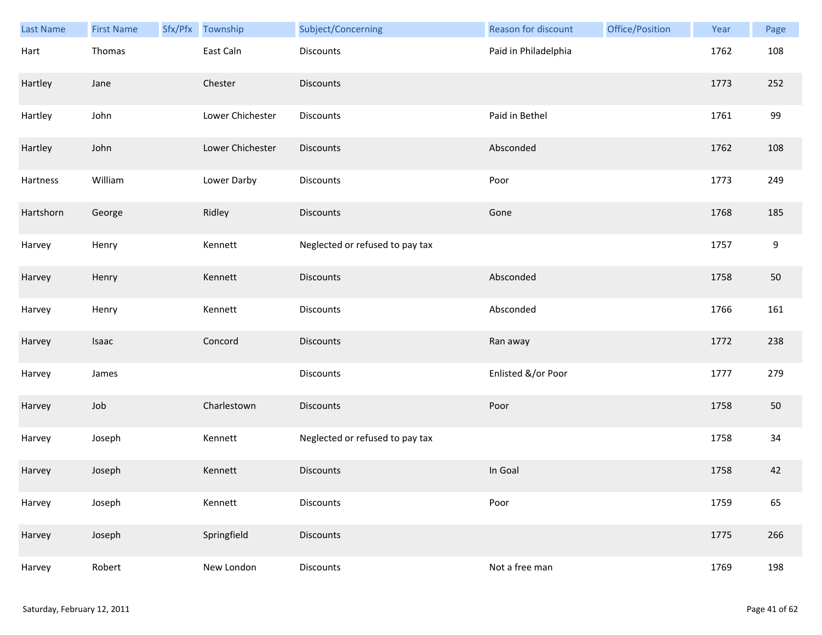| Last Name | <b>First Name</b> | Sfx/Pfx Township | Subject/Concerning              | <b>Reason for discount</b> | Office/Position | Year | Page |
|-----------|-------------------|------------------|---------------------------------|----------------------------|-----------------|------|------|
| Hart      | Thomas            | East Caln        | <b>Discounts</b>                | Paid in Philadelphia       |                 | 1762 | 108  |
| Hartley   | Jane              | Chester          | <b>Discounts</b>                |                            |                 | 1773 | 252  |
| Hartley   | John              | Lower Chichester | Discounts                       | Paid in Bethel             |                 | 1761 | 99   |
| Hartley   | John              | Lower Chichester | <b>Discounts</b>                | Absconded                  |                 | 1762 | 108  |
| Hartness  | William           | Lower Darby      | Discounts                       | Poor                       |                 | 1773 | 249  |
| Hartshorn | George            | Ridley           | <b>Discounts</b>                | Gone                       |                 | 1768 | 185  |
| Harvey    | Henry             | Kennett          | Neglected or refused to pay tax |                            |                 | 1757 | 9    |
| Harvey    | Henry             | Kennett          | Discounts                       | Absconded                  |                 | 1758 | 50   |
| Harvey    | Henry             | Kennett          | Discounts                       | Absconded                  |                 | 1766 | 161  |
| Harvey    | Isaac             | Concord          | <b>Discounts</b>                | Ran away                   |                 | 1772 | 238  |
| Harvey    | James             |                  | Discounts                       | Enlisted &/or Poor         |                 | 1777 | 279  |
| Harvey    | Job               | Charlestown      | Discounts                       | Poor                       |                 | 1758 | 50   |
| Harvey    | Joseph            | Kennett          | Neglected or refused to pay tax |                            |                 | 1758 | 34   |
| Harvey    | Joseph            | Kennett          | <b>Discounts</b>                | In Goal                    |                 | 1758 | 42   |
| Harvey    | Joseph            | Kennett          | <b>Discounts</b>                | Poor                       |                 | 1759 | 65   |
| Harvey    | Joseph            | Springfield      | <b>Discounts</b>                |                            |                 | 1775 | 266  |
| Harvey    | Robert            | New London       | Discounts                       | Not a free man             |                 | 1769 | 198  |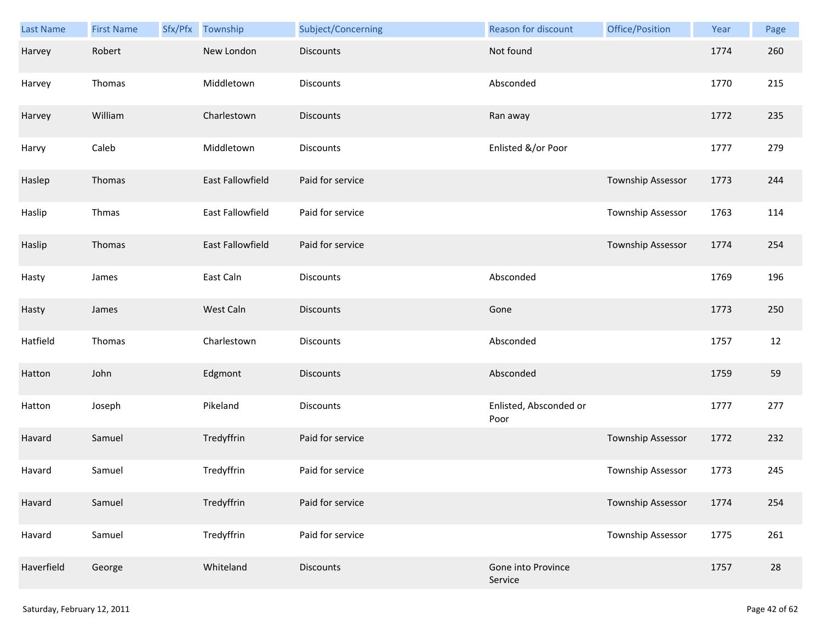| Last Name  | <b>First Name</b> | Sfx/Pfx | Township                | Subject/Concerning | Reason for discount            | Office/Position   | Year | Page |
|------------|-------------------|---------|-------------------------|--------------------|--------------------------------|-------------------|------|------|
| Harvey     | Robert            |         | New London              | <b>Discounts</b>   | Not found                      |                   | 1774 | 260  |
| Harvey     | Thomas            |         | Middletown              | Discounts          | Absconded                      |                   | 1770 | 215  |
| Harvey     | William           |         | Charlestown             | Discounts          | Ran away                       |                   | 1772 | 235  |
| Harvy      | Caleb             |         | Middletown              | Discounts          | Enlisted &/or Poor             |                   | 1777 | 279  |
| Haslep     | Thomas            |         | <b>East Fallowfield</b> | Paid for service   |                                | Township Assessor | 1773 | 244  |
| Haslip     | Thmas             |         | East Fallowfield        | Paid for service   |                                | Township Assessor | 1763 | 114  |
| Haslip     | Thomas            |         | East Fallowfield        | Paid for service   |                                | Township Assessor | 1774 | 254  |
| Hasty      | James             |         | East Caln               | Discounts          | Absconded                      |                   | 1769 | 196  |
| Hasty      | James             |         | West Caln               | <b>Discounts</b>   | Gone                           |                   | 1773 | 250  |
| Hatfield   | Thomas            |         | Charlestown             | Discounts          | Absconded                      |                   | 1757 | 12   |
| Hatton     | John              |         | Edgmont                 | Discounts          | Absconded                      |                   | 1759 | 59   |
| Hatton     | Joseph            |         | Pikeland                | Discounts          | Enlisted, Absconded or<br>Poor |                   | 1777 | 277  |
| Havard     | Samuel            |         | Tredyffrin              | Paid for service   |                                | Township Assessor | 1772 | 232  |
| Havard     | Samuel            |         | Tredyffrin              | Paid for service   |                                | Township Assessor | 1773 | 245  |
| Havard     | Samuel            |         | Tredyffrin              | Paid for service   |                                | Township Assessor | 1774 | 254  |
| Havard     | Samuel            |         | Tredyffrin              | Paid for service   |                                | Township Assessor | 1775 | 261  |
| Haverfield | George            |         | Whiteland               | Discounts          | Gone into Province<br>Service  |                   | 1757 | 28   |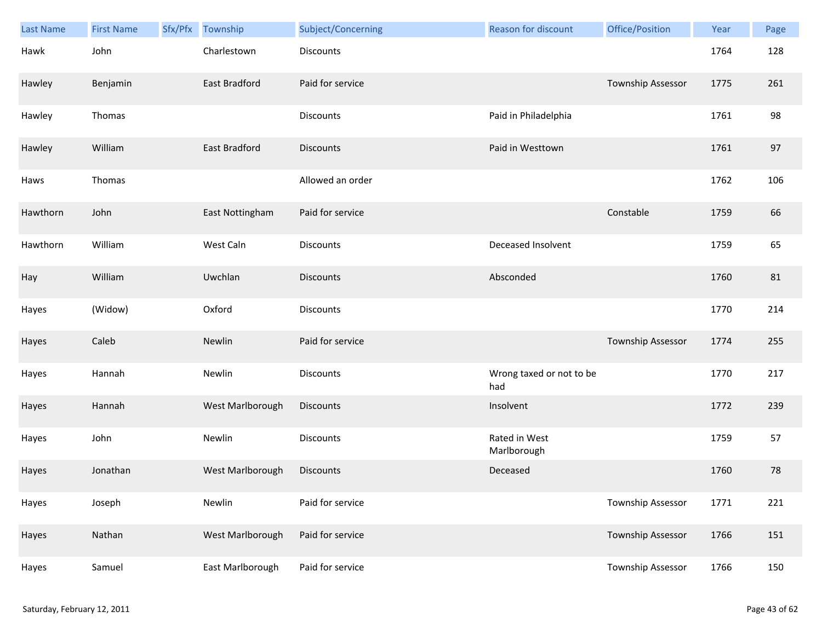| <b>Last Name</b> | <b>First Name</b> | Sfx/Pfx | Township         | Subject/Concerning | <b>Reason for discount</b>      | Office/Position          | Year | Page |
|------------------|-------------------|---------|------------------|--------------------|---------------------------------|--------------------------|------|------|
| Hawk             | John              |         | Charlestown      | Discounts          |                                 |                          | 1764 | 128  |
| Hawley           | Benjamin          |         | East Bradford    | Paid for service   |                                 | Township Assessor        | 1775 | 261  |
| Hawley           | Thomas            |         |                  | Discounts          | Paid in Philadelphia            |                          | 1761 | 98   |
| Hawley           | William           |         | East Bradford    | <b>Discounts</b>   | Paid in Westtown                |                          | 1761 | 97   |
| Haws             | Thomas            |         |                  | Allowed an order   |                                 |                          | 1762 | 106  |
| Hawthorn         | John              |         | East Nottingham  | Paid for service   |                                 | Constable                | 1759 | 66   |
| Hawthorn         | William           |         | West Caln        | Discounts          | Deceased Insolvent              |                          | 1759 | 65   |
| Hay              | William           |         | Uwchlan          | <b>Discounts</b>   | Absconded                       |                          | 1760 | 81   |
| Hayes            | (Widow)           |         | Oxford           | Discounts          |                                 |                          | 1770 | 214  |
| Hayes            | Caleb             |         | Newlin           | Paid for service   |                                 | Township Assessor        | 1774 | 255  |
| Hayes            | Hannah            |         | Newlin           | Discounts          | Wrong taxed or not to be<br>had |                          | 1770 | 217  |
| Hayes            | Hannah            |         | West Marlborough | Discounts          | Insolvent                       |                          | 1772 | 239  |
| Hayes            | John              |         | Newlin           | Discounts          | Rated in West<br>Marlborough    |                          | 1759 | 57   |
| Hayes            | Jonathan          |         | West Marlborough | Discounts          | Deceased                        |                          | 1760 | 78   |
| Hayes            | Joseph            |         | Newlin           | Paid for service   |                                 | Township Assessor        | 1771 | 221  |
| Hayes            | Nathan            |         | West Marlborough | Paid for service   |                                 | <b>Township Assessor</b> | 1766 | 151  |
| Hayes            | Samuel            |         | East Marlborough | Paid for service   |                                 | Township Assessor        | 1766 | 150  |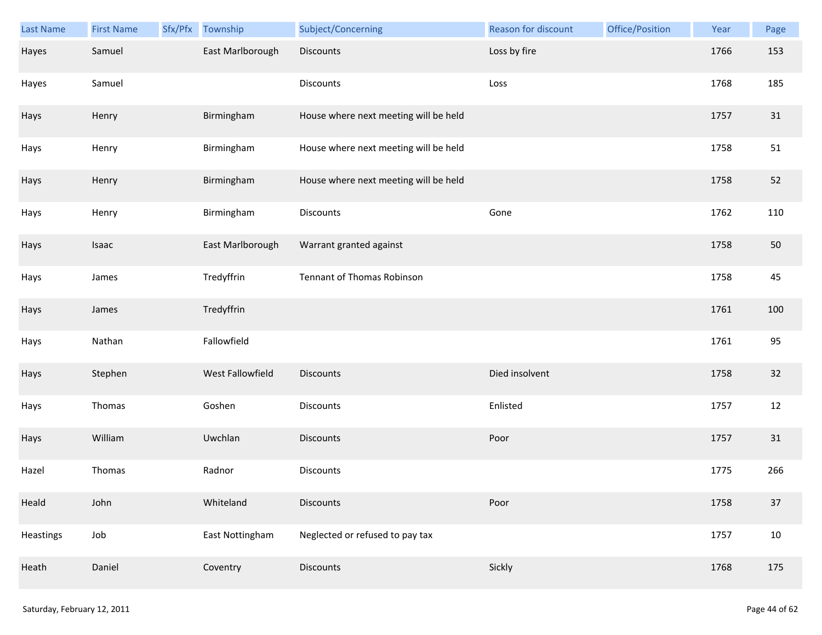| <b>Last Name</b> | <b>First Name</b> | Sfx/Pfx | Township         | Subject/Concerning                    | Reason for discount | Office/Position | Year | Page   |
|------------------|-------------------|---------|------------------|---------------------------------------|---------------------|-----------------|------|--------|
| Hayes            | Samuel            |         | East Marlborough | Discounts                             | Loss by fire        |                 | 1766 | 153    |
| Hayes            | Samuel            |         |                  | Discounts                             | Loss                |                 | 1768 | 185    |
| Hays             | Henry             |         | Birmingham       | House where next meeting will be held |                     |                 | 1757 | 31     |
| Hays             | Henry             |         | Birmingham       | House where next meeting will be held |                     |                 | 1758 | 51     |
| Hays             | Henry             |         | Birmingham       | House where next meeting will be held |                     |                 | 1758 | 52     |
| Hays             | Henry             |         | Birmingham       | Discounts                             | Gone                |                 | 1762 | 110    |
| Hays             | Isaac             |         | East Marlborough | Warrant granted against               |                     |                 | 1758 | 50     |
| Hays             | James             |         | Tredyffrin       | Tennant of Thomas Robinson            |                     |                 | 1758 | 45     |
| Hays             | James             |         | Tredyffrin       |                                       |                     |                 | 1761 | 100    |
| Hays             | Nathan            |         | Fallowfield      |                                       |                     |                 | 1761 | 95     |
| Hays             | Stephen           |         | West Fallowfield | <b>Discounts</b>                      | Died insolvent      |                 | 1758 | 32     |
| Hays             | Thomas            |         | Goshen           | Discounts                             | Enlisted            |                 | 1757 | 12     |
| Hays             | William           |         | Uwchlan          | Discounts                             | Poor                |                 | 1757 | 31     |
| Hazel            | Thomas            |         | Radnor           | Discounts                             |                     |                 | 1775 | 266    |
| Heald            | John              |         | Whiteland        | <b>Discounts</b>                      | Poor                |                 | 1758 | 37     |
| Heastings        | Job               |         | East Nottingham  | Neglected or refused to pay tax       |                     |                 | 1757 | $10\,$ |
| Heath            | Daniel            |         | Coventry         | <b>Discounts</b>                      | Sickly              |                 | 1768 | 175    |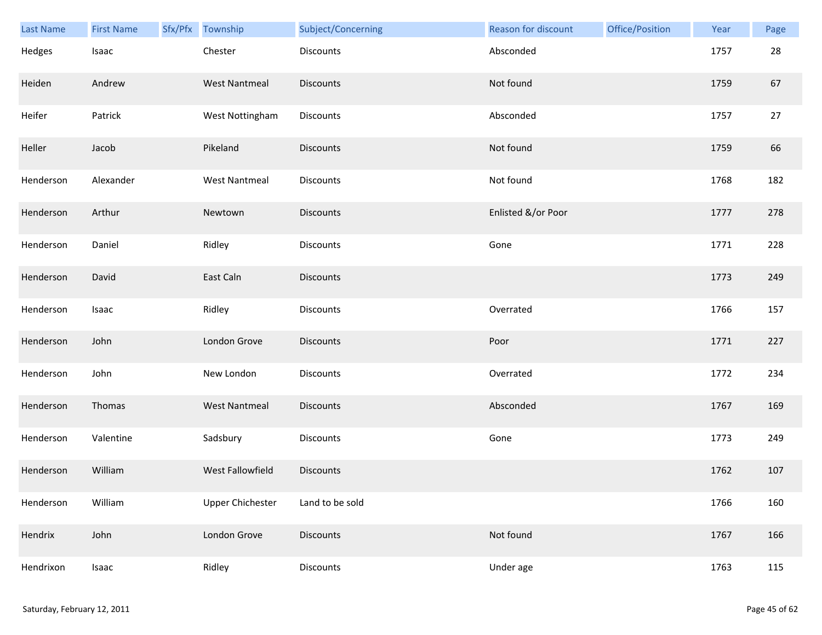| Last Name | <b>First Name</b> | Sfx/Pfx Township        | Subject/Concerning | Reason for discount | Office/Position | Year | Page |
|-----------|-------------------|-------------------------|--------------------|---------------------|-----------------|------|------|
| Hedges    | Isaac             | Chester                 | Discounts          | Absconded           |                 | 1757 | 28   |
| Heiden    | Andrew            | <b>West Nantmeal</b>    | Discounts          | Not found           |                 | 1759 | 67   |
| Heifer    | Patrick           | West Nottingham         | Discounts          | Absconded           |                 | 1757 | 27   |
| Heller    | Jacob             | Pikeland                | Discounts          | Not found           |                 | 1759 | 66   |
| Henderson | Alexander         | <b>West Nantmeal</b>    | Discounts          | Not found           |                 | 1768 | 182  |
| Henderson | Arthur            | Newtown                 | Discounts          | Enlisted &/or Poor  |                 | 1777 | 278  |
| Henderson | Daniel            | Ridley                  | Discounts          | Gone                |                 | 1771 | 228  |
| Henderson | David             | East Caln               | Discounts          |                     |                 | 1773 | 249  |
| Henderson | Isaac             | Ridley                  | <b>Discounts</b>   | Overrated           |                 | 1766 | 157  |
| Henderson | John              | London Grove            | Discounts          | Poor                |                 | 1771 | 227  |
| Henderson | John              | New London              | Discounts          | Overrated           |                 | 1772 | 234  |
| Henderson | Thomas            | <b>West Nantmeal</b>    | <b>Discounts</b>   | Absconded           |                 | 1767 | 169  |
| Henderson | Valentine         | Sadsbury                | Discounts          | Gone                |                 | 1773 | 249  |
| Henderson | William           | West Fallowfield        | <b>Discounts</b>   |                     |                 | 1762 | 107  |
| Henderson | William           | <b>Upper Chichester</b> | Land to be sold    |                     |                 | 1766 | 160  |
| Hendrix   | John              | London Grove            | Discounts          | Not found           |                 | 1767 | 166  |
| Hendrixon | Isaac             | Ridley                  | Discounts          | Under age           |                 | 1763 | 115  |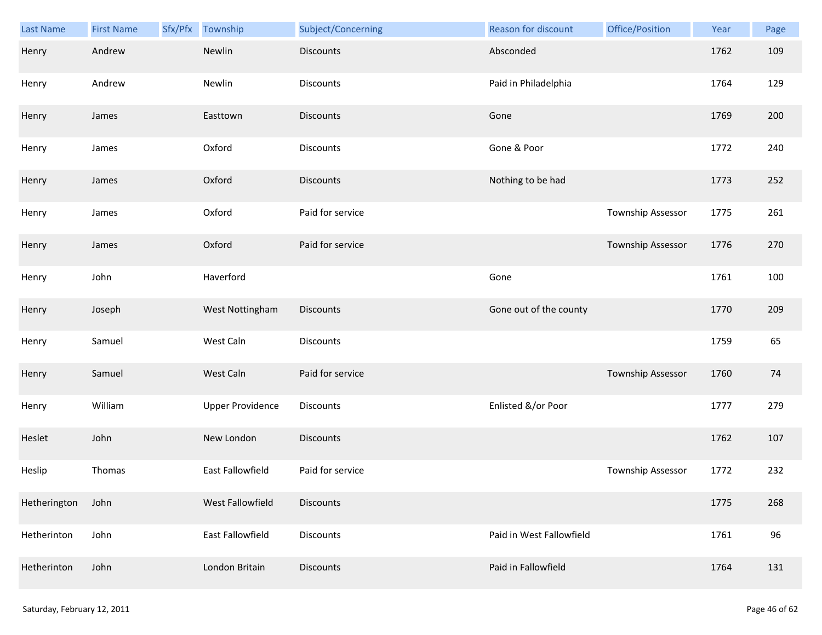| Last Name    | <b>First Name</b> | Sfx/Pfx | Township                | Subject/Concerning | <b>Reason for discount</b> | Office/Position   | Year | Page |
|--------------|-------------------|---------|-------------------------|--------------------|----------------------------|-------------------|------|------|
| Henry        | Andrew            |         | Newlin                  | <b>Discounts</b>   | Absconded                  |                   | 1762 | 109  |
| Henry        | Andrew            |         | Newlin                  | Discounts          | Paid in Philadelphia       |                   | 1764 | 129  |
| Henry        | James             |         | Easttown                | <b>Discounts</b>   | Gone                       |                   | 1769 | 200  |
| Henry        | James             |         | Oxford                  | Discounts          | Gone & Poor                |                   | 1772 | 240  |
| Henry        | James             |         | Oxford                  | <b>Discounts</b>   | Nothing to be had          |                   | 1773 | 252  |
| Henry        | James             |         | Oxford                  | Paid for service   |                            | Township Assessor | 1775 | 261  |
| Henry        | James             |         | Oxford                  | Paid for service   |                            | Township Assessor | 1776 | 270  |
| Henry        | John              |         | Haverford               |                    | Gone                       |                   | 1761 | 100  |
| Henry        | Joseph            |         | West Nottingham         | Discounts          | Gone out of the county     |                   | 1770 | 209  |
| Henry        | Samuel            |         | West Caln               | Discounts          |                            |                   | 1759 | 65   |
| Henry        | Samuel            |         | West Caln               | Paid for service   |                            | Township Assessor | 1760 | 74   |
| Henry        | William           |         | <b>Upper Providence</b> | Discounts          | Enlisted &/or Poor         |                   | 1777 | 279  |
| Heslet       | John              |         | New London              | <b>Discounts</b>   |                            |                   | 1762 | 107  |
| Heslip       | Thomas            |         | East Fallowfield        | Paid for service   |                            | Township Assessor | 1772 | 232  |
| Hetherington | John              |         | West Fallowfield        | <b>Discounts</b>   |                            |                   | 1775 | 268  |
| Hetherinton  | John              |         | East Fallowfield        | <b>Discounts</b>   | Paid in West Fallowfield   |                   | 1761 | 96   |
| Hetherinton  | John              |         | London Britain          | Discounts          | Paid in Fallowfield        |                   | 1764 | 131  |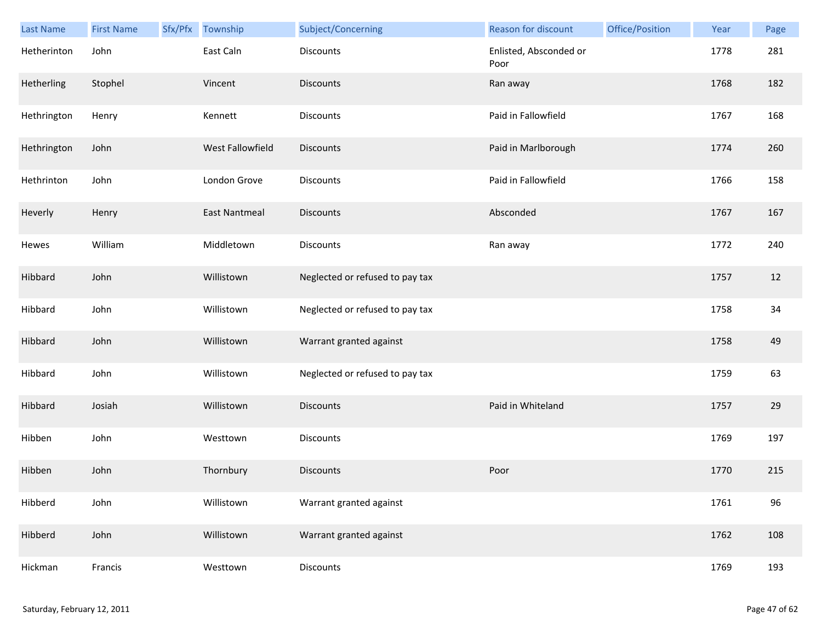| <b>Last Name</b> | <b>First Name</b> | Sfx/Pfx | Township             | Subject/Concerning              | Reason for discount            | Office/Position | Year | Page |
|------------------|-------------------|---------|----------------------|---------------------------------|--------------------------------|-----------------|------|------|
| Hetherinton      | John              |         | East Caln            | <b>Discounts</b>                | Enlisted, Absconded or<br>Poor |                 | 1778 | 281  |
| Hetherling       | Stophel           |         | Vincent              | <b>Discounts</b>                | Ran away                       |                 | 1768 | 182  |
| Hethrington      | Henry             |         | Kennett              | Discounts                       | Paid in Fallowfield            |                 | 1767 | 168  |
| Hethrington      | John              |         | West Fallowfield     | <b>Discounts</b>                | Paid in Marlborough            |                 | 1774 | 260  |
| Hethrinton       | John              |         | London Grove         | Discounts                       | Paid in Fallowfield            |                 | 1766 | 158  |
| Heverly          | Henry             |         | <b>East Nantmeal</b> | <b>Discounts</b>                | Absconded                      |                 | 1767 | 167  |
| Hewes            | William           |         | Middletown           | Discounts                       | Ran away                       |                 | 1772 | 240  |
| Hibbard          | John              |         | Willistown           | Neglected or refused to pay tax |                                |                 | 1757 | 12   |
| Hibbard          | John              |         | Willistown           | Neglected or refused to pay tax |                                |                 | 1758 | 34   |
| Hibbard          | John              |         | Willistown           | Warrant granted against         |                                |                 | 1758 | 49   |
| Hibbard          | John              |         | Willistown           | Neglected or refused to pay tax |                                |                 | 1759 | 63   |
| Hibbard          | Josiah            |         | Willistown           | <b>Discounts</b>                | Paid in Whiteland              |                 | 1757 | 29   |
| Hibben           | John              |         | Westtown             | Discounts                       |                                |                 | 1769 | 197  |
| Hibben           | John              |         | Thornbury            | <b>Discounts</b>                | Poor                           |                 | 1770 | 215  |
| Hibberd          | John              |         | Willistown           | Warrant granted against         |                                |                 | 1761 | 96   |
| Hibberd          | John              |         | Willistown           | Warrant granted against         |                                |                 | 1762 | 108  |
| Hickman          | Francis           |         | Westtown             | Discounts                       |                                |                 | 1769 | 193  |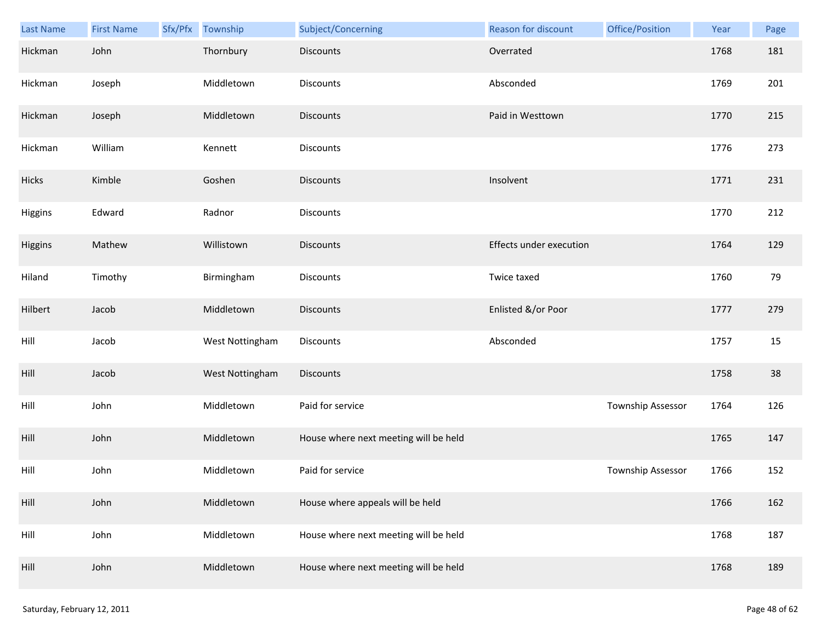| Last Name | <b>First Name</b> | Sfx/Pfx Township | Subject/Concerning                    | Reason for discount     | Office/Position   | Year | Page |
|-----------|-------------------|------------------|---------------------------------------|-------------------------|-------------------|------|------|
| Hickman   | John              | Thornbury        | <b>Discounts</b>                      | Overrated               |                   | 1768 | 181  |
| Hickman   | Joseph            | Middletown       | Discounts                             | Absconded               |                   | 1769 | 201  |
| Hickman   | Joseph            | Middletown       | <b>Discounts</b>                      | Paid in Westtown        |                   | 1770 | 215  |
| Hickman   | William           | Kennett          | <b>Discounts</b>                      |                         |                   | 1776 | 273  |
| Hicks     | Kimble            | Goshen           | <b>Discounts</b>                      | Insolvent               |                   | 1771 | 231  |
| Higgins   | Edward            | Radnor           | Discounts                             |                         |                   | 1770 | 212  |
| Higgins   | Mathew            | Willistown       | <b>Discounts</b>                      | Effects under execution |                   | 1764 | 129  |
| Hiland    | Timothy           | Birmingham       | Discounts                             | Twice taxed             |                   | 1760 | 79   |
| Hilbert   | Jacob             | Middletown       | <b>Discounts</b>                      | Enlisted &/or Poor      |                   | 1777 | 279  |
| Hill      | Jacob             | West Nottingham  | Discounts                             | Absconded               |                   | 1757 | 15   |
| Hill      | Jacob             | West Nottingham  | <b>Discounts</b>                      |                         |                   | 1758 | 38   |
| Hill      | John              | Middletown       | Paid for service                      |                         | Township Assessor | 1764 | 126  |
| Hill      | John              | Middletown       | House where next meeting will be held |                         |                   | 1765 | 147  |
| Hill      | John              | Middletown       | Paid for service                      |                         | Township Assessor | 1766 | 152  |
| Hill      | John              | Middletown       | House where appeals will be held      |                         |                   | 1766 | 162  |
| Hill      | John              | Middletown       | House where next meeting will be held |                         |                   | 1768 | 187  |
| Hill      | John              | Middletown       | House where next meeting will be held |                         |                   | 1768 | 189  |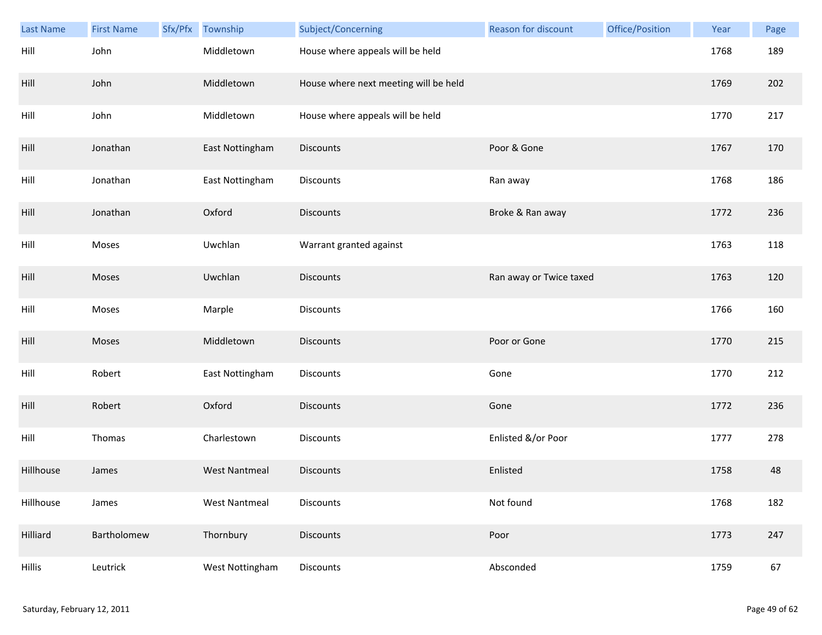| <b>Last Name</b> | <b>First Name</b> | Sfx/Pfx | Township             | Subject/Concerning                    | <b>Reason for discount</b> | Office/Position | Year | Page |
|------------------|-------------------|---------|----------------------|---------------------------------------|----------------------------|-----------------|------|------|
| Hill             | John              |         | Middletown           | House where appeals will be held      |                            |                 | 1768 | 189  |
| Hill             | John              |         | Middletown           | House where next meeting will be held |                            |                 | 1769 | 202  |
| Hill             | John              |         | Middletown           | House where appeals will be held      |                            |                 | 1770 | 217  |
| Hill             | Jonathan          |         | East Nottingham      | <b>Discounts</b>                      | Poor & Gone                |                 | 1767 | 170  |
| Hill             | Jonathan          |         | East Nottingham      | Discounts                             | Ran away                   |                 | 1768 | 186  |
| Hill             | Jonathan          |         | Oxford               | <b>Discounts</b>                      | Broke & Ran away           |                 | 1772 | 236  |
| Hill             | Moses             |         | Uwchlan              | Warrant granted against               |                            |                 | 1763 | 118  |
| Hill             | Moses             |         | Uwchlan              | <b>Discounts</b>                      | Ran away or Twice taxed    |                 | 1763 | 120  |
| Hill             | Moses             |         | Marple               | <b>Discounts</b>                      |                            |                 | 1766 | 160  |
| Hill             | Moses             |         | Middletown           | <b>Discounts</b>                      | Poor or Gone               |                 | 1770 | 215  |
| Hill             | Robert            |         | East Nottingham      | Discounts                             | Gone                       |                 | 1770 | 212  |
| Hill             | Robert            |         | Oxford               | <b>Discounts</b>                      | Gone                       |                 | 1772 | 236  |
| Hill             | Thomas            |         | Charlestown          | Discounts                             | Enlisted &/or Poor         |                 | 1777 | 278  |
| Hillhouse        | James             |         | <b>West Nantmeal</b> | <b>Discounts</b>                      | Enlisted                   |                 | 1758 | 48   |
| Hillhouse        | James             |         | <b>West Nantmeal</b> | Discounts                             | Not found                  |                 | 1768 | 182  |
| Hilliard         | Bartholomew       |         | Thornbury            | <b>Discounts</b>                      | Poor                       |                 | 1773 | 247  |
| <b>Hillis</b>    | Leutrick          |         | West Nottingham      | Discounts                             | Absconded                  |                 | 1759 | 67   |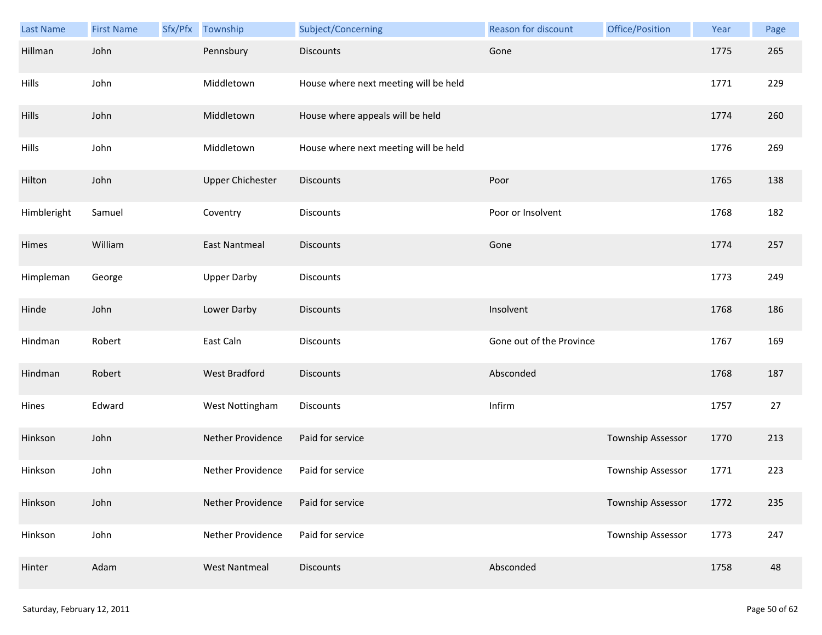| Last Name   | <b>First Name</b> | Sfx/Pfx Township        | Subject/Concerning                    | Reason for discount      | Office/Position          | Year | Page |
|-------------|-------------------|-------------------------|---------------------------------------|--------------------------|--------------------------|------|------|
| Hillman     | John              | Pennsbury               | <b>Discounts</b>                      | Gone                     |                          | 1775 | 265  |
| Hills       | John              | Middletown              | House where next meeting will be held |                          |                          | 1771 | 229  |
| Hills       | John              | Middletown              | House where appeals will be held      |                          |                          | 1774 | 260  |
| Hills       | John              | Middletown              | House where next meeting will be held |                          |                          | 1776 | 269  |
| Hilton      | John              | <b>Upper Chichester</b> | <b>Discounts</b>                      | Poor                     |                          | 1765 | 138  |
| Himbleright | Samuel            | Coventry                | Discounts                             | Poor or Insolvent        |                          | 1768 | 182  |
| Himes       | William           | <b>East Nantmeal</b>    | Discounts                             | Gone                     |                          | 1774 | 257  |
| Himpleman   | George            | <b>Upper Darby</b>      | Discounts                             |                          |                          | 1773 | 249  |
| Hinde       | John              | Lower Darby             | <b>Discounts</b>                      | Insolvent                |                          | 1768 | 186  |
| Hindman     | Robert            | East Caln               | Discounts                             | Gone out of the Province |                          | 1767 | 169  |
| Hindman     | Robert            | West Bradford           | <b>Discounts</b>                      | Absconded                |                          | 1768 | 187  |
| Hines       | Edward            | West Nottingham         | Discounts                             | Infirm                   |                          | 1757 | 27   |
| Hinkson     | John              | Nether Providence       | Paid for service                      |                          | Township Assessor        | 1770 | 213  |
| Hinkson     | John              | Nether Providence       | Paid for service                      |                          | Township Assessor        | 1771 | 223  |
| Hinkson     | John              | Nether Providence       | Paid for service                      |                          | Township Assessor        | 1772 | 235  |
| Hinkson     | John              | Nether Providence       | Paid for service                      |                          | <b>Township Assessor</b> | 1773 | 247  |
| Hinter      | Adam              | <b>West Nantmeal</b>    | <b>Discounts</b>                      | Absconded                |                          | 1758 | 48   |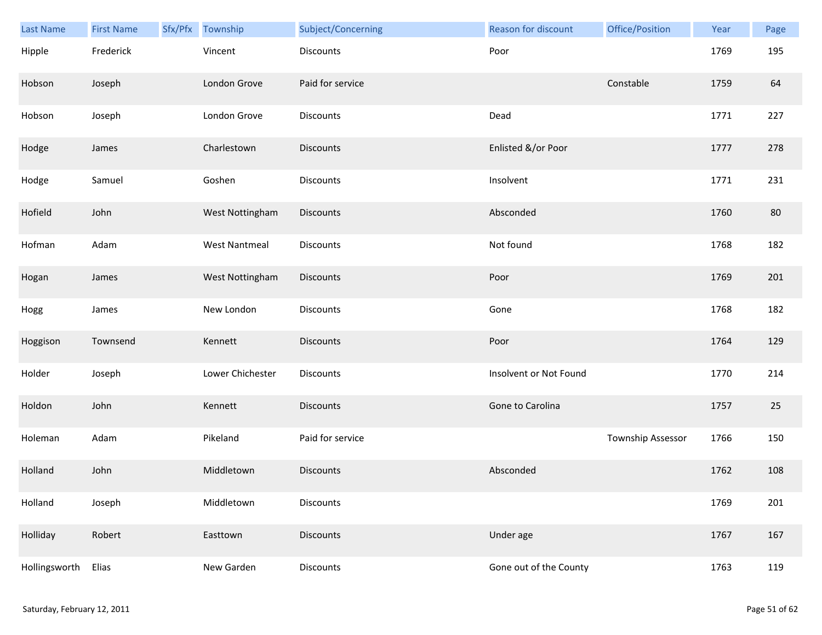| Last Name     | <b>First Name</b> | Sfx/Pfx Township     | Subject/Concerning | Reason for discount    | Office/Position   | Year | Page |
|---------------|-------------------|----------------------|--------------------|------------------------|-------------------|------|------|
| Hipple        | Frederick         | Vincent              | <b>Discounts</b>   | Poor                   |                   | 1769 | 195  |
| Hobson        | Joseph            | London Grove         | Paid for service   |                        | Constable         | 1759 | 64   |
| Hobson        | Joseph            | London Grove         | Discounts          | Dead                   |                   | 1771 | 227  |
| Hodge         | James             | Charlestown          | <b>Discounts</b>   | Enlisted &/or Poor     |                   | 1777 | 278  |
| Hodge         | Samuel            | Goshen               | Discounts          | Insolvent              |                   | 1771 | 231  |
| Hofield       | John              | West Nottingham      | Discounts          | Absconded              |                   | 1760 | 80   |
| Hofman        | Adam              | <b>West Nantmeal</b> | Discounts          | Not found              |                   | 1768 | 182  |
| Hogan         | James             | West Nottingham      | Discounts          | Poor                   |                   | 1769 | 201  |
| Hogg          | James             | New London           | Discounts          | Gone                   |                   | 1768 | 182  |
| Hoggison      | Townsend          | Kennett              | <b>Discounts</b>   | Poor                   |                   | 1764 | 129  |
| Holder        | Joseph            | Lower Chichester     | Discounts          | Insolvent or Not Found |                   | 1770 | 214  |
| Holdon        | John              | Kennett              | <b>Discounts</b>   | Gone to Carolina       |                   | 1757 | 25   |
| Holeman       | Adam              | Pikeland             | Paid for service   |                        | Township Assessor | 1766 | 150  |
| Holland       | John              | Middletown           | <b>Discounts</b>   | Absconded              |                   | 1762 | 108  |
| Holland       | Joseph            | Middletown           | <b>Discounts</b>   |                        |                   | 1769 | 201  |
| Holliday      | Robert            | Easttown             | <b>Discounts</b>   | Under age              |                   | 1767 | 167  |
| Hollingsworth | Elias             | New Garden           | Discounts          | Gone out of the County |                   | 1763 | 119  |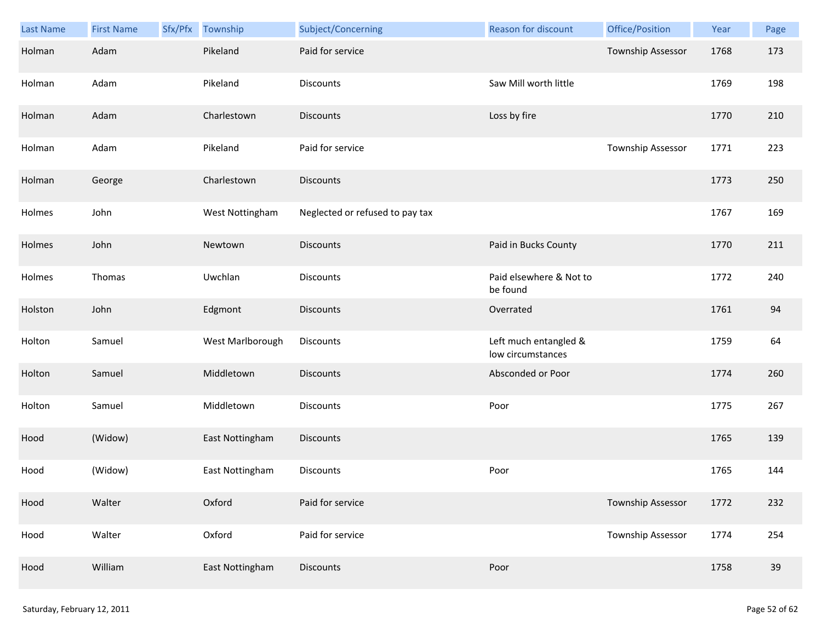| Last Name | <b>First Name</b> | Sfx/Pfx | Township         | Subject/Concerning              | Reason for discount                        | Office/Position          | Year | Page |
|-----------|-------------------|---------|------------------|---------------------------------|--------------------------------------------|--------------------------|------|------|
| Holman    | Adam              |         | Pikeland         | Paid for service                |                                            | Township Assessor        | 1768 | 173  |
| Holman    | Adam              |         | Pikeland         | Discounts                       | Saw Mill worth little                      |                          | 1769 | 198  |
| Holman    | Adam              |         | Charlestown      | <b>Discounts</b>                | Loss by fire                               |                          | 1770 | 210  |
| Holman    | Adam              |         | Pikeland         | Paid for service                |                                            | Township Assessor        | 1771 | 223  |
| Holman    | George            |         | Charlestown      | <b>Discounts</b>                |                                            |                          | 1773 | 250  |
| Holmes    | John              |         | West Nottingham  | Neglected or refused to pay tax |                                            |                          | 1767 | 169  |
| Holmes    | John              |         | Newtown          | Discounts                       | Paid in Bucks County                       |                          | 1770 | 211  |
| Holmes    | Thomas            |         | Uwchlan          | Discounts                       | Paid elsewhere & Not to<br>be found        |                          | 1772 | 240  |
| Holston   | John              |         | Edgmont          | <b>Discounts</b>                | Overrated                                  |                          | 1761 | 94   |
| Holton    | Samuel            |         | West Marlborough | Discounts                       | Left much entangled &<br>low circumstances |                          | 1759 | 64   |
| Holton    | Samuel            |         | Middletown       | <b>Discounts</b>                | Absconded or Poor                          |                          | 1774 | 260  |
| Holton    | Samuel            |         | Middletown       | Discounts                       | Poor                                       |                          | 1775 | 267  |
| Hood      | (Widow)           |         | East Nottingham  | <b>Discounts</b>                |                                            |                          | 1765 | 139  |
| Hood      | (Widow)           |         | East Nottingham  | Discounts                       | Poor                                       |                          | 1765 | 144  |
| Hood      | Walter            |         | Oxford           | Paid for service                |                                            | Township Assessor        | 1772 | 232  |
| Hood      | Walter            |         | Oxford           | Paid for service                |                                            | <b>Township Assessor</b> | 1774 | 254  |
| Hood      | William           |         | East Nottingham  | <b>Discounts</b>                | Poor                                       |                          | 1758 | 39   |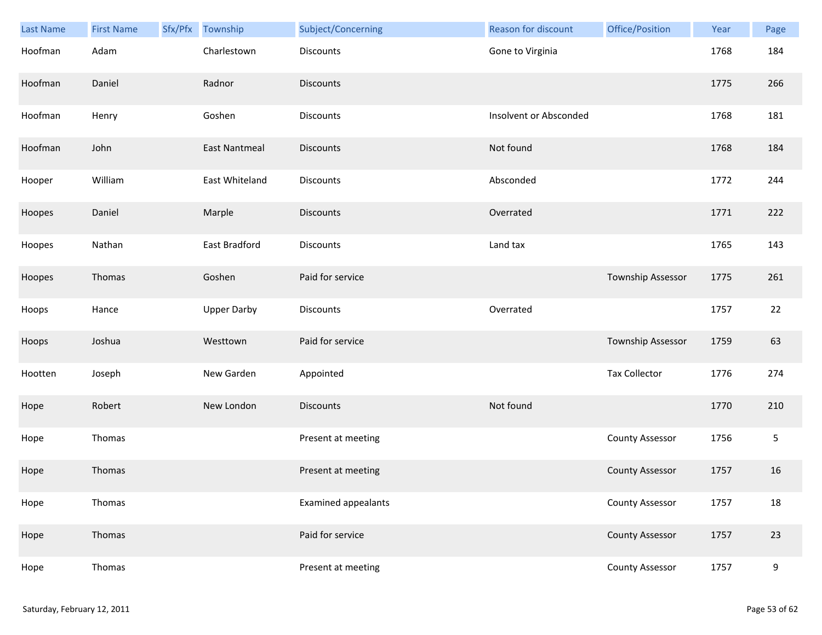| Last Name | <b>First Name</b> | Sfx/Pfx | Township             | Subject/Concerning         | Reason for discount    | Office/Position        | Year | Page |
|-----------|-------------------|---------|----------------------|----------------------------|------------------------|------------------------|------|------|
| Hoofman   | Adam              |         | Charlestown          | <b>Discounts</b>           | Gone to Virginia       |                        | 1768 | 184  |
| Hoofman   | Daniel            |         | Radnor               | <b>Discounts</b>           |                        |                        | 1775 | 266  |
| Hoofman   | Henry             |         | Goshen               | Discounts                  | Insolvent or Absconded |                        | 1768 | 181  |
| Hoofman   | John              |         | <b>East Nantmeal</b> | <b>Discounts</b>           | Not found              |                        | 1768 | 184  |
| Hooper    | William           |         | East Whiteland       | Discounts                  | Absconded              |                        | 1772 | 244  |
| Hoopes    | Daniel            |         | Marple               | <b>Discounts</b>           | Overrated              |                        | 1771 | 222  |
| Hoopes    | Nathan            |         | East Bradford        | Discounts                  | Land tax               |                        | 1765 | 143  |
| Hoopes    | Thomas            |         | Goshen               | Paid for service           |                        | Township Assessor      | 1775 | 261  |
| Hoops     | Hance             |         | <b>Upper Darby</b>   | Discounts                  | Overrated              |                        | 1757 | 22   |
| Hoops     | Joshua            |         | Westtown             | Paid for service           |                        | Township Assessor      | 1759 | 63   |
| Hootten   | Joseph            |         | New Garden           | Appointed                  |                        | <b>Tax Collector</b>   | 1776 | 274  |
| Hope      | Robert            |         | New London           | <b>Discounts</b>           | Not found              |                        | 1770 | 210  |
| Hope      | Thomas            |         |                      | Present at meeting         |                        | <b>County Assessor</b> | 1756 | 5    |
| Hope      | Thomas            |         |                      | Present at meeting         |                        | <b>County Assessor</b> | 1757 | 16   |
| Hope      | Thomas            |         |                      | <b>Examined appealants</b> |                        | <b>County Assessor</b> | 1757 | 18   |
| Hope      | Thomas            |         |                      | Paid for service           |                        | <b>County Assessor</b> | 1757 | 23   |
| Hope      | Thomas            |         |                      | Present at meeting         |                        | <b>County Assessor</b> | 1757 | 9    |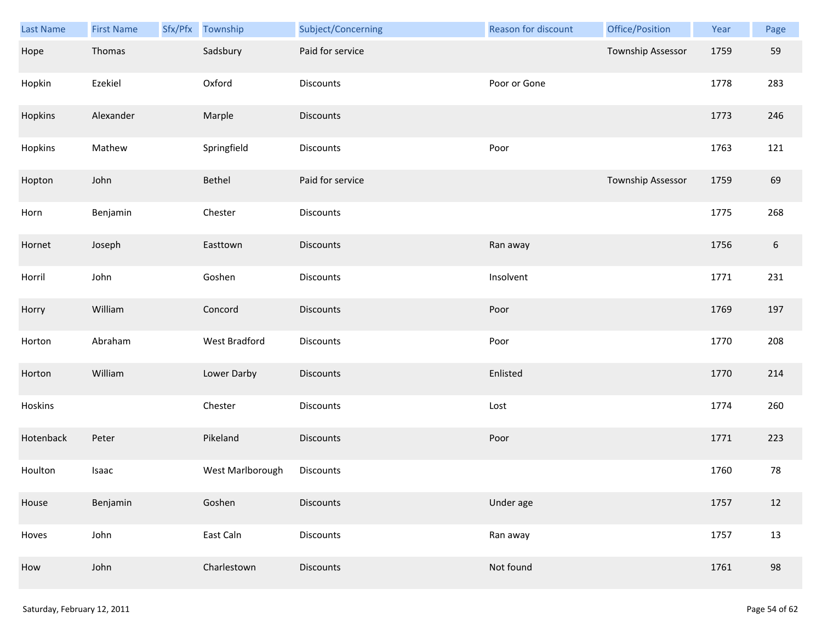| Last Name | <b>First Name</b> | Sfx/Pfx Township | Subject/Concerning | Reason for discount | Office/Position   | Year | Page             |
|-----------|-------------------|------------------|--------------------|---------------------|-------------------|------|------------------|
| Hope      | Thomas            | Sadsbury         | Paid for service   |                     | Township Assessor | 1759 | 59               |
| Hopkin    | Ezekiel           | Oxford           | Discounts          | Poor or Gone        |                   | 1778 | 283              |
| Hopkins   | Alexander         | Marple           | Discounts          |                     |                   | 1773 | 246              |
| Hopkins   | Mathew            | Springfield      | <b>Discounts</b>   | Poor                |                   | 1763 | 121              |
| Hopton    | John              | Bethel           | Paid for service   |                     | Township Assessor | 1759 | 69               |
| Horn      | Benjamin          | Chester          | Discounts          |                     |                   | 1775 | 268              |
| Hornet    | Joseph            | Easttown         | <b>Discounts</b>   | Ran away            |                   | 1756 | $\boldsymbol{6}$ |
| Horril    | John              | Goshen           | Discounts          | Insolvent           |                   | 1771 | 231              |
| Horry     | William           | Concord          | <b>Discounts</b>   | Poor                |                   | 1769 | 197              |
| Horton    | Abraham           | West Bradford    | Discounts          | Poor                |                   | 1770 | 208              |
| Horton    | William           | Lower Darby      | Discounts          | Enlisted            |                   | 1770 | 214              |
| Hoskins   |                   | Chester          | Discounts          | Lost                |                   | 1774 | 260              |
| Hotenback | Peter             | Pikeland         | Discounts          | Poor                |                   | 1771 | 223              |
| Houlton   | Isaac             | West Marlborough | Discounts          |                     |                   | 1760 | 78               |
| House     | Benjamin          | Goshen           | <b>Discounts</b>   | Under age           |                   | 1757 | 12               |
| Hoves     | John              | East Caln        | <b>Discounts</b>   | Ran away            |                   | 1757 | 13               |
| How       | John              | Charlestown      | <b>Discounts</b>   | Not found           |                   | 1761 | 98               |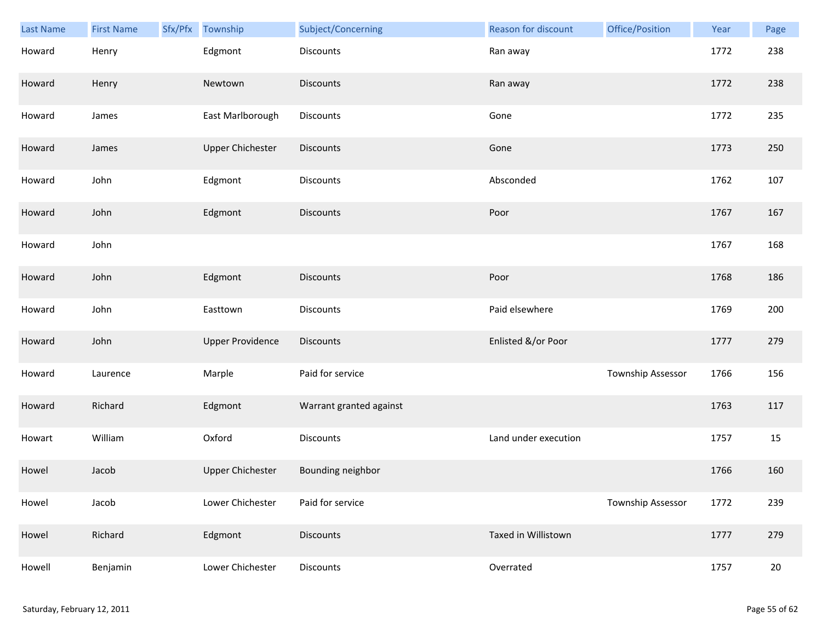| <b>Last Name</b> | <b>First Name</b> | Sfx/Pfx | Township                | Subject/Concerning      | Reason for discount  | Office/Position          | Year | Page   |
|------------------|-------------------|---------|-------------------------|-------------------------|----------------------|--------------------------|------|--------|
| Howard           | Henry             |         | Edgmont                 | Discounts               | Ran away             |                          | 1772 | 238    |
| Howard           | Henry             |         | Newtown                 | <b>Discounts</b>        | Ran away             |                          | 1772 | 238    |
| Howard           | James             |         | East Marlborough        | Discounts               | Gone                 |                          | 1772 | 235    |
| Howard           | James             |         | <b>Upper Chichester</b> | Discounts               | Gone                 |                          | 1773 | 250    |
| Howard           | John              |         | Edgmont                 | Discounts               | Absconded            |                          | 1762 | 107    |
| Howard           | John              |         | Edgmont                 | <b>Discounts</b>        | Poor                 |                          | 1767 | 167    |
| Howard           | John              |         |                         |                         |                      |                          | 1767 | 168    |
| Howard           | John              |         | Edgmont                 | Discounts               | Poor                 |                          | 1768 | 186    |
| Howard           | John              |         | Easttown                | <b>Discounts</b>        | Paid elsewhere       |                          | 1769 | 200    |
| Howard           | John              |         | <b>Upper Providence</b> | <b>Discounts</b>        | Enlisted &/or Poor   |                          | 1777 | 279    |
| Howard           | Laurence          |         | Marple                  | Paid for service        |                      | Township Assessor        | 1766 | 156    |
| Howard           | Richard           |         | Edgmont                 | Warrant granted against |                      |                          | 1763 | 117    |
| Howart           | William           |         | Oxford                  | Discounts               | Land under execution |                          | 1757 | 15     |
| Howel            | Jacob             |         | <b>Upper Chichester</b> | Bounding neighbor       |                      |                          | 1766 | 160    |
| Howel            | Jacob             |         | Lower Chichester        | Paid for service        |                      | <b>Township Assessor</b> | 1772 | 239    |
| Howel            | Richard           |         | Edgmont                 | Discounts               | Taxed in Willistown  |                          | 1777 | 279    |
| Howell           | Benjamin          |         | Lower Chichester        | Discounts               | Overrated            |                          | 1757 | $20\,$ |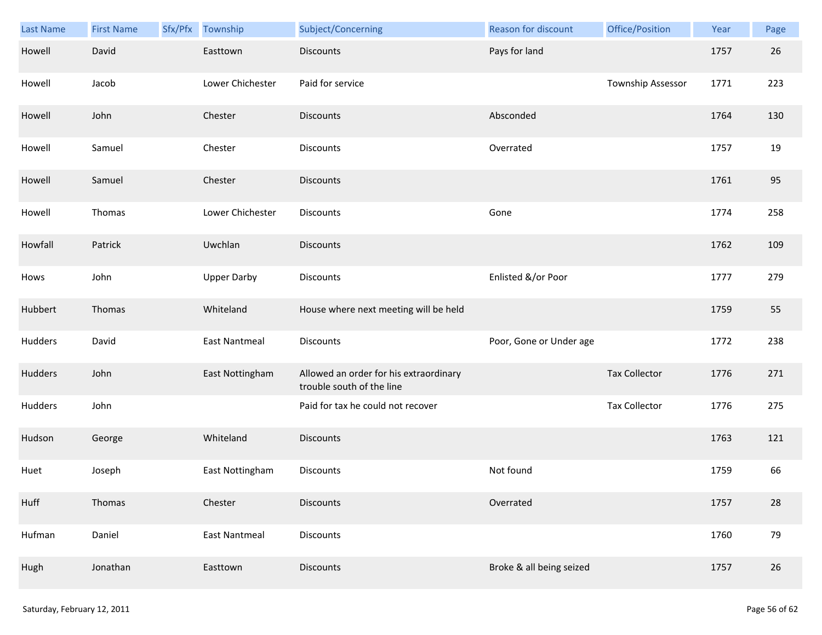| Last Name | <b>First Name</b> | Sfx/Pfx Township     | Subject/Concerning                                                  | Reason for discount      | Office/Position      | Year | Page |
|-----------|-------------------|----------------------|---------------------------------------------------------------------|--------------------------|----------------------|------|------|
| Howell    | David             | Easttown             | <b>Discounts</b>                                                    | Pays for land            |                      | 1757 | 26   |
| Howell    | Jacob             | Lower Chichester     | Paid for service                                                    |                          | Township Assessor    | 1771 | 223  |
| Howell    | John              | Chester              | <b>Discounts</b>                                                    | Absconded                |                      | 1764 | 130  |
| Howell    | Samuel            | Chester              | Discounts                                                           | Overrated                |                      | 1757 | 19   |
| Howell    | Samuel            | Chester              | <b>Discounts</b>                                                    |                          |                      | 1761 | 95   |
| Howell    | Thomas            | Lower Chichester     | Discounts                                                           | Gone                     |                      | 1774 | 258  |
| Howfall   | Patrick           | Uwchlan              | <b>Discounts</b>                                                    |                          |                      | 1762 | 109  |
| Hows      | John              | <b>Upper Darby</b>   | Discounts                                                           | Enlisted &/or Poor       |                      | 1777 | 279  |
| Hubbert   | Thomas            | Whiteland            | House where next meeting will be held                               |                          |                      | 1759 | 55   |
| Hudders   | David             | <b>East Nantmeal</b> | Discounts                                                           | Poor, Gone or Under age  |                      | 1772 | 238  |
| Hudders   | John              | East Nottingham      | Allowed an order for his extraordinary<br>trouble south of the line |                          | <b>Tax Collector</b> | 1776 | 271  |
| Hudders   | John              |                      | Paid for tax he could not recover                                   |                          | <b>Tax Collector</b> | 1776 | 275  |
| Hudson    | George            | Whiteland            | <b>Discounts</b>                                                    |                          |                      | 1763 | 121  |
| Huet      | Joseph            | East Nottingham      | Discounts                                                           | Not found                |                      | 1759 | 66   |
| Huff      | Thomas            | Chester              | <b>Discounts</b>                                                    | Overrated                |                      | 1757 | 28   |
| Hufman    | Daniel            | <b>East Nantmeal</b> | Discounts                                                           |                          |                      | 1760 | 79   |
| Hugh      | Jonathan          | Easttown             | Discounts                                                           | Broke & all being seized |                      | 1757 | 26   |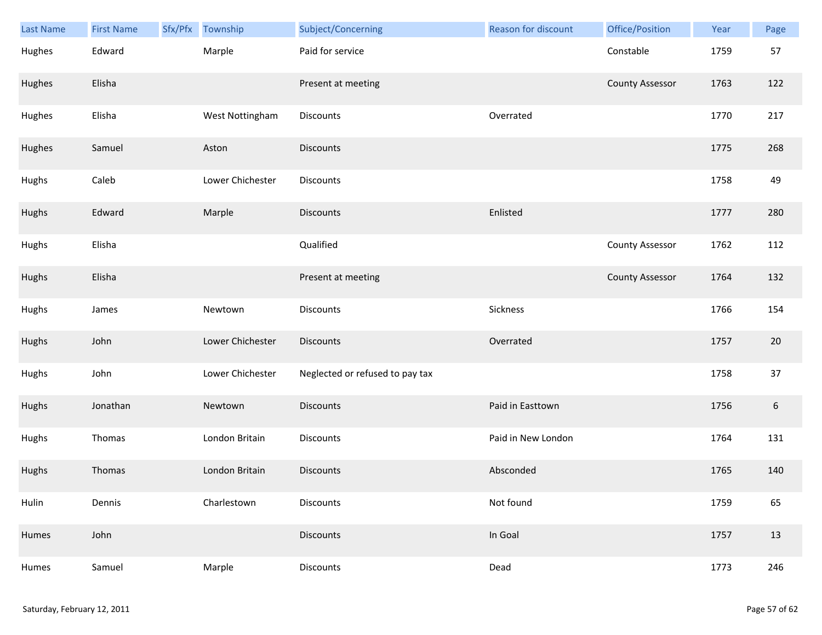| Last Name | <b>First Name</b> | Sfx/Pfx | Township         | Subject/Concerning              | <b>Reason for discount</b> | Office/Position        | Year | Page             |
|-----------|-------------------|---------|------------------|---------------------------------|----------------------------|------------------------|------|------------------|
| Hughes    | Edward            |         | Marple           | Paid for service                |                            | Constable              | 1759 | 57               |
| Hughes    | Elisha            |         |                  | Present at meeting              |                            | <b>County Assessor</b> | 1763 | 122              |
| Hughes    | Elisha            |         | West Nottingham  | Discounts                       | Overrated                  |                        | 1770 | 217              |
| Hughes    | Samuel            |         | Aston            | <b>Discounts</b>                |                            |                        | 1775 | 268              |
| Hughs     | Caleb             |         | Lower Chichester | Discounts                       |                            |                        | 1758 | 49               |
| Hughs     | Edward            |         | Marple           | <b>Discounts</b>                | Enlisted                   |                        | 1777 | 280              |
| Hughs     | Elisha            |         |                  | Qualified                       |                            | <b>County Assessor</b> | 1762 | 112              |
| Hughs     | Elisha            |         |                  | Present at meeting              |                            | <b>County Assessor</b> | 1764 | 132              |
| Hughs     | James             |         | Newtown          | Discounts                       | Sickness                   |                        | 1766 | 154              |
| Hughs     | John              |         | Lower Chichester | <b>Discounts</b>                | Overrated                  |                        | 1757 | 20               |
| Hughs     | John              |         | Lower Chichester | Neglected or refused to pay tax |                            |                        | 1758 | 37               |
| Hughs     | Jonathan          |         | Newtown          | <b>Discounts</b>                | Paid in Easttown           |                        | 1756 | $\boldsymbol{6}$ |
| Hughs     | Thomas            |         | London Britain   | Discounts                       | Paid in New London         |                        | 1764 | 131              |
| Hughs     | Thomas            |         | London Britain   | <b>Discounts</b>                | Absconded                  |                        | 1765 | 140              |
| Hulin     | Dennis            |         | Charlestown      | Discounts                       | Not found                  |                        | 1759 | 65               |
| Humes     | John              |         |                  | Discounts                       | In Goal                    |                        | 1757 | 13               |
| Humes     | Samuel            |         | Marple           | Discounts                       | Dead                       |                        | 1773 | 246              |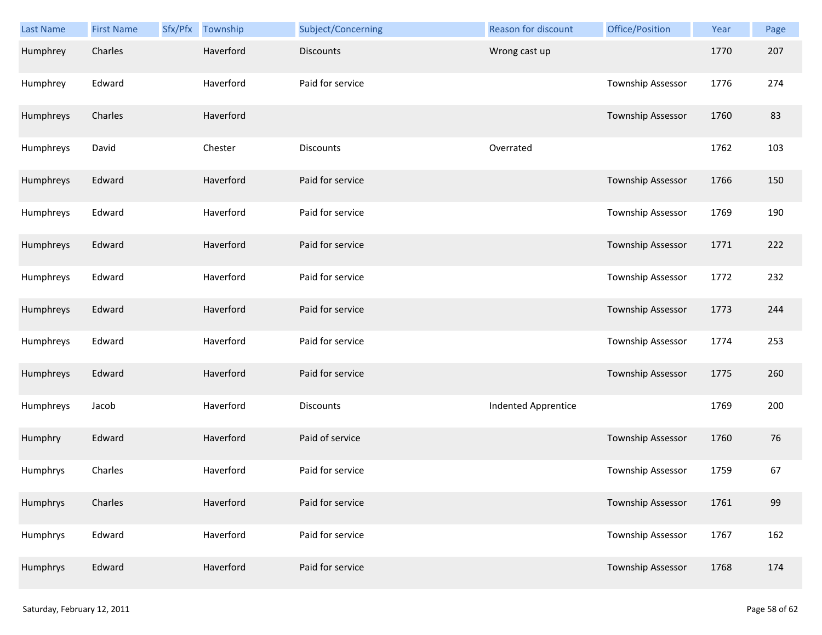| <b>Last Name</b> | <b>First Name</b> | Sfx/Pfx | Township  | Subject/Concerning | Reason for discount        | Office/Position          | Year | Page |
|------------------|-------------------|---------|-----------|--------------------|----------------------------|--------------------------|------|------|
| Humphrey         | Charles           |         | Haverford | <b>Discounts</b>   | Wrong cast up              |                          | 1770 | 207  |
| Humphrey         | Edward            |         | Haverford | Paid for service   |                            | Township Assessor        | 1776 | 274  |
| Humphreys        | Charles           |         | Haverford |                    |                            | Township Assessor        | 1760 | 83   |
| Humphreys        | David             |         | Chester   | Discounts          | Overrated                  |                          | 1762 | 103  |
| Humphreys        | Edward            |         | Haverford | Paid for service   |                            | <b>Township Assessor</b> | 1766 | 150  |
| Humphreys        | Edward            |         | Haverford | Paid for service   |                            | Township Assessor        | 1769 | 190  |
| Humphreys        | Edward            |         | Haverford | Paid for service   |                            | Township Assessor        | 1771 | 222  |
| Humphreys        | Edward            |         | Haverford | Paid for service   |                            | Township Assessor        | 1772 | 232  |
| Humphreys        | Edward            |         | Haverford | Paid for service   |                            | Township Assessor        | 1773 | 244  |
| Humphreys        | Edward            |         | Haverford | Paid for service   |                            | Township Assessor        | 1774 | 253  |
| Humphreys        | Edward            |         | Haverford | Paid for service   |                            | Township Assessor        | 1775 | 260  |
| Humphreys        | Jacob             |         | Haverford | <b>Discounts</b>   | <b>Indented Apprentice</b> |                          | 1769 | 200  |
| Humphry          | Edward            |         | Haverford | Paid of service    |                            | Township Assessor        | 1760 | 76   |
| Humphrys         | Charles           |         | Haverford | Paid for service   |                            | Township Assessor        | 1759 | 67   |
| Humphrys         | Charles           |         | Haverford | Paid for service   |                            | <b>Township Assessor</b> | 1761 | 99   |
| Humphrys         | Edward            |         | Haverford | Paid for service   |                            | Township Assessor        | 1767 | 162  |
| Humphrys         | Edward            |         | Haverford | Paid for service   |                            | Township Assessor        | 1768 | 174  |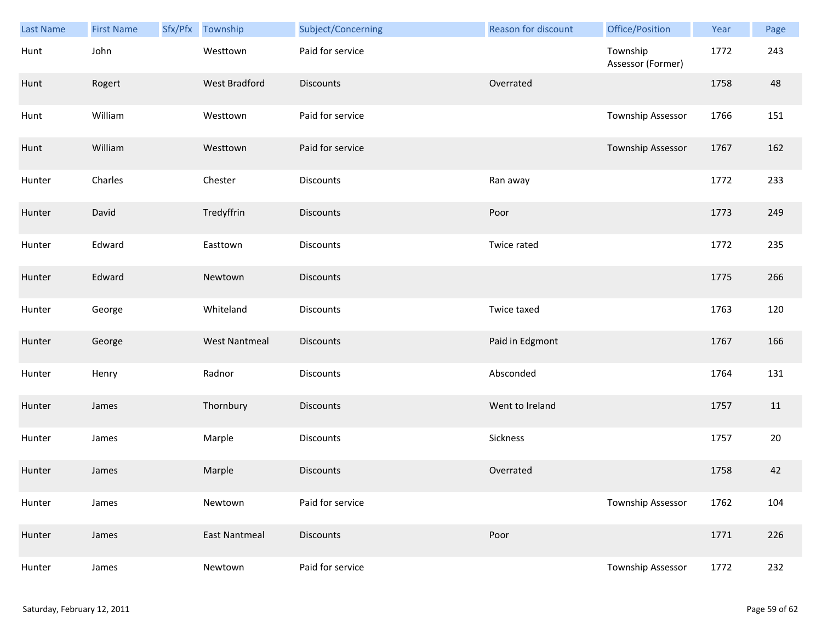| Last Name | <b>First Name</b> | Sfx/Pfx | Township             | Subject/Concerning | <b>Reason for discount</b> | Office/Position               | Year | Page |
|-----------|-------------------|---------|----------------------|--------------------|----------------------------|-------------------------------|------|------|
| Hunt      | John              |         | Westtown             | Paid for service   |                            | Township<br>Assessor (Former) | 1772 | 243  |
| Hunt      | Rogert            |         | <b>West Bradford</b> | <b>Discounts</b>   | Overrated                  |                               | 1758 | 48   |
| Hunt      | William           |         | Westtown             | Paid for service   |                            | Township Assessor             | 1766 | 151  |
| Hunt      | William           |         | Westtown             | Paid for service   |                            | Township Assessor             | 1767 | 162  |
| Hunter    | Charles           |         | Chester              | Discounts          | Ran away                   |                               | 1772 | 233  |
| Hunter    | David             |         | Tredyffrin           | <b>Discounts</b>   | Poor                       |                               | 1773 | 249  |
| Hunter    | Edward            |         | Easttown             | Discounts          | Twice rated                |                               | 1772 | 235  |
| Hunter    | Edward            |         | Newtown              | <b>Discounts</b>   |                            |                               | 1775 | 266  |
| Hunter    | George            |         | Whiteland            | Discounts          | Twice taxed                |                               | 1763 | 120  |
| Hunter    | George            |         | <b>West Nantmeal</b> | <b>Discounts</b>   | Paid in Edgmont            |                               | 1767 | 166  |
| Hunter    | Henry             |         | Radnor               | Discounts          | Absconded                  |                               | 1764 | 131  |
| Hunter    | James             |         | Thornbury            | <b>Discounts</b>   | Went to Ireland            |                               | 1757 | 11   |
| Hunter    | James             |         | Marple               | Discounts          | Sickness                   |                               | 1757 | 20   |
| Hunter    | James             |         | Marple               | <b>Discounts</b>   | Overrated                  |                               | 1758 | 42   |
| Hunter    | James             |         | Newtown              | Paid for service   |                            | Township Assessor             | 1762 | 104  |
| Hunter    | James             |         | <b>East Nantmeal</b> | <b>Discounts</b>   | Poor                       |                               | 1771 | 226  |
| Hunter    | James             |         | Newtown              | Paid for service   |                            | Township Assessor             | 1772 | 232  |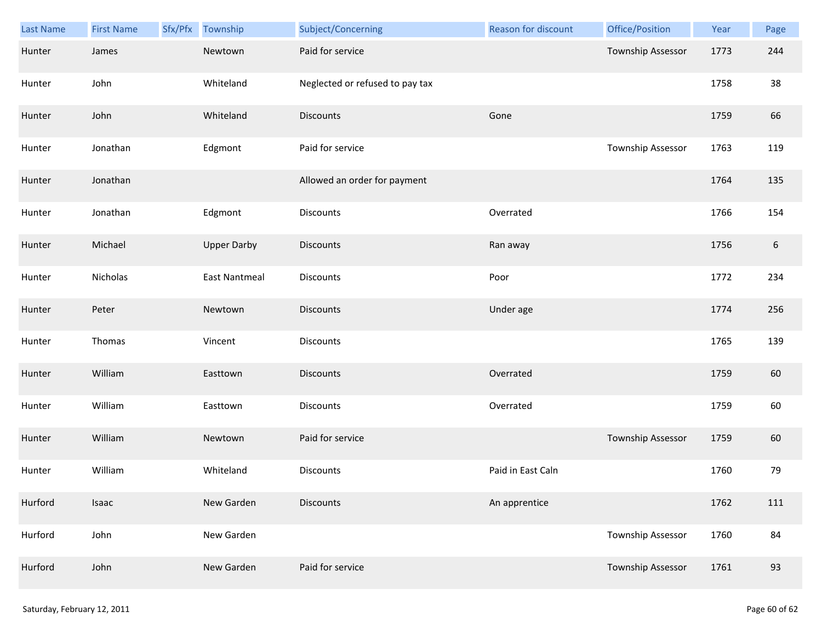| Last Name | <b>First Name</b> | Sfx/Pfx | Township             | Subject/Concerning              | Reason for discount | Office/Position          | Year | Page             |
|-----------|-------------------|---------|----------------------|---------------------------------|---------------------|--------------------------|------|------------------|
| Hunter    | James             |         | Newtown              | Paid for service                |                     | Township Assessor        | 1773 | 244              |
| Hunter    | John              |         | Whiteland            | Neglected or refused to pay tax |                     |                          | 1758 | 38               |
| Hunter    | John              |         | Whiteland            | Discounts                       | Gone                |                          | 1759 | 66               |
| Hunter    | Jonathan          |         | Edgmont              | Paid for service                |                     | Township Assessor        | 1763 | 119              |
| Hunter    | Jonathan          |         |                      | Allowed an order for payment    |                     |                          | 1764 | 135              |
| Hunter    | Jonathan          |         | Edgmont              | Discounts                       | Overrated           |                          | 1766 | 154              |
| Hunter    | Michael           |         | <b>Upper Darby</b>   | <b>Discounts</b>                | Ran away            |                          | 1756 | $\boldsymbol{6}$ |
| Hunter    | Nicholas          |         | <b>East Nantmeal</b> | Discounts                       | Poor                |                          | 1772 | 234              |
| Hunter    | Peter             |         | Newtown              | <b>Discounts</b>                | Under age           |                          | 1774 | 256              |
| Hunter    | Thomas            |         | Vincent              | Discounts                       |                     |                          | 1765 | 139              |
| Hunter    | William           |         | Easttown             | <b>Discounts</b>                | Overrated           |                          | 1759 | 60               |
| Hunter    | William           |         | Easttown             | Discounts                       | Overrated           |                          | 1759 | 60               |
| Hunter    | William           |         | Newtown              | Paid for service                |                     | <b>Township Assessor</b> | 1759 | 60               |
| Hunter    | William           |         | Whiteland            | <b>Discounts</b>                | Paid in East Caln   |                          | 1760 | 79               |
| Hurford   | Isaac             |         | New Garden           | <b>Discounts</b>                | An apprentice       |                          | 1762 | 111              |
| Hurford   | John              |         | New Garden           |                                 |                     | <b>Township Assessor</b> | 1760 | 84               |
| Hurford   | John              |         | New Garden           | Paid for service                |                     | Township Assessor        | 1761 | 93               |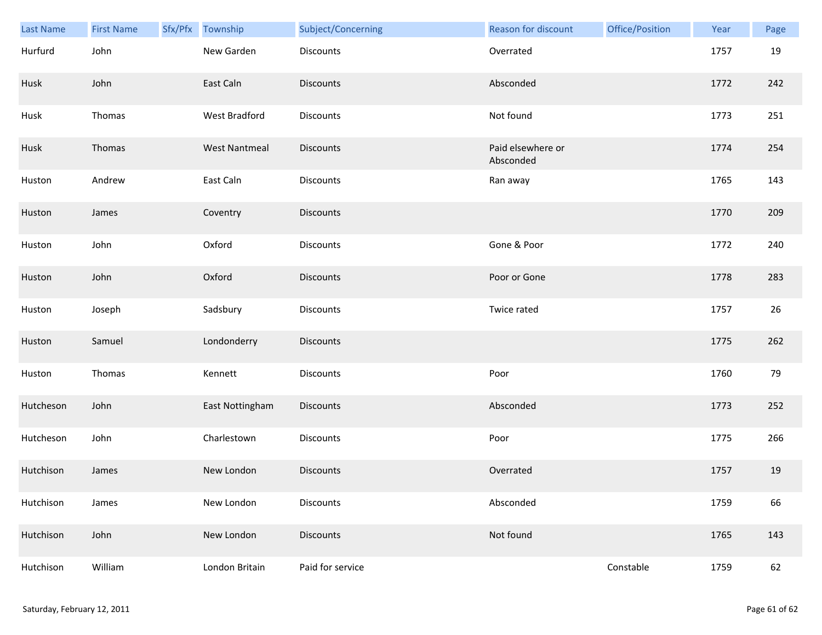| <b>Last Name</b> | <b>First Name</b> | Sfx/Pfx Township     | Subject/Concerning | Reason for discount            | Office/Position | Year | Page |
|------------------|-------------------|----------------------|--------------------|--------------------------------|-----------------|------|------|
| Hurfurd          | John              | New Garden           | Discounts          | Overrated                      |                 | 1757 | 19   |
| Husk             | John              | East Caln            | <b>Discounts</b>   | Absconded                      |                 | 1772 | 242  |
| Husk             | Thomas            | West Bradford        | Discounts          | Not found                      |                 | 1773 | 251  |
| Husk             | Thomas            | <b>West Nantmeal</b> | <b>Discounts</b>   | Paid elsewhere or<br>Absconded |                 | 1774 | 254  |
| Huston           | Andrew            | East Caln            | Discounts          | Ran away                       |                 | 1765 | 143  |
| Huston           | James             | Coventry             | Discounts          |                                |                 | 1770 | 209  |
| Huston           | John              | Oxford               | Discounts          | Gone & Poor                    |                 | 1772 | 240  |
| Huston           | John              | Oxford               | Discounts          | Poor or Gone                   |                 | 1778 | 283  |
| Huston           | Joseph            | Sadsbury             | Discounts          | Twice rated                    |                 | 1757 | 26   |
| Huston           | Samuel            | Londonderry          | Discounts          |                                |                 | 1775 | 262  |
| Huston           | Thomas            | Kennett              | Discounts          | Poor                           |                 | 1760 | 79   |
| Hutcheson        | John              | East Nottingham      | Discounts          | Absconded                      |                 | 1773 | 252  |
| Hutcheson        | John              | Charlestown          | Discounts          | Poor                           |                 | 1775 | 266  |
| Hutchison        | James             | New London           | <b>Discounts</b>   | Overrated                      |                 | 1757 | 19   |
| Hutchison        | James             | New London           | Discounts          | Absconded                      |                 | 1759 | 66   |
| Hutchison        | John              | New London           | <b>Discounts</b>   | Not found                      |                 | 1765 | 143  |
| Hutchison        | William           | London Britain       | Paid for service   |                                | Constable       | 1759 | 62   |